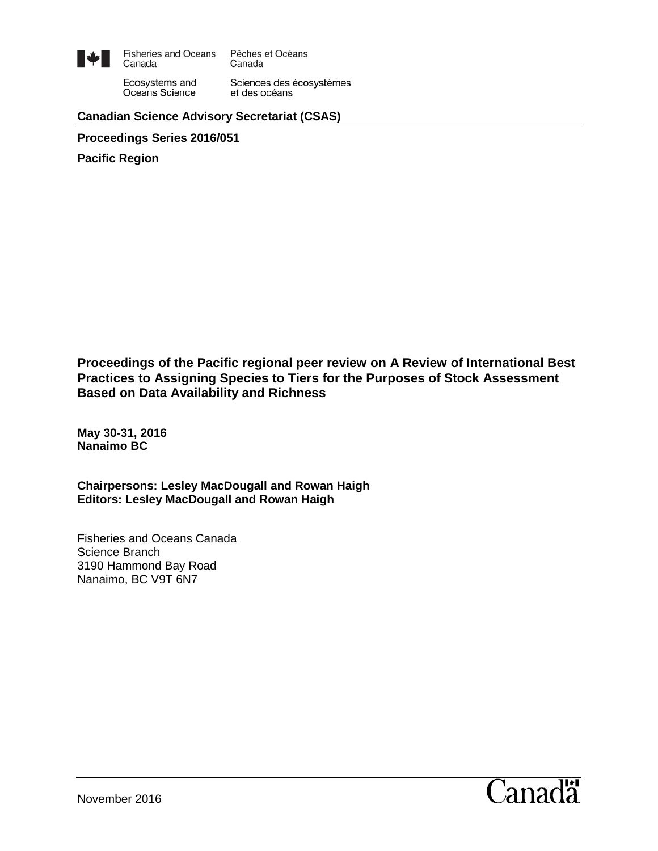

**Fisheries and Oceans** Pêches et Océans Canada Canada

Ecosystems and Oceans Science

Sciences des écosystèmes et des océans

#### **Canadian Science Advisory Secretariat (CSAS)**

**Proceedings Series 2016/051**

**Pacific Region**

**Proceedings of the Pacific regional peer review on A Review of International Best Practices to Assigning Species to Tiers for the Purposes of Stock Assessment Based on Data Availability and Richness**

**May 30-31, 2016 Nanaimo BC**

**Chairpersons: Lesley MacDougall and Rowan Haigh Editors: Lesley MacDougall and Rowan Haigh**

Fisheries and Oceans Canada Science Branch 3190 Hammond Bay Road Nanaimo, BC V9T 6N7

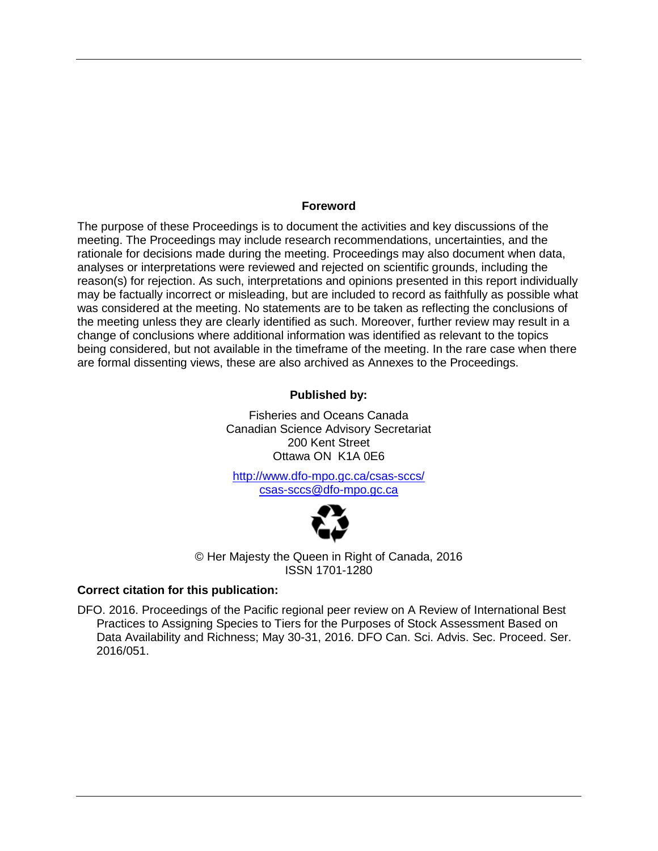#### **Foreword**

The purpose of these Proceedings is to document the activities and key discussions of the meeting. The Proceedings may include research recommendations, uncertainties, and the rationale for decisions made during the meeting. Proceedings may also document when data, analyses or interpretations were reviewed and rejected on scientific grounds, including the reason(s) for rejection. As such, interpretations and opinions presented in this report individually may be factually incorrect or misleading, but are included to record as faithfully as possible what was considered at the meeting. No statements are to be taken as reflecting the conclusions of the meeting unless they are clearly identified as such. Moreover, further review may result in a change of conclusions where additional information was identified as relevant to the topics being considered, but not available in the timeframe of the meeting. In the rare case when there are formal dissenting views, these are also archived as Annexes to the Proceedings.

#### **Published by:**

Fisheries and Oceans Canada Canadian Science Advisory Secretariat 200 Kent Street Ottawa ON K1A 0E6

<http://www.dfo-mpo.gc.ca/csas-sccs/> [csas-sccs@dfo-mpo.gc.ca](mailto:csas-sccs@dfo-mpo.gc.ca)



© Her Majesty the Queen in Right of Canada, 2016 ISSN 1701-1280

#### **Correct citation for this publication:**

DFO. 2016. Proceedings of the Pacific regional peer review on A Review of International Best Practices to Assigning Species to Tiers for the Purposes of Stock Assessment Based on Data Availability and Richness; May 30-31, 2016. DFO Can. Sci. Advis. Sec. Proceed. Ser. 2016/051.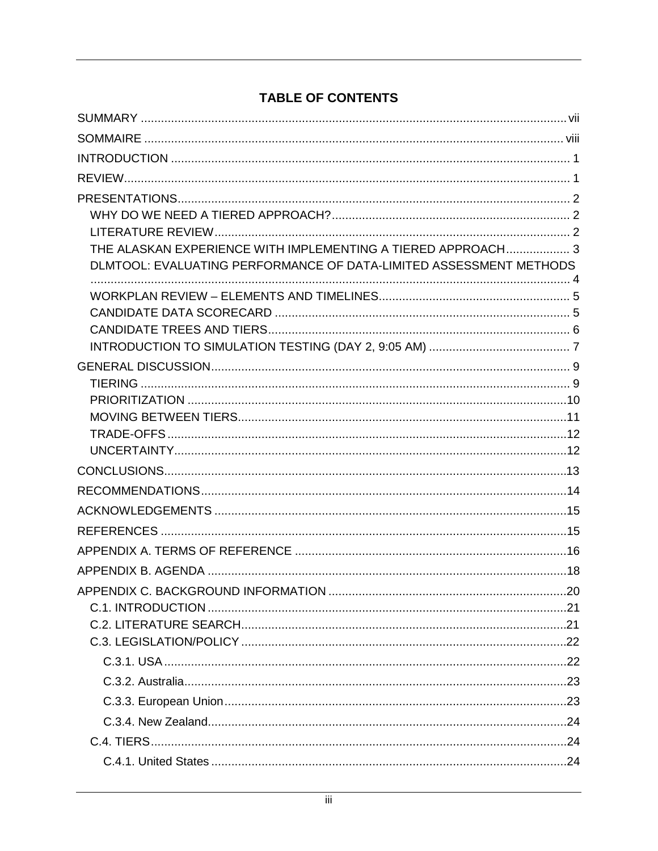# **TABLE OF CONTENTS**

| THE ALASKAN EXPERIENCE WITH IMPLEMENTING A TIERED APPROACH 3       |      |
|--------------------------------------------------------------------|------|
| DLMTOOL: EVALUATING PERFORMANCE OF DATA-LIMITED ASSESSMENT METHODS |      |
|                                                                    |      |
|                                                                    |      |
|                                                                    |      |
|                                                                    |      |
|                                                                    |      |
|                                                                    |      |
|                                                                    |      |
|                                                                    |      |
|                                                                    |      |
|                                                                    |      |
|                                                                    |      |
|                                                                    |      |
|                                                                    |      |
|                                                                    |      |
|                                                                    |      |
|                                                                    | -20- |
|                                                                    |      |
|                                                                    |      |
|                                                                    |      |
|                                                                    |      |
|                                                                    |      |
|                                                                    |      |
|                                                                    |      |
|                                                                    |      |
|                                                                    |      |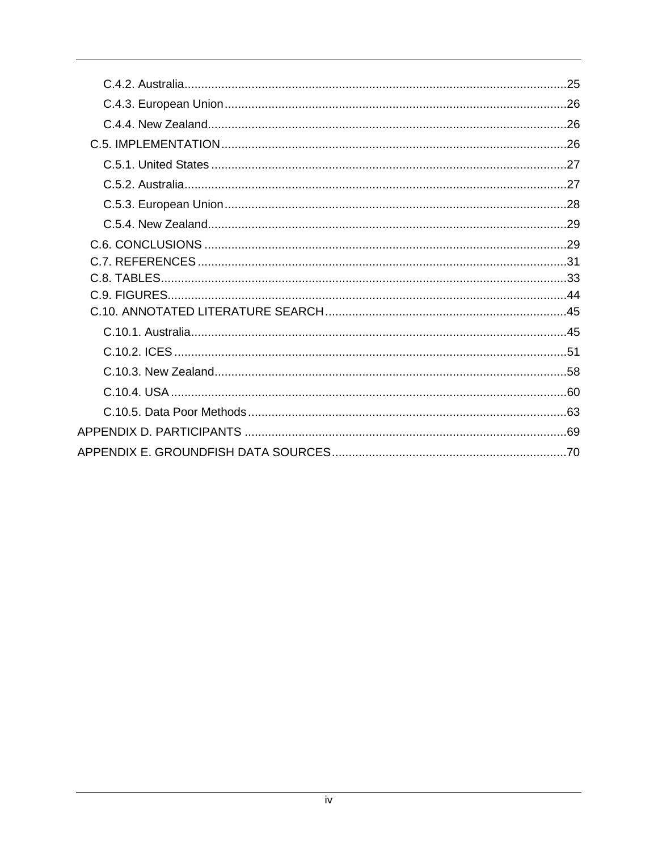| 25 |
|----|
|    |
|    |
|    |
|    |
|    |
|    |
|    |
|    |
|    |
|    |
|    |
|    |
|    |
|    |
|    |
|    |
|    |
|    |
|    |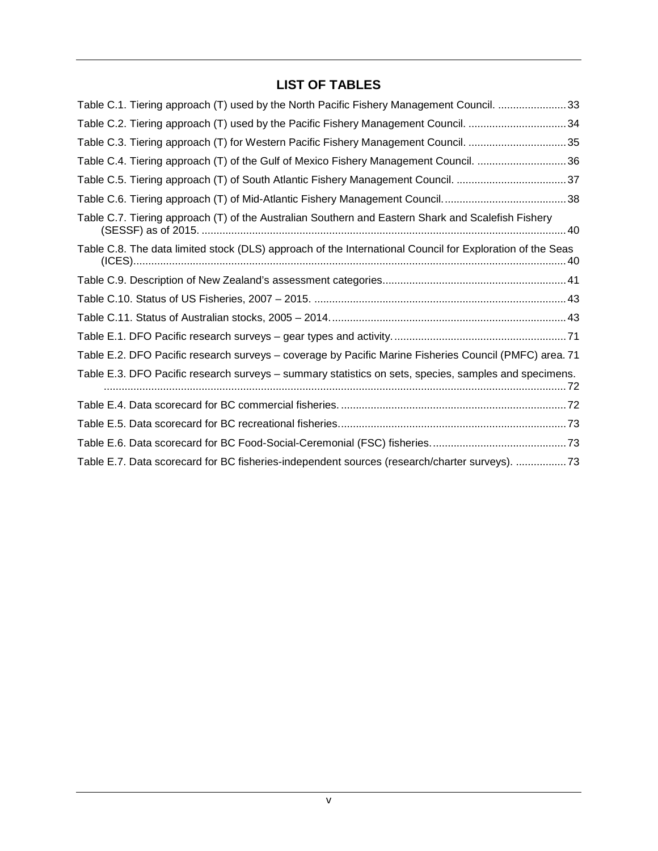### **LIST OF TABLES**

| Table C.1. Tiering approach (T) used by the North Pacific Fishery Management Council. 33                  |
|-----------------------------------------------------------------------------------------------------------|
| Table C.2. Tiering approach (T) used by the Pacific Fishery Management Council. 34                        |
| Table C.3. Tiering approach (T) for Western Pacific Fishery Management Council. 35                        |
| Table C.4. Tiering approach (T) of the Gulf of Mexico Fishery Management Council. 36                      |
| Table C.5. Tiering approach (T) of South Atlantic Fishery Management Council. 37                          |
|                                                                                                           |
| Table C.7. Tiering approach (T) of the Australian Southern and Eastern Shark and Scalefish Fishery        |
| Table C.8. The data limited stock (DLS) approach of the International Council for Exploration of the Seas |
|                                                                                                           |
|                                                                                                           |
|                                                                                                           |
|                                                                                                           |
| Table E.2. DFO Pacific research surveys - coverage by Pacific Marine Fisheries Council (PMFC) area. 71    |
| Table E.3. DFO Pacific research surveys - summary statistics on sets, species, samples and specimens.     |
|                                                                                                           |
|                                                                                                           |
|                                                                                                           |
| Table E.7. Data scorecard for BC fisheries-independent sources (research/charter surveys). 73             |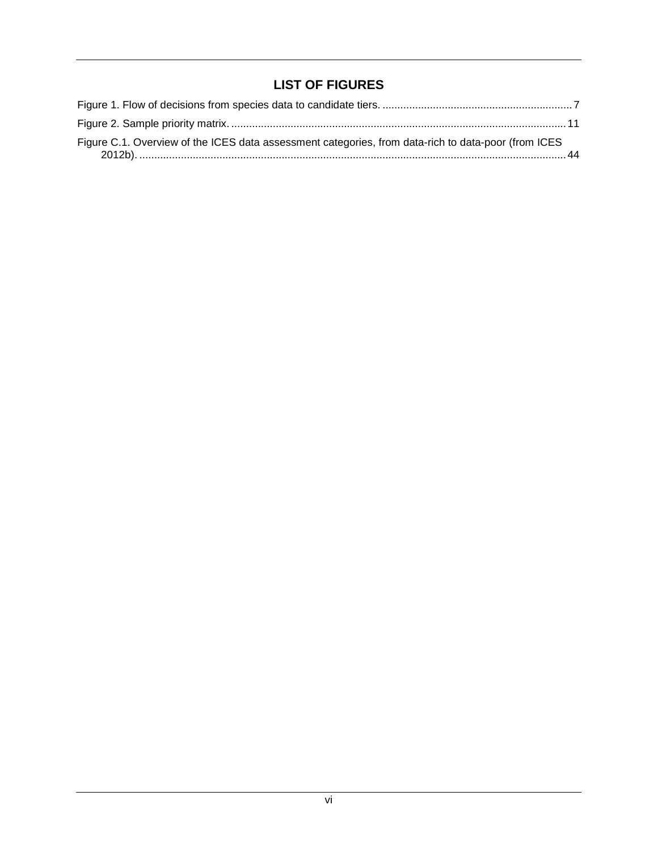### <span id="page-5-0"></span>**LIST OF FIGURES**

| Figure C.1. Overview of the ICES data assessment categories, from data-rich to data-poor (from ICES |  |
|-----------------------------------------------------------------------------------------------------|--|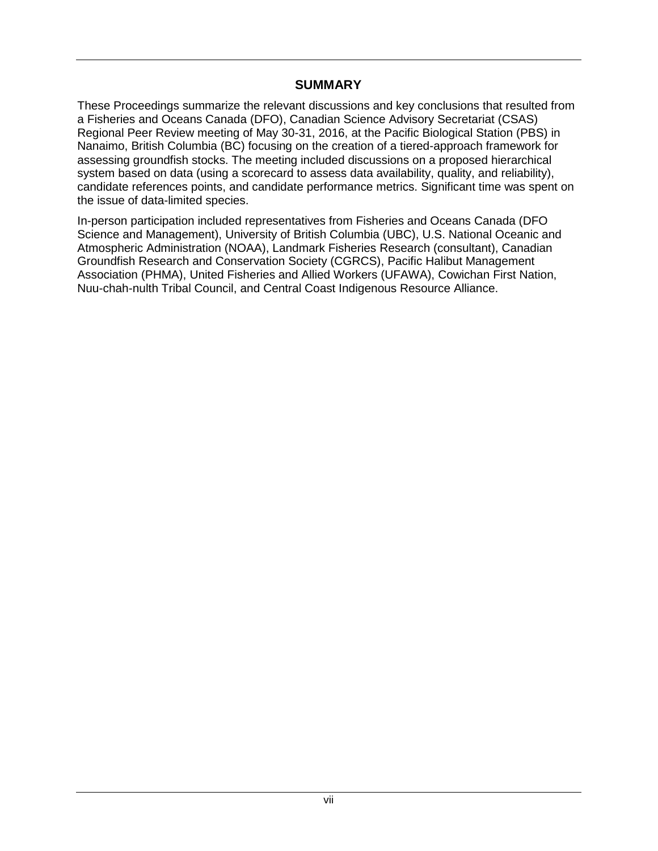### **SUMMARY**

These Proceedings summarize the relevant discussions and key conclusions that resulted from a Fisheries and Oceans Canada (DFO), Canadian Science Advisory Secretariat (CSAS) Regional Peer Review meeting of May 30-31, 2016, at the Pacific Biological Station (PBS) in Nanaimo, British Columbia (BC) focusing on the creation of a tiered-approach framework for assessing groundfish stocks. The meeting included discussions on a proposed hierarchical system based on data (using a scorecard to assess data availability, quality, and reliability), candidate references points, and candidate performance metrics. Significant time was spent on the issue of data-limited species.

In-person participation included representatives from Fisheries and Oceans Canada (DFO Science and Management), University of British Columbia (UBC), U.S. National Oceanic and Atmospheric Administration (NOAA), Landmark Fisheries Research (consultant), Canadian Groundfish Research and Conservation Society (CGRCS), Pacific Halibut Management Association (PHMA), United Fisheries and Allied Workers (UFAWA), Cowichan First Nation, Nuu-chah-nulth Tribal Council, and Central Coast Indigenous Resource Alliance.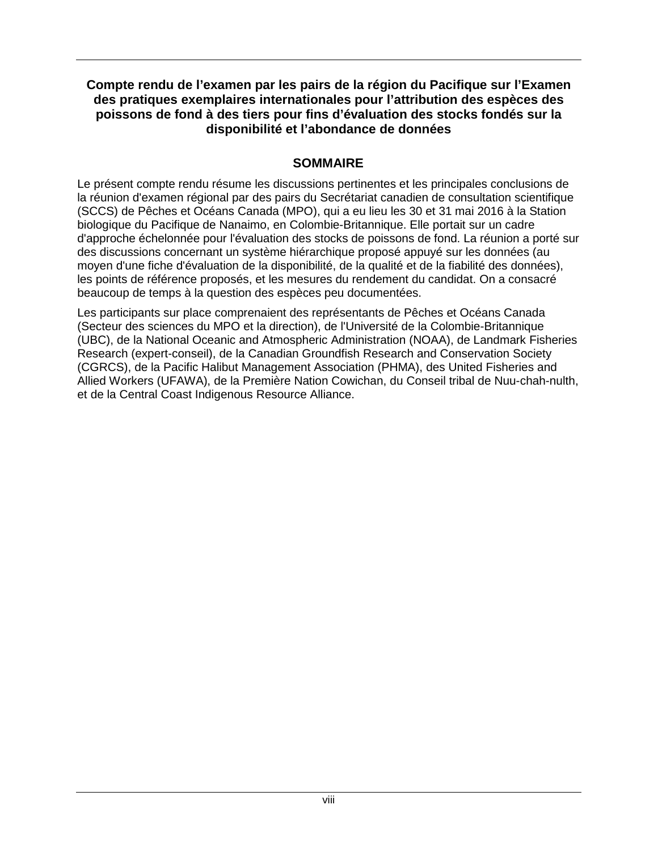### **Compte rendu de l'examen par les pairs de la région du Pacifique sur l'Examen des pratiques exemplaires internationales pour l'attribution des espèces des poissons de fond à des tiers pour fins d'évaluation des stocks fondés sur la disponibilité et l'abondance de données**

### **SOMMAIRE**

<span id="page-7-0"></span>Le présent compte rendu résume les discussions pertinentes et les principales conclusions de la réunion d'examen régional par des pairs du Secrétariat canadien de consultation scientifique (SCCS) de Pêches et Océans Canada (MPO), qui a eu lieu les 30 et 31 mai 2016 à la Station biologique du Pacifique de Nanaimo, en Colombie-Britannique. Elle portait sur un cadre d'approche échelonnée pour l'évaluation des stocks de poissons de fond. La réunion a porté sur des discussions concernant un système hiérarchique proposé appuyé sur les données (au moyen d'une fiche d'évaluation de la disponibilité, de la qualité et de la fiabilité des données), les points de référence proposés, et les mesures du rendement du candidat. On a consacré beaucoup de temps à la question des espèces peu documentées.

Les participants sur place comprenaient des représentants de Pêches et Océans Canada (Secteur des sciences du MPO et la direction), de l'Université de la Colombie-Britannique (UBC), de la National Oceanic and Atmospheric Administration (NOAA), de Landmark Fisheries Research (expert-conseil), de la Canadian Groundfish Research and Conservation Society (CGRCS), de la Pacific Halibut Management Association (PHMA), des United Fisheries and Allied Workers (UFAWA), de la Première Nation Cowichan, du Conseil tribal de Nuu-chah-nulth, et de la Central Coast Indigenous Resource Alliance.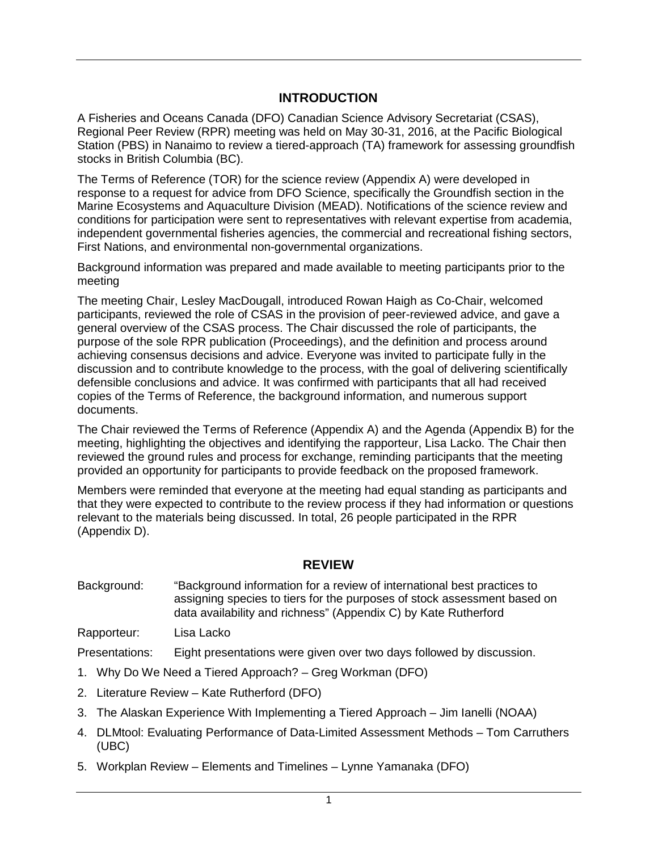### **INTRODUCTION**

<span id="page-8-0"></span>A Fisheries and Oceans Canada (DFO) Canadian Science Advisory Secretariat (CSAS), Regional Peer Review (RPR) meeting was held on May 30-31, 2016, at the Pacific Biological Station (PBS) in Nanaimo to review a tiered-approach (TA) framework for assessing groundfish stocks in British Columbia (BC).

The Terms of Reference (TOR) for the science review [\(Appendix](#page-23-0) A) were developed in response to a request for advice from DFO Science, specifically the Groundfish section in the Marine Ecosystems and Aquaculture Division (MEAD). Notifications of the science review and conditions for participation were sent to representatives with relevant expertise from academia, independent governmental fisheries agencies, the commercial and recreational fishing sectors, First Nations, and environmental non-governmental organizations.

Background information was prepared and made available to meeting participants prior to the meeting

The meeting Chair, Lesley MacDougall, introduced Rowan Haigh as Co-Chair, welcomed participants, reviewed the role of CSAS in the provision of peer-reviewed advice, and gave a general overview of the CSAS process. The Chair discussed the role of participants, the purpose of the sole RPR publication (Proceedings), and the definition and process around achieving consensus decisions and advice. Everyone was invited to participate fully in the discussion and to contribute knowledge to the process, with the goal of delivering scientifically defensible conclusions and advice. It was confirmed with participants that all had received copies of the Terms of Reference, the background information, and numerous support documents.

The Chair reviewed the Terms of Reference [\(Appendix](#page-23-0) A) and the Agenda [\(Appendix](#page-25-0) B) for the meeting, highlighting the objectives and identifying the rapporteur, Lisa Lacko. The Chair then reviewed the ground rules and process for exchange, reminding participants that the meeting provided an opportunity for participants to provide feedback on the proposed framework.

Members were reminded that everyone at the meeting had equal standing as participants and that they were expected to contribute to the review process if they had information or questions relevant to the materials being discussed. In total, 26 people participated in the RPR [\(Appendix](#page-76-0) D).

#### **REVIEW**

<span id="page-8-1"></span>Background: "Background information for a review of international best practices to assigning species to tiers for the purposes of stock assessment based on data availability and richness" [\(Appendix](#page-26-0) C) by Kate Rutherford

Rapporteur: Lisa Lacko

Presentations: Eight presentations were given over two days followed by discussion.

- 1. Why Do We Need a Tiered Approach? Greg Workman (DFO)
- 2. Literature Review Kate Rutherford (DFO)
- 3. The Alaskan Experience With Implementing a Tiered Approach Jim Ianelli (NOAA)
- 4. DLMtool: Evaluating Performance of Data-Limited Assessment Methods Tom Carruthers (UBC)
- 5. Workplan Review Elements and Timelines Lynne Yamanaka (DFO)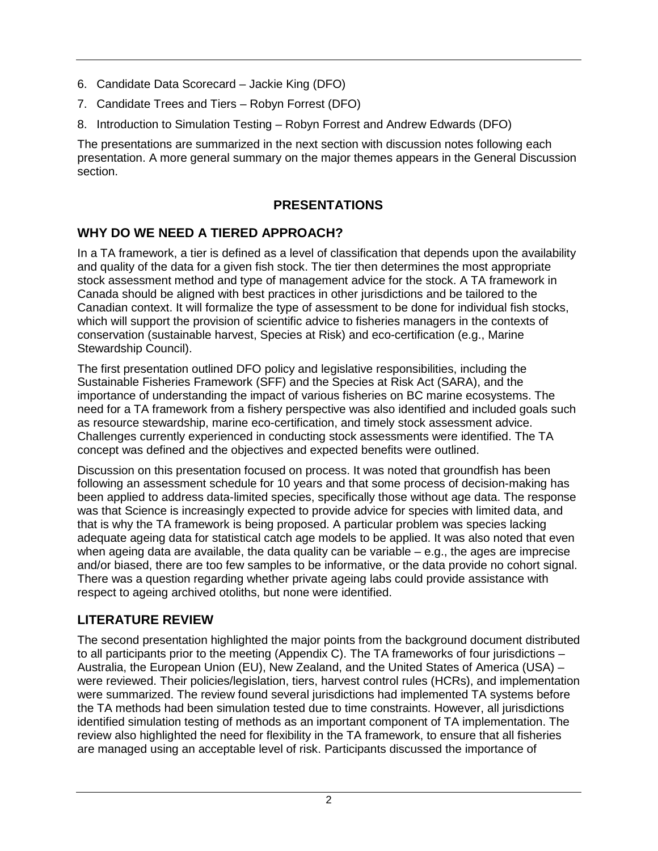- 6. Candidate Data Scorecard Jackie King (DFO)
- 7. Candidate Trees and Tiers Robyn Forrest (DFO)
- 8. Introduction to Simulation Testing Robyn Forrest and Andrew Edwards (DFO)

The presentations are summarized in the next section with discussion notes following each presentation. A more general summary on the major themes appears in the General Discussion section.

### **PRESENTATIONS**

## <span id="page-9-1"></span><span id="page-9-0"></span>**WHY DO WE NEED A TIERED APPROACH?**

In a TA framework, a tier is defined as a level of classification that depends upon the availability and quality of the data for a given fish stock. The tier then determines the most appropriate stock assessment method and type of management advice for the stock. A TA framework in Canada should be aligned with best practices in other jurisdictions and be tailored to the Canadian context. It will formalize the type of assessment to be done for individual fish stocks, which will support the provision of scientific advice to fisheries managers in the contexts of conservation (sustainable harvest, Species at Risk) and eco-certification (e.g., Marine Stewardship Council).

The first presentation outlined DFO policy and legislative responsibilities, including the Sustainable Fisheries Framework (SFF) and the Species at Risk Act (SARA), and the importance of understanding the impact of various fisheries on BC marine ecosystems. The need for a TA framework from a fishery perspective was also identified and included goals such as resource stewardship, marine eco-certification, and timely stock assessment advice. Challenges currently experienced in conducting stock assessments were identified. The TA concept was defined and the objectives and expected benefits were outlined.

Discussion on this presentation focused on process. It was noted that groundfish has been following an assessment schedule for 10 years and that some process of decision-making has been applied to address data-limited species, specifically those without age data. The response was that Science is increasingly expected to provide advice for species with limited data, and that is why the TA framework is being proposed. A particular problem was species lacking adequate ageing data for statistical catch age models to be applied. It was also noted that even when ageing data are available, the data quality can be variable – e.g., the ages are imprecise and/or biased, there are too few samples to be informative, or the data provide no cohort signal. There was a question regarding whether private ageing labs could provide assistance with respect to ageing archived otoliths, but none were identified.

## <span id="page-9-2"></span>**LITERATURE REVIEW**

The second presentation highlighted the major points from the background document distributed to all participants prior to the meeting [\(Appendix](#page-26-0) C). The TA frameworks of four jurisdictions – Australia, the European Union (EU), New Zealand, and the United States of America (USA) – were reviewed. Their policies/legislation, tiers, harvest control rules (HCRs), and implementation were summarized. The review found several jurisdictions had implemented TA systems before the TA methods had been simulation tested due to time constraints. However, all jurisdictions identified simulation testing of methods as an important component of TA implementation. The review also highlighted the need for flexibility in the TA framework, to ensure that all fisheries are managed using an acceptable level of risk. Participants discussed the importance of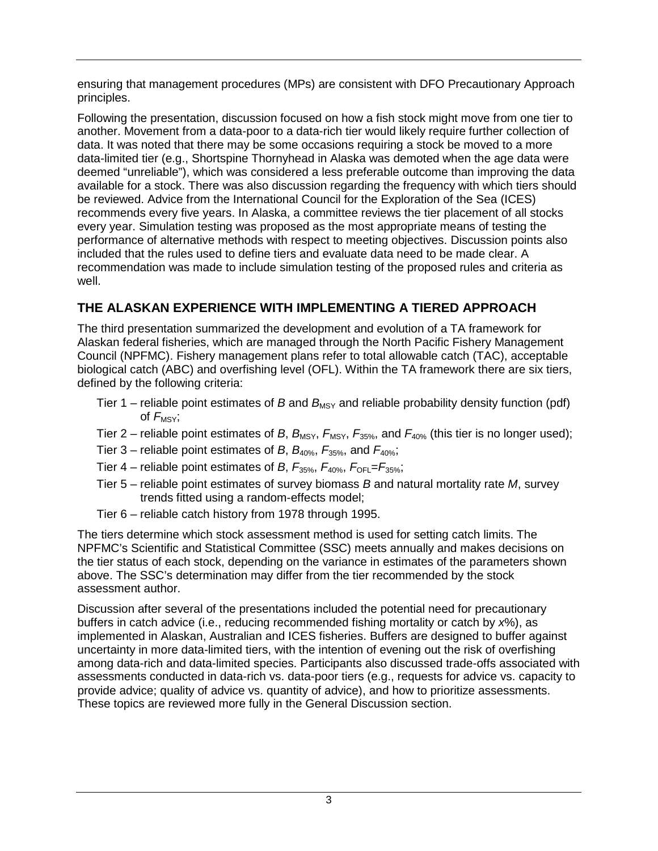ensuring that management procedures (MPs) are consistent with DFO Precautionary Approach principles.

Following the presentation, discussion focused on how a fish stock might move from one tier to another. Movement from a data-poor to a data-rich tier would likely require further collection of data. It was noted that there may be some occasions requiring a stock be moved to a more data-limited tier (e.g., Shortspine Thornyhead in Alaska was demoted when the age data were deemed "unreliable"), which was considered a less preferable outcome than improving the data available for a stock. There was also discussion regarding the frequency with which tiers should be reviewed. Advice from the International Council for the Exploration of the Sea (ICES) recommends every five years. In Alaska, a committee reviews the tier placement of all stocks every year. Simulation testing was proposed as the most appropriate means of testing the performance of alternative methods with respect to meeting objectives. Discussion points also included that the rules used to define tiers and evaluate data need to be made clear. A recommendation was made to include simulation testing of the proposed rules and criteria as well.

# <span id="page-10-0"></span>**THE ALASKAN EXPERIENCE WITH IMPLEMENTING A TIERED APPROACH**

The third presentation summarized the development and evolution of a TA framework for Alaskan federal fisheries, which are managed through the North Pacific Fishery Management Council (NPFMC). Fishery management plans refer to total allowable catch (TAC), acceptable biological catch (ABC) and overfishing level (OFL). Within the TA framework there are six tiers, defined by the following criteria:

- Tier 1 reliable point estimates of *B* and  $B_{MSV}$  and reliable probability density function (pdf) of  $F_{\text{MSV}}$ ;
- Tier 2 reliable point estimates of *B*,  $B_{\text{MSY}}$ ,  $F_{\text{MSY}}$ ,  $F_{\text{35%}}$ , and  $F_{\text{40%}}$  (this tier is no longer used);
- Tier 3 reliable point estimates of *B*, *B*40%, *F*35%, and *F*40%;
- Tier 4 reliable point estimates of *B*,  $F_{35\%}$ ,  $F_{40\%}$ ,  $F_{\text{OFL}}=F_{35\%}$ ;
- Tier 5 reliable point estimates of survey biomass *B* and natural mortality rate *M*, survey trends fitted using a random-effects model;
- Tier 6 reliable catch history from 1978 through 1995.

The tiers determine which stock assessment method is used for setting catch limits. The NPFMC's Scientific and Statistical Committee (SSC) meets annually and makes decisions on the tier status of each stock, depending on the variance in estimates of the parameters shown above. The SSC's determination may differ from the tier recommended by the stock assessment author.

Discussion after several of the presentations included the potential need for precautionary buffers in catch advice (i.e., reducing recommended fishing mortality or catch by *x*%), as implemented in Alaskan, Australian and ICES fisheries. Buffers are designed to buffer against uncertainty in more data-limited tiers, with the intention of evening out the risk of overfishing among data-rich and data-limited species. Participants also discussed trade-offs associated with assessments conducted in data-rich vs. data-poor tiers (e.g., requests for advice vs. capacity to provide advice; quality of advice vs. quantity of advice), and how to prioritize assessments. These topics are reviewed more fully in the General Discussion section.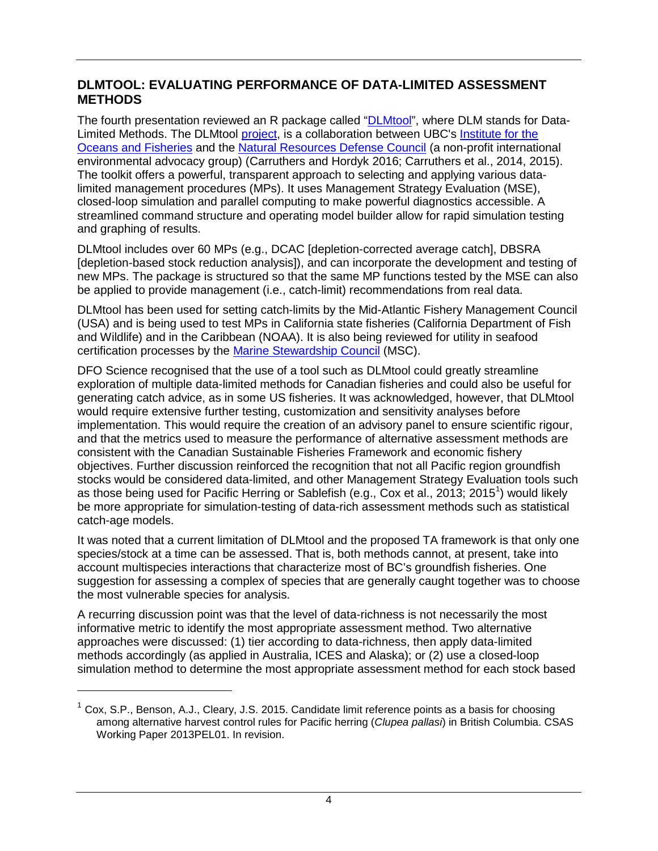### <span id="page-11-0"></span>**DLMTOOL: EVALUATING PERFORMANCE OF DATA-LIMITED ASSESSMENT METHODS**

The fourth presentation reviewed an R package called ["DLMtool"](https://cran.r-project.org/web/packages/DLMtool/index.html), where DLM stands for Data-Limited Methods. The DLMtool [project,](http://www.datalimitedtoolkit.org/) is a collaboration between UBC's [Institute for the](http://oceans.ubc.ca/)  [Oceans and Fisheries](http://oceans.ubc.ca/) and the [Natural Resources Defense Council](https://www.nrdc.org/) (a non-profit international environmental advocacy group) (Carruthers and Hordyk 2016; Carruthers et al., 2014, 2015). The toolkit offers a powerful, transparent approach to selecting and applying various datalimited management procedures (MPs). It uses Management Strategy Evaluation (MSE), closed-loop simulation and parallel computing to make powerful diagnostics accessible. A streamlined command structure and operating model builder allow for rapid simulation testing and graphing of results.

DLMtool includes over 60 MPs (e.g., DCAC [depletion-corrected average catch], DBSRA [depletion-based stock reduction analysis]), and can incorporate the development and testing of new MPs. The package is structured so that the same MP functions tested by the MSE can also be applied to provide management (i.e., catch-limit) recommendations from real data.

DLMtool has been used for setting catch-limits by the Mid-Atlantic Fishery Management Council (USA) and is being used to test MPs in California state fisheries (California Department of Fish and Wildlife) and in the Caribbean (NOAA). It is also being reviewed for utility in seafood certification processes by the [Marine Stewardship Council](https://www.msc.org/) (MSC).

DFO Science recognised that the use of a tool such as DLMtool could greatly streamline exploration of multiple data-limited methods for Canadian fisheries and could also be useful for generating catch advice, as in some US fisheries. It was acknowledged, however, that DLMtool would require extensive further testing, customization and sensitivity analyses before implementation. This would require the creation of an advisory panel to ensure scientific rigour, and that the metrics used to measure the performance of alternative assessment methods are consistent with the Canadian Sustainable Fisheries Framework and economic fishery objectives. Further discussion reinforced the recognition that not all Pacific region groundfish stocks would be considered data-limited, and other Management Strategy Evaluation tools such as those being used for Pacific Herring or Sablefish (e.g., Cox et al., 20[1](#page-11-1)3; 2015<sup>1</sup>) would likely be more appropriate for simulation-testing of data-rich assessment methods such as statistical catch-age models.

It was noted that a current limitation of DLMtool and the proposed TA framework is that only one species/stock at a time can be assessed. That is, both methods cannot, at present, take into account multispecies interactions that characterize most of BC's groundfish fisheries. One suggestion for assessing a complex of species that are generally caught together was to choose the most vulnerable species for analysis.

A recurring discussion point was that the level of data-richness is not necessarily the most informative metric to identify the most appropriate assessment method. Two alternative approaches were discussed: (1) tier according to data-richness, then apply data-limited methods accordingly (as applied in Australia, ICES and Alaska); or (2) use a closed-loop simulation method to determine the most appropriate assessment method for each stock based

 $\overline{a}$ 

<span id="page-11-1"></span> $<sup>1</sup>$  Cox, S.P., Benson, A.J., Cleary, J.S. 2015. Candidate limit reference points as a basis for choosing</sup> among alternative harvest control rules for Pacific herring (*Clupea pallasi*) in British Columbia. CSAS Working Paper 2013PEL01. In revision.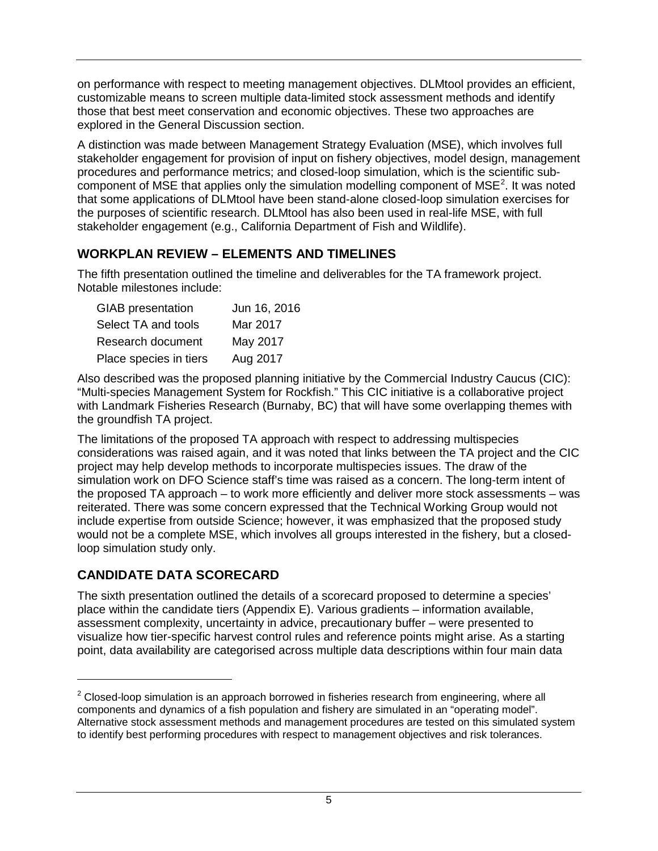on performance with respect to meeting management objectives. DLMtool provides an efficient, customizable means to screen multiple data-limited stock assessment methods and identify those that best meet conservation and economic objectives. These two approaches are explored in the General Discussion section.

A distinction was made between Management Strategy Evaluation (MSE), which involves full stakeholder engagement for provision of input on fishery objectives, model design, management procedures and performance metrics; and closed-loop simulation, which is the scientific sub-component of MSE that applies only the simulation modelling component of MSE<sup>[2](#page-12-2)</sup>. It was noted that some applications of DLMtool have been stand-alone closed-loop simulation exercises for the purposes of scientific research. DLMtool has also been used in real-life MSE, with full stakeholder engagement (e.g., California Department of Fish and Wildlife).

### <span id="page-12-0"></span>**WORKPLAN REVIEW – ELEMENTS AND TIMELINES**

The fifth presentation outlined the timeline and deliverables for the TA framework project. Notable milestones include:

| <b>GIAB</b> presentation | Jun 16, 2016 |
|--------------------------|--------------|
| Select TA and tools      | Mar 2017     |
| Research document        | May 2017     |
| Place species in tiers   | Aug 2017     |

Also described was the proposed planning initiative by the Commercial Industry Caucus (CIC): "Multi-species Management System for Rockfish." This CIC initiative is a collaborative project with Landmark Fisheries Research (Burnaby, BC) that will have some overlapping themes with the groundfish TA project.

The limitations of the proposed TA approach with respect to addressing multispecies considerations was raised again, and it was noted that links between the TA project and the CIC project may help develop methods to incorporate multispecies issues. The draw of the simulation work on DFO Science staff's time was raised as a concern. The long-term intent of the proposed TA approach – to work more efficiently and deliver more stock assessments – was reiterated. There was some concern expressed that the Technical Working Group would not include expertise from outside Science; however, it was emphasized that the proposed study would not be a complete MSE, which involves all groups interested in the fishery, but a closedloop simulation study only.

### <span id="page-12-1"></span>**CANDIDATE DATA SCORECARD**

 $\ddot{ }$ 

The sixth presentation outlined the details of a scorecard proposed to determine a species' place within the candidate tiers [\(Appendix](#page-77-0) E). Various gradients – information available, assessment complexity, uncertainty in advice, precautionary buffer – were presented to visualize how tier-specific harvest control rules and reference points might arise. As a starting point, data availability are categorised across multiple data descriptions within four main data

<span id="page-12-2"></span> $2$  Closed-loop simulation is an approach borrowed in fisheries research from engineering, where all components and dynamics of a fish population and fishery are simulated in an "operating model". Alternative stock assessment methods and management procedures are tested on this simulated system to identify best performing procedures with respect to management objectives and risk tolerances.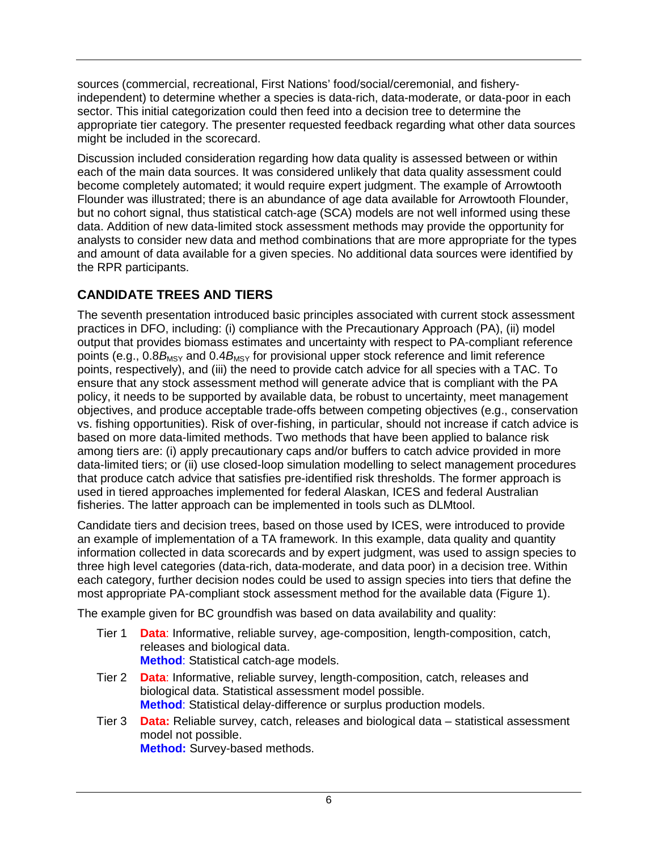sources (commercial, recreational, First Nations' food/social/ceremonial, and fisheryindependent) to determine whether a species is data-rich, data-moderate, or data-poor in each sector. This initial categorization could then feed into a decision tree to determine the appropriate tier category. The presenter requested feedback regarding what other data sources might be included in the scorecard.

Discussion included consideration regarding how data quality is assessed between or within each of the main data sources. It was considered unlikely that data quality assessment could become completely automated; it would require expert judgment. The example of Arrowtooth Flounder was illustrated; there is an abundance of age data available for Arrowtooth Flounder, but no cohort signal, thus statistical catch-age (SCA) models are not well informed using these data. Addition of new data-limited stock assessment methods may provide the opportunity for analysts to consider new data and method combinations that are more appropriate for the types and amount of data available for a given species. No additional data sources were identified by the RPR participants.

# <span id="page-13-0"></span>**CANDIDATE TREES AND TIERS**

The seventh presentation introduced basic principles associated with current stock assessment practices in DFO, including: (i) compliance with the Precautionary Approach (PA), (ii) model output that provides biomass estimates and uncertainty with respect to PA-compliant reference points (e.g.,  $0.8B_{MSY}$  and  $0.4B_{MSY}$  for provisional upper stock reference and limit reference points, respectively), and (iii) the need to provide catch advice for all species with a TAC. To ensure that any stock assessment method will generate advice that is compliant with the PA policy, it needs to be supported by available data, be robust to uncertainty, meet management objectives, and produce acceptable trade-offs between competing objectives (e.g., conservation vs. fishing opportunities). Risk of over-fishing, in particular, should not increase if catch advice is based on more data-limited methods. Two methods that have been applied to balance risk among tiers are: (i) apply precautionary caps and/or buffers to catch advice provided in more data-limited tiers; or (ii) use closed-loop simulation modelling to select management procedures that produce catch advice that satisfies pre-identified risk thresholds. The former approach is used in tiered approaches implemented for federal Alaskan, ICES and federal Australian fisheries. The latter approach can be implemented in tools such as DLMtool.

Candidate tiers and decision trees, based on those used by ICES, were introduced to provide an example of implementation of a TA framework. In this example, data quality and quantity information collected in data scorecards and by expert judgment, was used to assign species to three high level categories (data-rich, data-moderate, and data poor) in a decision tree. Within each category, further decision nodes could be used to assign species into tiers that define the most appropriate PA-compliant stock assessment method for the available data [\(Figure](#page-14-1) 1).

The example given for BC groundfish was based on data availability and quality:

- Tier 1 **Data**: Informative, reliable survey, age-composition, length-composition, catch, releases and biological data. **Method**: Statistical catch-age models.
- Tier 2 **Data**: Informative, reliable survey, length-composition, catch, releases and biological data. Statistical assessment model possible. **Method**: Statistical delay-difference or surplus production models.
- Tier 3 **Data:** Reliable survey, catch, releases and biological data statistical assessment model not possible. **Method:** Survey-based methods.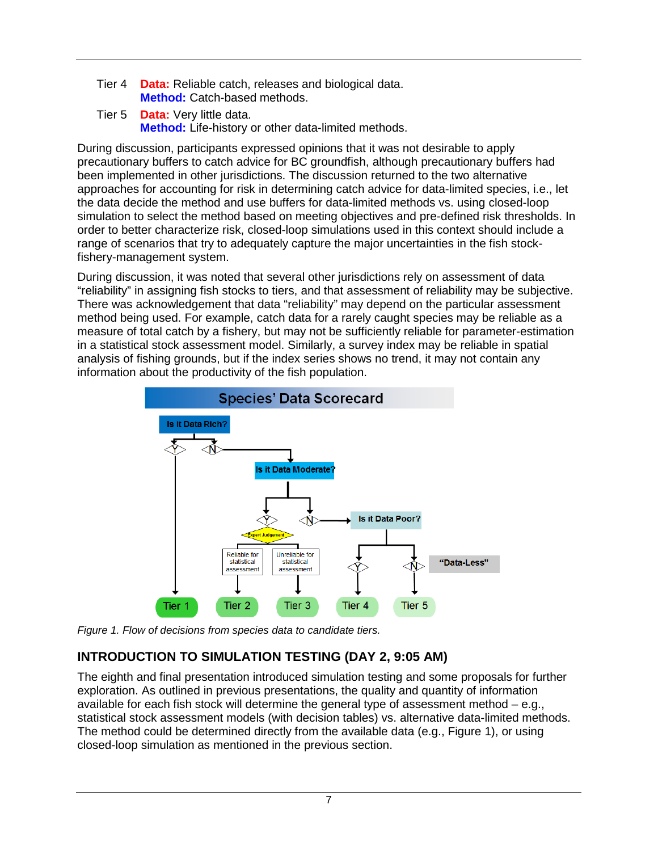- Tier 4 **Data:** Reliable catch, releases and biological data. **Method:** Catch-based methods.
- Tier 5 **Data:** Very little data. **Method:** Life-history or other data-limited methods.

During discussion, participants expressed opinions that it was not desirable to apply precautionary buffers to catch advice for BC groundfish, although precautionary buffers had been implemented in other jurisdictions. The discussion returned to the two alternative approaches for accounting for risk in determining catch advice for data-limited species, i.e., let the data decide the method and use buffers for data-limited methods vs. using closed-loop simulation to select the method based on meeting objectives and pre-defined risk thresholds. In order to better characterize risk, closed-loop simulations used in this context should include a range of scenarios that try to adequately capture the major uncertainties in the fish stockfishery-management system.

During discussion, it was noted that several other jurisdictions rely on assessment of data "reliability" in assigning fish stocks to tiers, and that assessment of reliability may be subjective. There was acknowledgement that data "reliability" may depend on the particular assessment method being used. For example, catch data for a rarely caught species may be reliable as a measure of total catch by a fishery, but may not be sufficiently reliable for parameter-estimation in a statistical stock assessment model. Similarly, a survey index may be reliable in spatial analysis of fishing grounds, but if the index series shows no trend, it may not contain any information about the productivity of the fish population.



<span id="page-14-1"></span>*Figure 1. Flow of decisions from species data to candidate tiers.*

# <span id="page-14-0"></span>**INTRODUCTION TO SIMULATION TESTING (DAY 2, 9:05 AM)**

The eighth and final presentation introduced simulation testing and some proposals for further exploration. As outlined in previous presentations, the quality and quantity of information available for each fish stock will determine the general type of assessment method  $-$  e.g., statistical stock assessment models (with decision tables) vs. alternative data-limited methods. The method could be determined directly from the available data (e.g., [Figure](#page-14-1) 1), or using closed-loop simulation as mentioned in the previous section.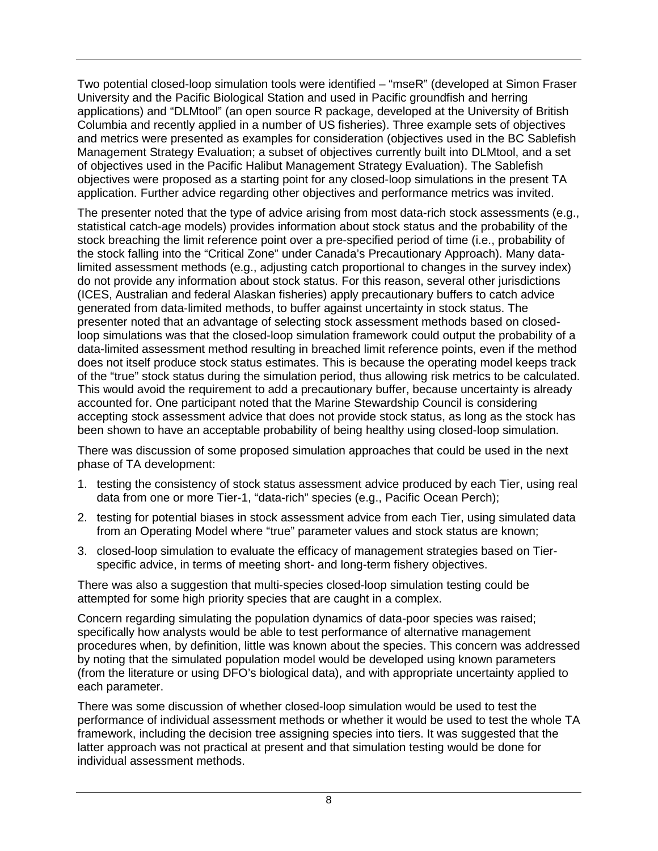Two potential closed-loop simulation tools were identified – "mseR" (developed at Simon Fraser University and the Pacific Biological Station and used in Pacific groundfish and herring applications) and "DLMtool" (an open source R package, developed at the University of British Columbia and recently applied in a number of US fisheries). Three example sets of objectives and metrics were presented as examples for consideration (objectives used in the BC Sablefish Management Strategy Evaluation; a subset of objectives currently built into DLMtool, and a set of objectives used in the Pacific Halibut Management Strategy Evaluation). The Sablefish objectives were proposed as a starting point for any closed-loop simulations in the present TA application. Further advice regarding other objectives and performance metrics was invited.

The presenter noted that the type of advice arising from most data-rich stock assessments (e.g., statistical catch-age models) provides information about stock status and the probability of the stock breaching the limit reference point over a pre-specified period of time (i.e., probability of the stock falling into the "Critical Zone" under Canada's Precautionary Approach). Many datalimited assessment methods (e.g., adjusting catch proportional to changes in the survey index) do not provide any information about stock status. For this reason, several other jurisdictions (ICES, Australian and federal Alaskan fisheries) apply precautionary buffers to catch advice generated from data-limited methods, to buffer against uncertainty in stock status. The presenter noted that an advantage of selecting stock assessment methods based on closedloop simulations was that the closed-loop simulation framework could output the probability of a data-limited assessment method resulting in breached limit reference points, even if the method does not itself produce stock status estimates. This is because the operating model keeps track of the "true" stock status during the simulation period, thus allowing risk metrics to be calculated. This would avoid the requirement to add a precautionary buffer, because uncertainty is already accounted for. One participant noted that the Marine Stewardship Council is considering accepting stock assessment advice that does not provide stock status, as long as the stock has been shown to have an acceptable probability of being healthy using closed-loop simulation.

There was discussion of some proposed simulation approaches that could be used in the next phase of TA development:

- 1. testing the consistency of stock status assessment advice produced by each Tier, using real data from one or more Tier-1, "data-rich" species (e.g., Pacific Ocean Perch);
- 2. testing for potential biases in stock assessment advice from each Tier, using simulated data from an Operating Model where "true" parameter values and stock status are known;
- 3. closed-loop simulation to evaluate the efficacy of management strategies based on Tierspecific advice, in terms of meeting short- and long-term fishery objectives.

There was also a suggestion that multi-species closed-loop simulation testing could be attempted for some high priority species that are caught in a complex.

Concern regarding simulating the population dynamics of data-poor species was raised; specifically how analysts would be able to test performance of alternative management procedures when, by definition, little was known about the species. This concern was addressed by noting that the simulated population model would be developed using known parameters (from the literature or using DFO's biological data), and with appropriate uncertainty applied to each parameter.

There was some discussion of whether closed-loop simulation would be used to test the performance of individual assessment methods or whether it would be used to test the whole TA framework, including the decision tree assigning species into tiers. It was suggested that the latter approach was not practical at present and that simulation testing would be done for individual assessment methods.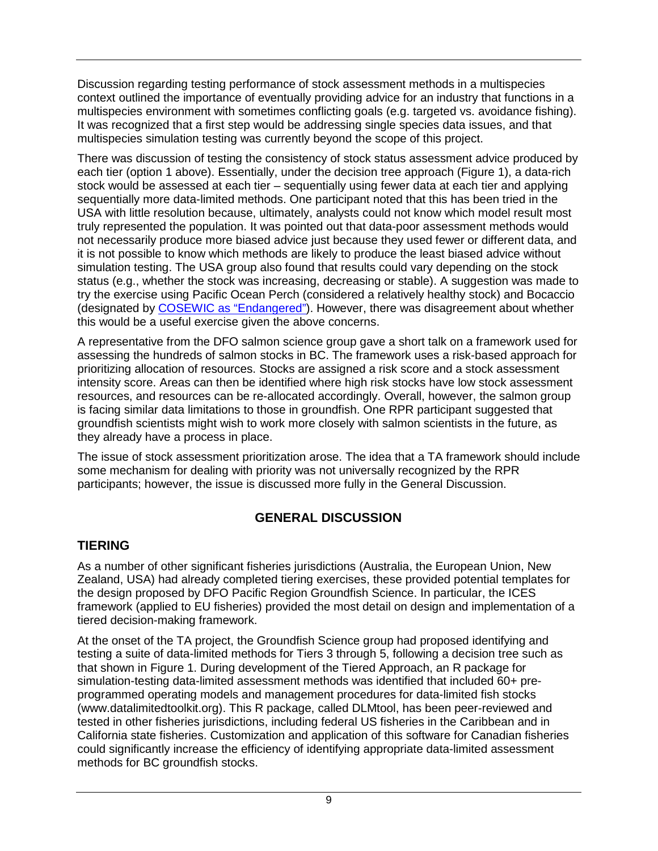Discussion regarding testing performance of stock assessment methods in a multispecies context outlined the importance of eventually providing advice for an industry that functions in a multispecies environment with sometimes conflicting goals (e.g. targeted vs. avoidance fishing). It was recognized that a first step would be addressing single species data issues, and that multispecies simulation testing was currently beyond the scope of this project.

There was discussion of testing the consistency of stock status assessment advice produced by each tier (option 1 above). Essentially, under the decision tree approach [\(Figure](#page-14-1) 1), a data-rich stock would be assessed at each tier – sequentially using fewer data at each tier and applying sequentially more data-limited methods. One participant noted that this has been tried in the USA with little resolution because, ultimately, analysts could not know which model result most truly represented the population. It was pointed out that data-poor assessment methods would not necessarily produce more biased advice just because they used fewer or different data, and it is not possible to know which methods are likely to produce the least biased advice without simulation testing. The USA group also found that results could vary depending on the stock status (e.g., whether the stock was increasing, decreasing or stable). A suggestion was made to try the exercise using Pacific Ocean Perch (considered a relatively healthy stock) and Bocaccio (designated by [COSEWIC as "Endangered"\)](http://www.registrelep-sararegistry.gc.ca/species/speciesDetails_e.cfm?sid=740). However, there was disagreement about whether this would be a useful exercise given the above concerns.

A representative from the DFO salmon science group gave a short talk on a framework used for assessing the hundreds of salmon stocks in BC. The framework uses a risk-based approach for prioritizing allocation of resources. Stocks are assigned a risk score and a stock assessment intensity score. Areas can then be identified where high risk stocks have low stock assessment resources, and resources can be re-allocated accordingly. Overall, however, the salmon group is facing similar data limitations to those in groundfish. One RPR participant suggested that groundfish scientists might wish to work more closely with salmon scientists in the future, as they already have a process in place.

The issue of stock assessment prioritization arose. The idea that a TA framework should include some mechanism for dealing with priority was not universally recognized by the RPR participants; however, the issue is discussed more fully in the General Discussion.

### **GENERAL DISCUSSION**

## <span id="page-16-1"></span><span id="page-16-0"></span>**TIERING**

As a number of other significant fisheries jurisdictions (Australia, the European Union, New Zealand, USA) had already completed tiering exercises, these provided potential templates for the design proposed by DFO Pacific Region Groundfish Science. In particular, the ICES framework (applied to EU fisheries) provided the most detail on design and implementation of a tiered decision-making framework.

At the onset of the TA project, the Groundfish Science group had proposed identifying and testing a suite of data-limited methods for Tiers 3 through 5, following a decision tree such as that shown in [Figure](#page-14-1) 1. During development of the Tiered Approach, an R package for simulation-testing data-limited assessment methods was identified that included 60+ preprogrammed operating models and management procedures for data-limited fish stocks (www.datalimitedtoolkit.org). This R package, called DLMtool, has been peer-reviewed and tested in other fisheries jurisdictions, including federal US fisheries in the Caribbean and in California state fisheries. Customization and application of this software for Canadian fisheries could significantly increase the efficiency of identifying appropriate data-limited assessment methods for BC groundfish stocks.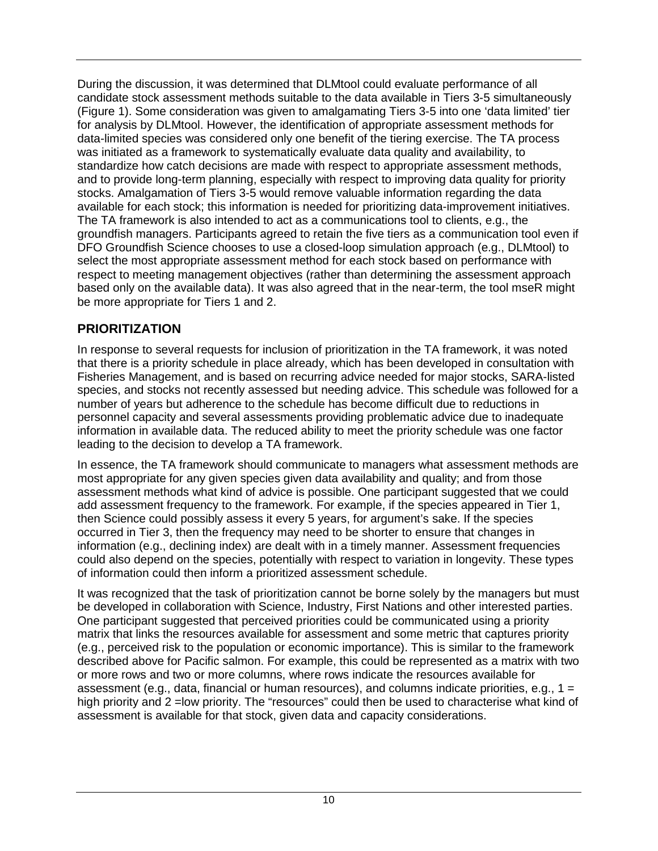During the discussion, it was determined that DLMtool could evaluate performance of all candidate stock assessment methods suitable to the data available in Tiers 3-5 simultaneously [\(Figure](#page-14-1) 1). Some consideration was given to amalgamating Tiers 3-5 into one 'data limited' tier for analysis by DLMtool. However, the identification of appropriate assessment methods for data-limited species was considered only one benefit of the tiering exercise. The TA process was initiated as a framework to systematically evaluate data quality and availability, to standardize how catch decisions are made with respect to appropriate assessment methods, and to provide long-term planning, especially with respect to improving data quality for priority stocks. Amalgamation of Tiers 3-5 would remove valuable information regarding the data available for each stock; this information is needed for prioritizing data-improvement initiatives. The TA framework is also intended to act as a communications tool to clients, e.g., the groundfish managers. Participants agreed to retain the five tiers as a communication tool even if DFO Groundfish Science chooses to use a closed-loop simulation approach (e.g., DLMtool) to select the most appropriate assessment method for each stock based on performance with respect to meeting management objectives (rather than determining the assessment approach based only on the available data). It was also agreed that in the near-term, the tool mseR might be more appropriate for Tiers 1 and 2.

### <span id="page-17-0"></span>**PRIORITIZATION**

In response to several requests for inclusion of prioritization in the TA framework, it was noted that there is a priority schedule in place already, which has been developed in consultation with Fisheries Management, and is based on recurring advice needed for major stocks, SARA-listed species, and stocks not recently assessed but needing advice. This schedule was followed for a number of years but adherence to the schedule has become difficult due to reductions in personnel capacity and several assessments providing problematic advice due to inadequate information in available data. The reduced ability to meet the priority schedule was one factor leading to the decision to develop a TA framework.

In essence, the TA framework should communicate to managers what assessment methods are most appropriate for any given species given data availability and quality; and from those assessment methods what kind of advice is possible. One participant suggested that we could add assessment frequency to the framework. For example, if the species appeared in Tier 1, then Science could possibly assess it every 5 years, for argument's sake. If the species occurred in Tier 3, then the frequency may need to be shorter to ensure that changes in information (e.g., declining index) are dealt with in a timely manner. Assessment frequencies could also depend on the species, potentially with respect to variation in longevity. These types of information could then inform a prioritized assessment schedule.

It was recognized that the task of prioritization cannot be borne solely by the managers but must be developed in collaboration with Science, Industry, First Nations and other interested parties. One participant suggested that perceived priorities could be communicated using a priority matrix that links the resources available for assessment and some metric that captures priority (e.g., perceived risk to the population or economic importance). This is similar to the framework described above for Pacific salmon. For example, this could be represented as a matrix with two or more rows and two or more columns, where rows indicate the resources available for assessment (e.g., data, financial or human resources), and columns indicate priorities, e.g.,  $1 =$ high priority and 2 = low priority. The "resources" could then be used to characterise what kind of assessment is available for that stock, given data and capacity considerations.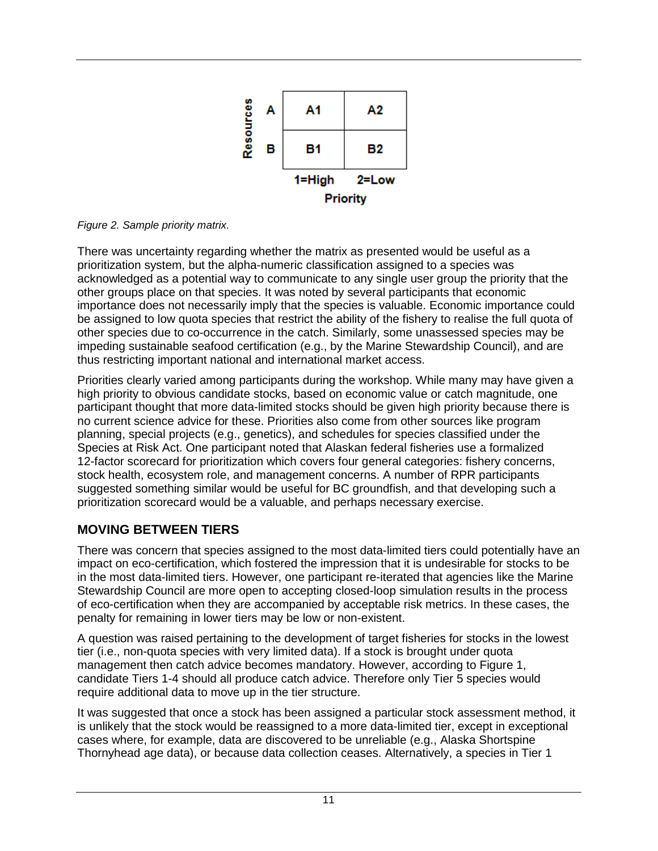

<span id="page-18-1"></span>*Figure 2. Sample priority matrix.*

There was uncertainty regarding whether the matrix as presented would be useful as a prioritization system, but the alpha-numeric classification assigned to a species was acknowledged as a potential way to communicate to any single user group the priority that the other groups place on that species. It was noted by several participants that economic importance does not necessarily imply that the species is valuable. Economic importance could be assigned to low quota species that restrict the ability of the fishery to realise the full quota of other species due to co-occurrence in the catch. Similarly, some unassessed species may be impeding sustainable seafood certification (e.g., by the Marine Stewardship Council), and are thus restricting important national and international market access.

Priorities clearly varied among participants during the workshop. While many may have given a high priority to obvious candidate stocks, based on economic value or catch magnitude, one participant thought that more data-limited stocks should be given high priority because there is no current science advice for these. Priorities also come from other sources like program planning, special projects (e.g., genetics), and schedules for species classified under the Species at Risk Act. One participant noted that Alaskan federal fisheries use a formalized 12-factor scorecard for prioritization which covers four general categories: fishery concerns, stock health, ecosystem role, and management concerns. A number of RPR participants suggested something similar would be useful for BC groundfish, and that developing such a prioritization scorecard would be a valuable, and perhaps necessary exercise.

## <span id="page-18-0"></span>**MOVING BETWEEN TIERS**

There was concern that species assigned to the most data-limited tiers could potentially have an impact on eco-certification, which fostered the impression that it is undesirable for stocks to be in the most data-limited tiers. However, one participant re-iterated that agencies like the Marine Stewardship Council are more open to accepting closed-loop simulation results in the process of eco-certification when they are accompanied by acceptable risk metrics. In these cases, the penalty for remaining in lower tiers may be low or non-existent.

A question was raised pertaining to the development of target fisheries for stocks in the lowest tier (i.e., non-quota species with very limited data). If a stock is brought under quota management then catch advice becomes mandatory. However, according to [Figure](#page-14-1) 1, candidate Tiers 1-4 should all produce catch advice. Therefore only Tier 5 species would require additional data to move up in the tier structure.

It was suggested that once a stock has been assigned a particular stock assessment method, it is unlikely that the stock would be reassigned to a more data-limited tier, except in exceptional cases where, for example, data are discovered to be unreliable (e.g., Alaska Shortspine Thornyhead age data), or because data collection ceases. Alternatively, a species in Tier 1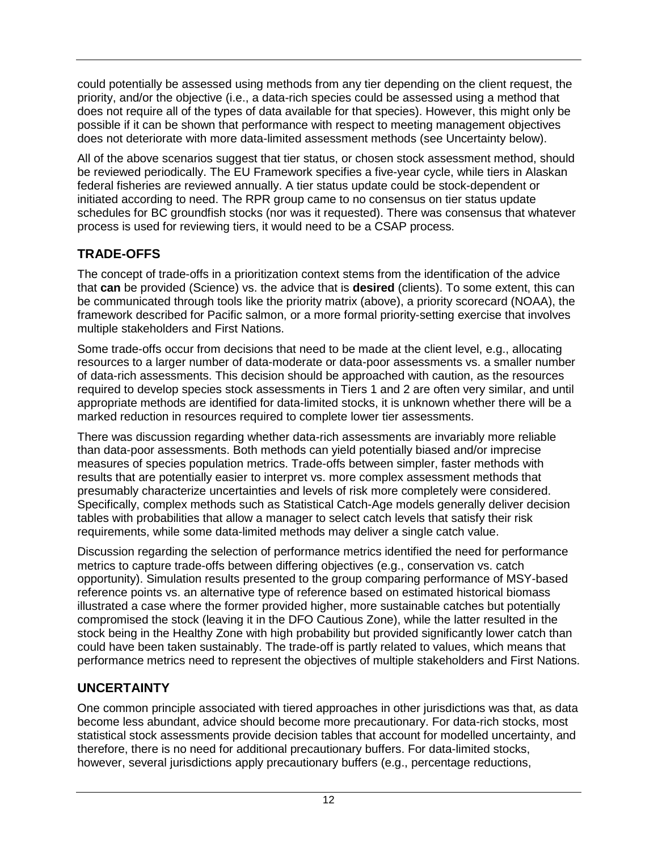could potentially be assessed using methods from any tier depending on the client request, the priority, and/or the objective (i.e., a data-rich species could be assessed using a method that does not require all of the types of data available for that species). However, this might only be possible if it can be shown that performance with respect to meeting management objectives does not deteriorate with more data-limited assessment methods (see Uncertainty below).

All of the above scenarios suggest that tier status, or chosen stock assessment method, should be reviewed periodically. The EU Framework specifies a five-year cycle, while tiers in Alaskan federal fisheries are reviewed annually. A tier status update could be stock-dependent or initiated according to need. The RPR group came to no consensus on tier status update schedules for BC groundfish stocks (nor was it requested). There was consensus that whatever process is used for reviewing tiers, it would need to be a CSAP process.

## <span id="page-19-0"></span>**TRADE-OFFS**

The concept of trade-offs in a prioritization context stems from the identification of the advice that **can** be provided (Science) vs. the advice that is **desired** (clients). To some extent, this can be communicated through tools like the priority matrix (above), a priority scorecard (NOAA), the framework described for Pacific salmon, or a more formal priority-setting exercise that involves multiple stakeholders and First Nations.

Some trade-offs occur from decisions that need to be made at the client level, e.g., allocating resources to a larger number of data-moderate or data-poor assessments vs. a smaller number of data-rich assessments. This decision should be approached with caution, as the resources required to develop species stock assessments in Tiers 1 and 2 are often very similar, and until appropriate methods are identified for data-limited stocks, it is unknown whether there will be a marked reduction in resources required to complete lower tier assessments.

There was discussion regarding whether data-rich assessments are invariably more reliable than data-poor assessments. Both methods can yield potentially biased and/or imprecise measures of species population metrics. Trade-offs between simpler, faster methods with results that are potentially easier to interpret vs. more complex assessment methods that presumably characterize uncertainties and levels of risk more completely were considered. Specifically, complex methods such as Statistical Catch-Age models generally deliver decision tables with probabilities that allow a manager to select catch levels that satisfy their risk requirements, while some data-limited methods may deliver a single catch value.

Discussion regarding the selection of performance metrics identified the need for performance metrics to capture trade-offs between differing objectives (e.g., conservation vs. catch opportunity). Simulation results presented to the group comparing performance of MSY-based reference points vs. an alternative type of reference based on estimated historical biomass illustrated a case where the former provided higher, more sustainable catches but potentially compromised the stock (leaving it in the DFO Cautious Zone), while the latter resulted in the stock being in the Healthy Zone with high probability but provided significantly lower catch than could have been taken sustainably. The trade-off is partly related to values, which means that performance metrics need to represent the objectives of multiple stakeholders and First Nations.

# <span id="page-19-1"></span>**UNCERTAINTY**

One common principle associated with tiered approaches in other jurisdictions was that, as data become less abundant, advice should become more precautionary. For data-rich stocks, most statistical stock assessments provide decision tables that account for modelled uncertainty, and therefore, there is no need for additional precautionary buffers. For data-limited stocks, however, several jurisdictions apply precautionary buffers (e.g., percentage reductions,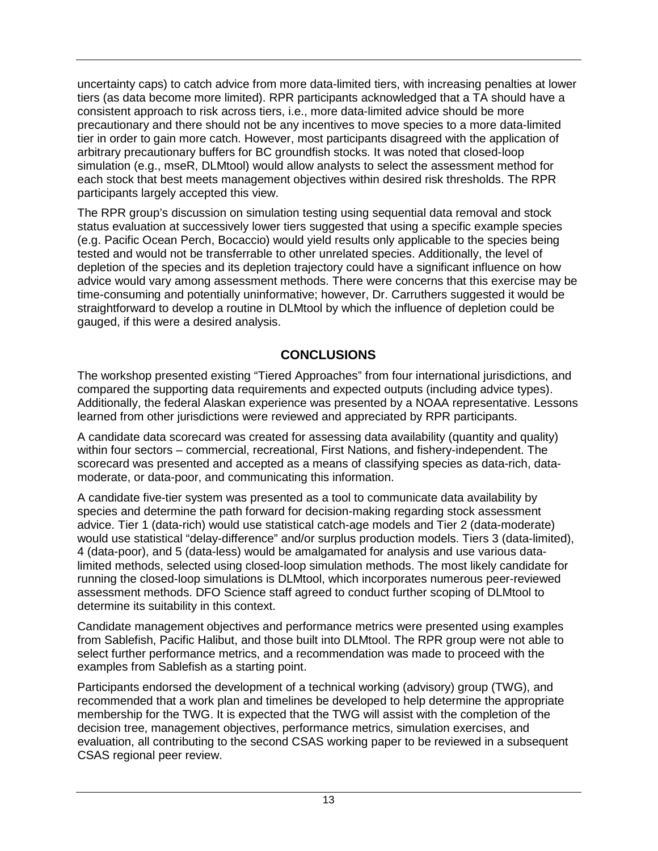uncertainty caps) to catch advice from more data-limited tiers, with increasing penalties at lower tiers (as data become more limited). RPR participants acknowledged that a TA should have a consistent approach to risk across tiers, i.e., more data-limited advice should be more precautionary and there should not be any incentives to move species to a more data-limited tier in order to gain more catch. However, most participants disagreed with the application of arbitrary precautionary buffers for BC groundfish stocks. It was noted that closed-loop simulation (e.g., mseR, DLMtool) would allow analysts to select the assessment method for each stock that best meets management objectives within desired risk thresholds. The RPR participants largely accepted this view.

The RPR group's discussion on simulation testing using sequential data removal and stock status evaluation at successively lower tiers suggested that using a specific example species (e.g. Pacific Ocean Perch, Bocaccio) would yield results only applicable to the species being tested and would not be transferrable to other unrelated species. Additionally, the level of depletion of the species and its depletion trajectory could have a significant influence on how advice would vary among assessment methods. There were concerns that this exercise may be time-consuming and potentially uninformative; however, Dr. Carruthers suggested it would be straightforward to develop a routine in DLMtool by which the influence of depletion could be gauged, if this were a desired analysis.

## **CONCLUSIONS**

<span id="page-20-0"></span>The workshop presented existing "Tiered Approaches" from four international jurisdictions, and compared the supporting data requirements and expected outputs (including advice types). Additionally, the federal Alaskan experience was presented by a NOAA representative. Lessons learned from other jurisdictions were reviewed and appreciated by RPR participants.

A candidate data scorecard was created for assessing data availability (quantity and quality) within four sectors – commercial, recreational, First Nations, and fishery-independent. The scorecard was presented and accepted as a means of classifying species as data-rich, datamoderate, or data-poor, and communicating this information.

A candidate five-tier system was presented as a tool to communicate data availability by species and determine the path forward for decision-making regarding stock assessment advice. Tier 1 (data-rich) would use statistical catch-age models and Tier 2 (data-moderate) would use statistical "delay-difference" and/or surplus production models. Tiers 3 (data-limited), 4 (data-poor), and 5 (data-less) would be amalgamated for analysis and use various datalimited methods, selected using closed-loop simulation methods. The most likely candidate for running the closed-loop simulations is DLMtool, which incorporates numerous peer-reviewed assessment methods. DFO Science staff agreed to conduct further scoping of DLMtool to determine its suitability in this context.

Candidate management objectives and performance metrics were presented using examples from Sablefish, Pacific Halibut, and those built into DLMtool. The RPR group were not able to select further performance metrics, and a recommendation was made to proceed with the examples from Sablefish as a starting point.

Participants endorsed the development of a technical working (advisory) group (TWG), and recommended that a work plan and timelines be developed to help determine the appropriate membership for the TWG. It is expected that the TWG will assist with the completion of the decision tree, management objectives, performance metrics, simulation exercises, and evaluation, all contributing to the second CSAS working paper to be reviewed in a subsequent CSAS regional peer review.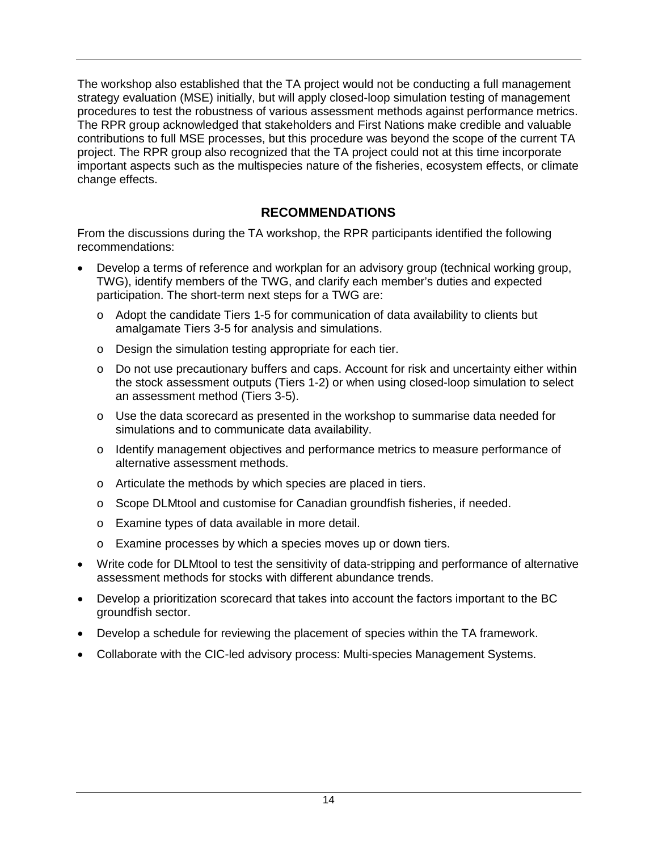The workshop also established that the TA project would not be conducting a full management strategy evaluation (MSE) initially, but will apply closed-loop simulation testing of management procedures to test the robustness of various assessment methods against performance metrics. The RPR group acknowledged that stakeholders and First Nations make credible and valuable contributions to full MSE processes, but this procedure was beyond the scope of the current TA project. The RPR group also recognized that the TA project could not at this time incorporate important aspects such as the multispecies nature of the fisheries, ecosystem effects, or climate change effects.

### **RECOMMENDATIONS**

<span id="page-21-0"></span>From the discussions during the TA workshop, the RPR participants identified the following recommendations:

- Develop a terms of reference and workplan for an advisory group (technical working group, TWG), identify members of the TWG, and clarify each member's duties and expected participation. The short-term next steps for a TWG are:
	- $\circ$  Adopt the candidate Tiers 1-5 for communication of data availability to clients but amalgamate Tiers 3-5 for analysis and simulations.
	- o Design the simulation testing appropriate for each tier.
	- o Do not use precautionary buffers and caps. Account for risk and uncertainty either within the stock assessment outputs (Tiers 1-2) or when using closed-loop simulation to select an assessment method (Tiers 3-5).
	- $\circ$  Use the data scorecard as presented in the workshop to summarise data needed for simulations and to communicate data availability.
	- o Identify management objectives and performance metrics to measure performance of alternative assessment methods.
	- o Articulate the methods by which species are placed in tiers.
	- o Scope DLMtool and customise for Canadian groundfish fisheries, if needed.
	- o Examine types of data available in more detail.
	- o Examine processes by which a species moves up or down tiers.
- Write code for DLMtool to test the sensitivity of data-stripping and performance of alternative assessment methods for stocks with different abundance trends.
- Develop a prioritization scorecard that takes into account the factors important to the BC groundfish sector.
- Develop a schedule for reviewing the placement of species within the TA framework.
- Collaborate with the CIC-led advisory process: Multi-species Management Systems.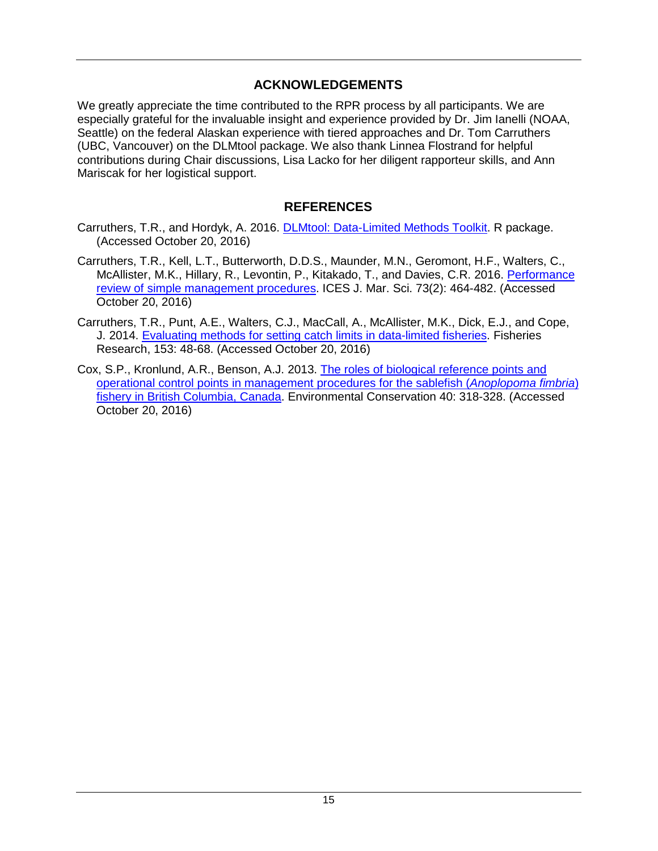### **ACKNOWLEDGEMENTS**

<span id="page-22-0"></span>We greatly appreciate the time contributed to the RPR process by all participants. We are especially grateful for the invaluable insight and experience provided by Dr. Jim Ianelli (NOAA, Seattle) on the federal Alaskan experience with tiered approaches and Dr. Tom Carruthers (UBC, Vancouver) on the DLMtool package. We also thank Linnea Flostrand for helpful contributions during Chair discussions, Lisa Lacko for her diligent rapporteur skills, and Ann Mariscak for her logistical support.

### **REFERENCES**

- <span id="page-22-1"></span>Carruthers, T.R., and Hordyk, A. 2016. [DLMtool: Data-Limited Methods Toolkit.](http://cran.r-project.org/web/packages/DLMtool/index.html) R package. (Accessed October 20, 2016)
- Carruthers, T.R., Kell, L.T., Butterworth, D.D.S., Maunder, M.N., Geromont, H.F., Walters, C., McAllister, M.K., Hillary, R., Levontin, P., Kitakado, T., and Davies, C.R. 2016. [Performance](http://dx.doi.org/10.1093/icesjms/fsv212)  [review of simple management procedures.](http://dx.doi.org/10.1093/icesjms/fsv212) ICES J. Mar. Sci. 73(2): 464-482. (Accessed October 20, 2016)
- Carruthers, T.R., Punt, A.E., Walters, C.J., MacCall, A., McAllister, M.K., Dick, E.J., and Cope, J. 2014. [Evaluating methods for setting catch limits in data-limited fisheries.](https://swfsc.noaa.gov/publications/FED/01286.pdf) Fisheries Research, 153: 48-68. (Accessed October 20, 2016)
- Cox, S.P., Kronlund, A.R., Benson, A.J. 2013. [The roles of biological reference points and](http://dx.doi.org/10.1017/S0376892913000271)  [operational control points in management procedures for the sablefish \(](http://dx.doi.org/10.1017/S0376892913000271)*Anoplopoma fimbria*) [fishery in British Columbia, Canada.](http://dx.doi.org/10.1017/S0376892913000271) Environmental Conservation 40: 318-328. (Accessed October 20, 2016)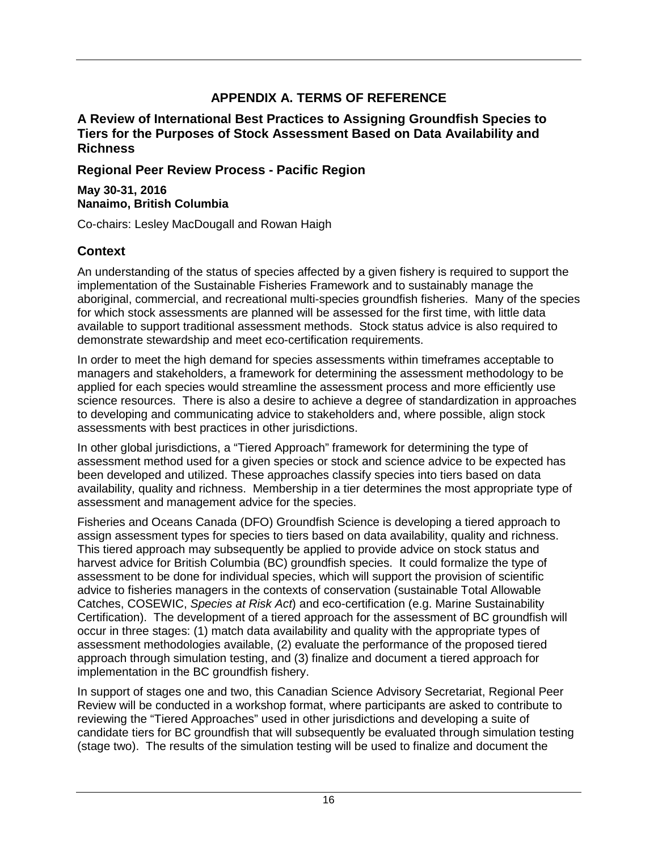# **APPENDIX A. TERMS OF REFERENCE**

### <span id="page-23-0"></span>**A Review of International Best Practices to Assigning Groundfish Species to Tiers for the Purposes of Stock Assessment Based on Data Availability and Richness**

**Regional Peer Review Process - Pacific Region**

**May 30-31, 2016 Nanaimo, British Columbia**

Co-chairs: Lesley MacDougall and Rowan Haigh

### **Context**

An understanding of the status of species affected by a given fishery is required to support the implementation of the Sustainable Fisheries Framework and to sustainably manage the aboriginal, commercial, and recreational multi-species groundfish fisheries. Many of the species for which stock assessments are planned will be assessed for the first time, with little data available to support traditional assessment methods. Stock status advice is also required to demonstrate stewardship and meet eco-certification requirements.

In order to meet the high demand for species assessments within timeframes acceptable to managers and stakeholders, a framework for determining the assessment methodology to be applied for each species would streamline the assessment process and more efficiently use science resources. There is also a desire to achieve a degree of standardization in approaches to developing and communicating advice to stakeholders and, where possible, align stock assessments with best practices in other jurisdictions.

In other global jurisdictions, a "Tiered Approach" framework for determining the type of assessment method used for a given species or stock and science advice to be expected has been developed and utilized. These approaches classify species into tiers based on data availability, quality and richness. Membership in a tier determines the most appropriate type of assessment and management advice for the species.

Fisheries and Oceans Canada (DFO) Groundfish Science is developing a tiered approach to assign assessment types for species to tiers based on data availability, quality and richness. This tiered approach may subsequently be applied to provide advice on stock status and harvest advice for British Columbia (BC) groundfish species. It could formalize the type of assessment to be done for individual species, which will support the provision of scientific advice to fisheries managers in the contexts of conservation (sustainable Total Allowable Catches, COSEWIC, *Species at Risk Act*) and eco-certification (e.g. Marine Sustainability Certification). The development of a tiered approach for the assessment of BC groundfish will occur in three stages: (1) match data availability and quality with the appropriate types of assessment methodologies available, (2) evaluate the performance of the proposed tiered approach through simulation testing, and (3) finalize and document a tiered approach for implementation in the BC groundfish fishery.

In support of stages one and two, this Canadian Science Advisory Secretariat, Regional Peer Review will be conducted in a workshop format, where participants are asked to contribute to reviewing the "Tiered Approaches" used in other jurisdictions and developing a suite of candidate tiers for BC groundfish that will subsequently be evaluated through simulation testing (stage two). The results of the simulation testing will be used to finalize and document the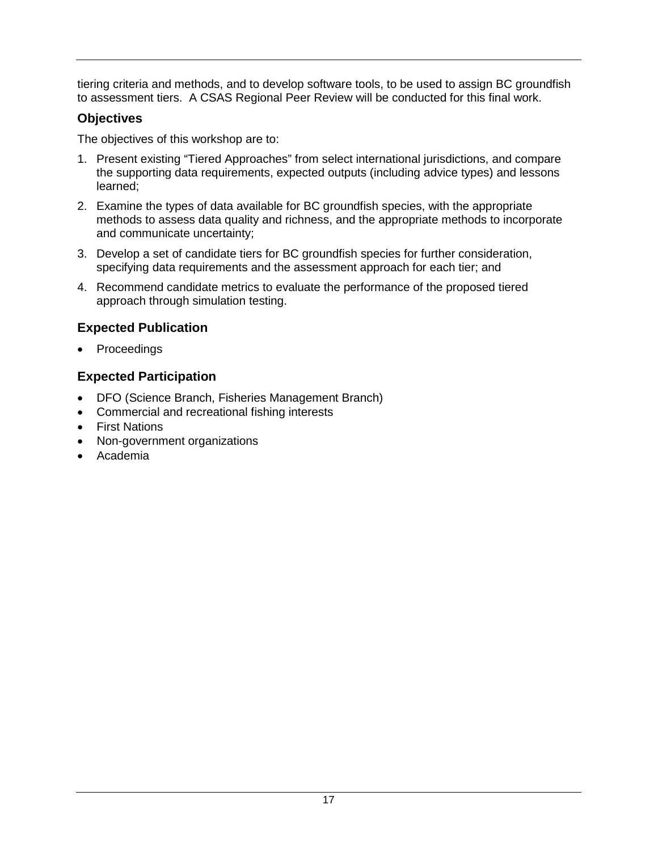tiering criteria and methods, and to develop software tools, to be used to assign BC groundfish to assessment tiers. A CSAS Regional Peer Review will be conducted for this final work.

### **Objectives**

The objectives of this workshop are to:

- 1. Present existing "Tiered Approaches" from select international jurisdictions, and compare the supporting data requirements, expected outputs (including advice types) and lessons learned;
- 2. Examine the types of data available for BC groundfish species, with the appropriate methods to assess data quality and richness, and the appropriate methods to incorporate and communicate uncertainty;
- 3. Develop a set of candidate tiers for BC groundfish species for further consideration, specifying data requirements and the assessment approach for each tier; and
- 4. Recommend candidate metrics to evaluate the performance of the proposed tiered approach through simulation testing.

## **Expected Publication**

• Proceedings

## **Expected Participation**

- DFO (Science Branch, Fisheries Management Branch)
- Commercial and recreational fishing interests
- First Nations
- Non-government organizations
- Academia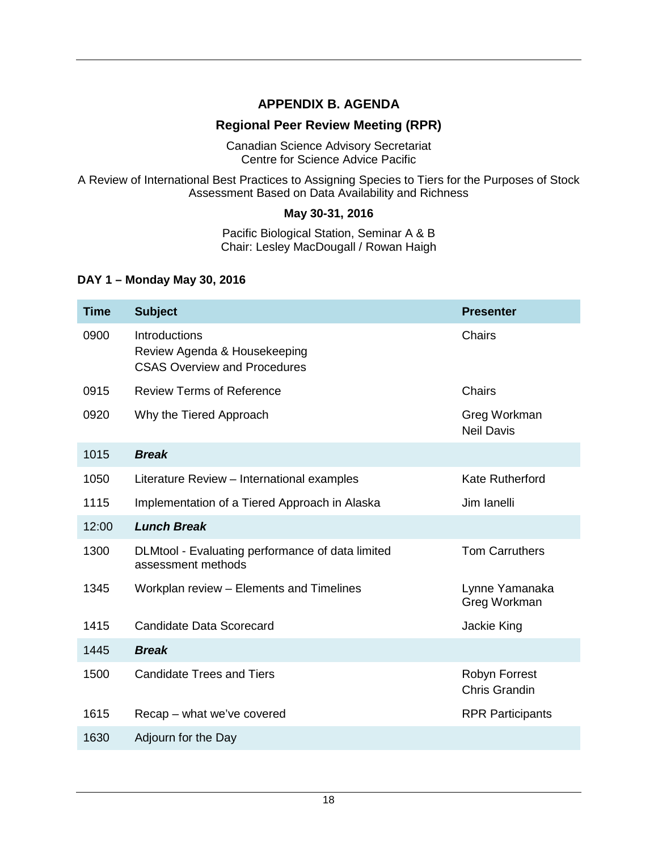### **APPENDIX B. AGENDA**

### **Regional Peer Review Meeting (RPR)**

Canadian Science Advisory Secretariat Centre for Science Advice Pacific

<span id="page-25-0"></span>A Review of International Best Practices to Assigning Species to Tiers for the Purposes of Stock Assessment Based on Data Availability and Richness

#### **May 30-31, 2016**

Pacific Biological Station, Seminar A & B Chair: Lesley MacDougall / Rowan Haigh

#### **DAY 1 – Monday May 30, 2016**

| <b>Time</b> | <b>Subject</b>                                                                       | <b>Presenter</b>                      |
|-------------|--------------------------------------------------------------------------------------|---------------------------------------|
| 0900        | Introductions<br>Review Agenda & Housekeeping<br><b>CSAS Overview and Procedures</b> | Chairs                                |
| 0915        | <b>Review Terms of Reference</b>                                                     | Chairs                                |
| 0920        | Why the Tiered Approach                                                              | Greg Workman<br><b>Neil Davis</b>     |
| 1015        | <b>Break</b>                                                                         |                                       |
| 1050        | Literature Review - International examples                                           | <b>Kate Rutherford</b>                |
| 1115        | Implementation of a Tiered Approach in Alaska                                        | Jim Ianelli                           |
| 12:00       | <b>Lunch Break</b>                                                                   |                                       |
| 1300        | DLMtool - Evaluating performance of data limited<br>assessment methods               | <b>Tom Carruthers</b>                 |
| 1345        | Workplan review - Elements and Timelines                                             | Lynne Yamanaka<br>Greg Workman        |
| 1415        | Candidate Data Scorecard                                                             | Jackie King                           |
| 1445        | <b>Break</b>                                                                         |                                       |
| 1500        | <b>Candidate Trees and Tiers</b>                                                     | Robyn Forrest<br><b>Chris Grandin</b> |
| 1615        | Recap – what we've covered                                                           | <b>RPR Participants</b>               |
| 1630        | Adjourn for the Day                                                                  |                                       |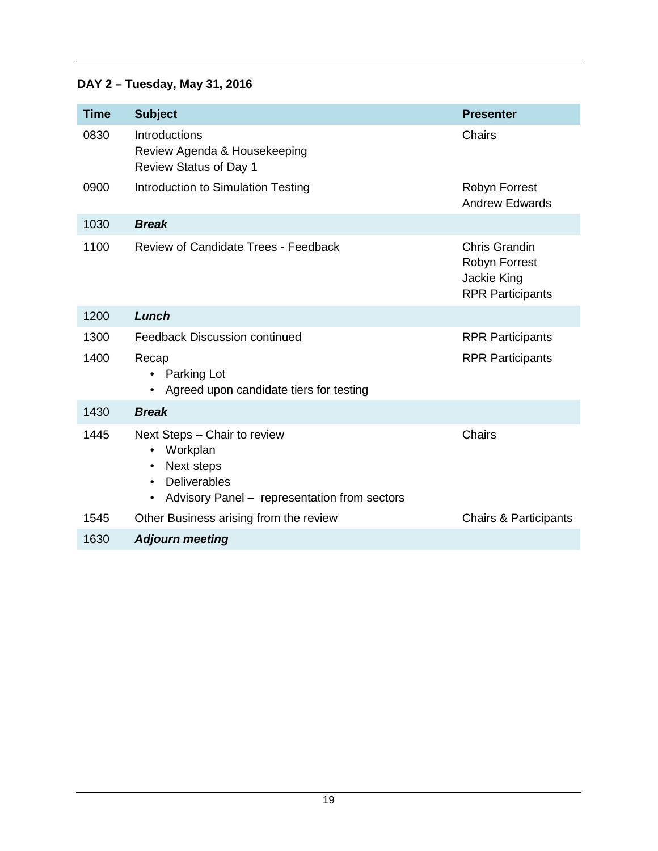# **DAY 2 – Tuesday, May 31, 2016**

<span id="page-26-0"></span>

| <b>Time</b> | <b>Subject</b>                                                                                                                                                                    | <b>Presenter</b>                                                                |
|-------------|-----------------------------------------------------------------------------------------------------------------------------------------------------------------------------------|---------------------------------------------------------------------------------|
| 0830        | <b>Introductions</b><br>Review Agenda & Housekeeping<br><b>Review Status of Day 1</b>                                                                                             | Chairs                                                                          |
| 0900        | Introduction to Simulation Testing                                                                                                                                                | Robyn Forrest<br><b>Andrew Edwards</b>                                          |
| 1030        | <b>Break</b>                                                                                                                                                                      |                                                                                 |
| 1100        | Review of Candidate Trees - Feedback                                                                                                                                              | <b>Chris Grandin</b><br>Robyn Forrest<br>Jackie King<br><b>RPR Participants</b> |
| 1200        | Lunch                                                                                                                                                                             |                                                                                 |
| 1300        | <b>Feedback Discussion continued</b>                                                                                                                                              | <b>RPR Participants</b>                                                         |
| 1400        | Recap<br>Parking Lot<br>Agreed upon candidate tiers for testing<br>$\bullet$                                                                                                      | <b>RPR Participants</b>                                                         |
| 1430        | <b>Break</b>                                                                                                                                                                      |                                                                                 |
| 1445        | Next Steps - Chair to review<br>Workplan<br>$\bullet$<br>Next steps<br>$\bullet$<br><b>Deliverables</b><br>$\bullet$<br>Advisory Panel - representation from sectors<br>$\bullet$ | <b>Chairs</b>                                                                   |
| 1545        | Other Business arising from the review                                                                                                                                            | <b>Chairs &amp; Participants</b>                                                |
| 1630        | <b>Adjourn meeting</b>                                                                                                                                                            |                                                                                 |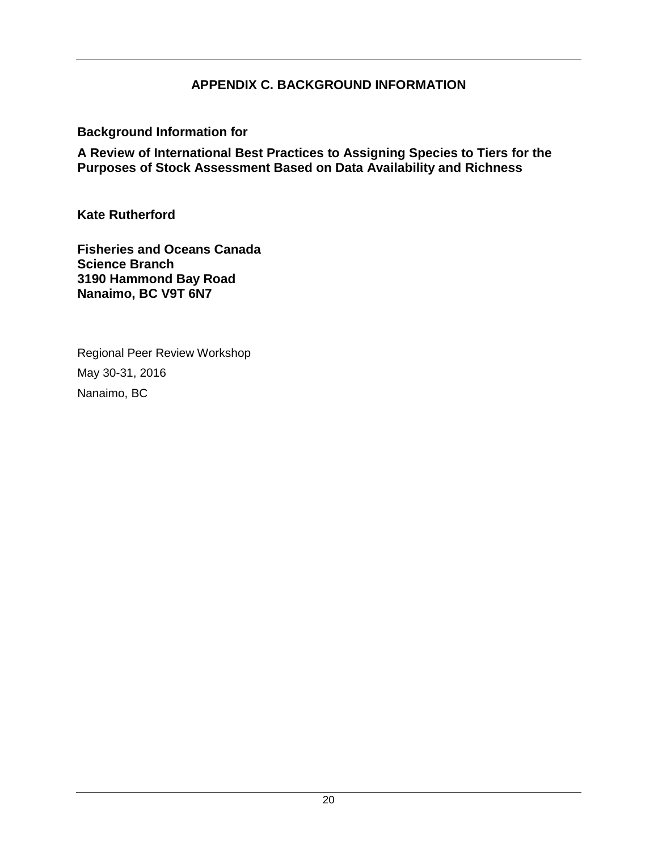### **APPENDIX C. BACKGROUND INFORMATION**

**Background Information for**

**A Review of International Best Practices to Assigning Species to Tiers for the Purposes of Stock Assessment Based on Data Availability and Richness**

**Kate Rutherford**

**Fisheries and Oceans Canada Science Branch 3190 Hammond Bay Road Nanaimo, BC V9T 6N7**

Regional Peer Review Workshop May 30-31, 2016 Nanaimo, BC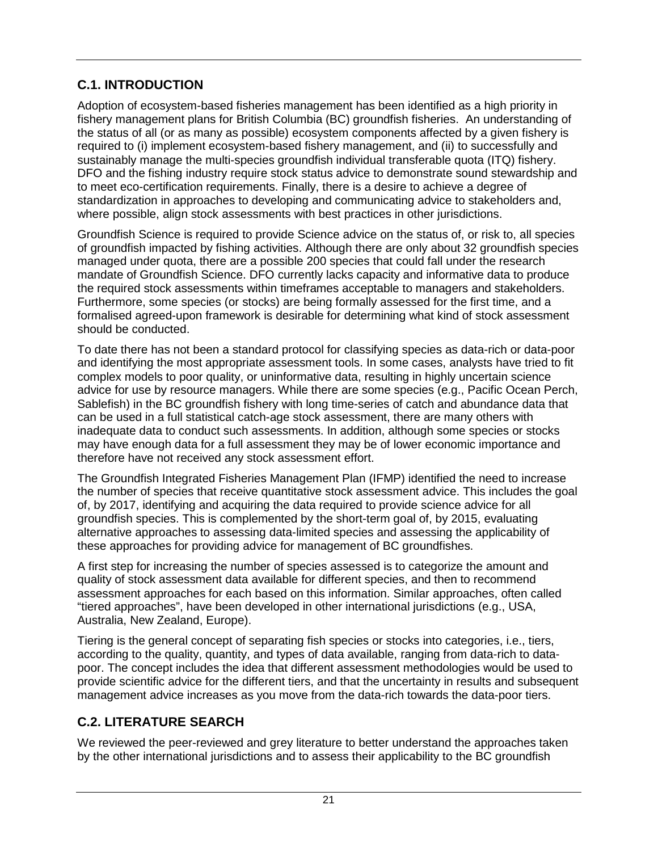# <span id="page-28-0"></span>**C.1. INTRODUCTION**

Adoption of ecosystem-based fisheries management has been identified as a high priority in fishery management plans for British Columbia (BC) groundfish fisheries. An understanding of the status of all (or as many as possible) ecosystem components affected by a given fishery is required to (i) implement ecosystem-based fishery management, and (ii) to successfully and sustainably manage the multi-species groundfish individual transferable quota (ITQ) fishery. DFO and the fishing industry require stock status advice to demonstrate sound stewardship and to meet eco-certification requirements. Finally, there is a desire to achieve a degree of standardization in approaches to developing and communicating advice to stakeholders and, where possible, align stock assessments with best practices in other jurisdictions.

Groundfish Science is required to provide Science advice on the status of, or risk to, all species of groundfish impacted by fishing activities. Although there are only about 32 groundfish species managed under quota, there are a possible 200 species that could fall under the research mandate of Groundfish Science. DFO currently lacks capacity and informative data to produce the required stock assessments within timeframes acceptable to managers and stakeholders. Furthermore, some species (or stocks) are being formally assessed for the first time, and a formalised agreed-upon framework is desirable for determining what kind of stock assessment should be conducted.

To date there has not been a standard protocol for classifying species as data-rich or data-poor and identifying the most appropriate assessment tools. In some cases, analysts have tried to fit complex models to poor quality, or uninformative data, resulting in highly uncertain science advice for use by resource managers. While there are some species (e.g., Pacific Ocean Perch, Sablefish) in the BC groundfish fishery with long time-series of catch and abundance data that can be used in a full statistical catch-age stock assessment, there are many others with inadequate data to conduct such assessments. In addition, although some species or stocks may have enough data for a full assessment they may be of lower economic importance and therefore have not received any stock assessment effort.

The Groundfish Integrated Fisheries Management Plan (IFMP) identified the need to increase the number of species that receive quantitative stock assessment advice. This includes the goal of, by 2017, identifying and acquiring the data required to provide science advice for all groundfish species. This is complemented by the short-term goal of, by 2015, evaluating alternative approaches to assessing data-limited species and assessing the applicability of these approaches for providing advice for management of BC groundfishes.

A first step for increasing the number of species assessed is to categorize the amount and quality of stock assessment data available for different species, and then to recommend assessment approaches for each based on this information. Similar approaches, often called "tiered approaches", have been developed in other international jurisdictions (e.g., USA, Australia, New Zealand, Europe).

Tiering is the general concept of separating fish species or stocks into categories, i.e., tiers, according to the quality, quantity, and types of data available, ranging from data-rich to datapoor. The concept includes the idea that different assessment methodologies would be used to provide scientific advice for the different tiers, and that the uncertainty in results and subsequent management advice increases as you move from the data-rich towards the data-poor tiers.

# <span id="page-28-1"></span>**C.2. LITERATURE SEARCH**

We reviewed the peer-reviewed and grey literature to better understand the approaches taken by the other international jurisdictions and to assess their applicability to the BC groundfish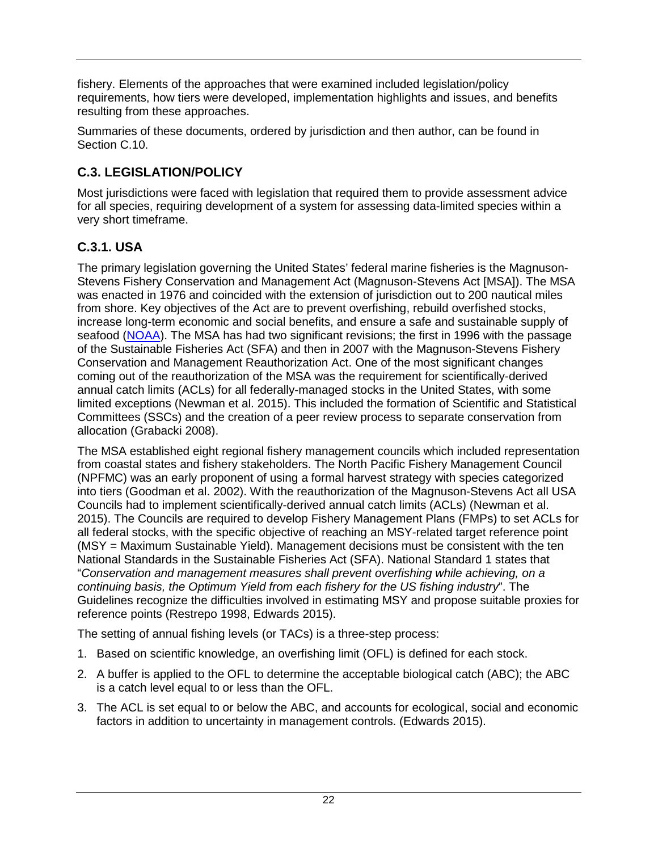fishery. Elements of the approaches that were examined included legislation/policy requirements, how tiers were developed, implementation highlights and issues, and benefits resulting from these approaches.

Summaries of these documents, ordered by jurisdiction and then author, can be found in Section [C.10.](#page-52-0)

# <span id="page-29-0"></span>**C.3. LEGISLATION/POLICY**

Most jurisdictions were faced with legislation that required them to provide assessment advice for all species, requiring development of a system for assessing data-limited species within a very short timeframe.

# <span id="page-29-1"></span>**C.3.1. USA**

The primary legislation governing the United States' federal marine fisheries is the Magnuson-Stevens Fishery Conservation and Management Act (Magnuson-Stevens Act [MSA]). The MSA was enacted in 1976 and coincided with the extension of jurisdiction out to 200 nautical miles from shore. Key objectives of the Act are to prevent overfishing, rebuild overfished stocks, increase long-term economic and social benefits, and ensure a safe and sustainable supply of seafood [\(NOAA\)](http://www.fisheries.noaa.gov/sfa/laws_policies/msa/index.html). The MSA has had two significant revisions; the first in 1996 with the passage of the Sustainable Fisheries Act (SFA) and then in 2007 with the Magnuson-Stevens Fishery Conservation and Management Reauthorization Act. One of the most significant changes coming out of the reauthorization of the MSA was the requirement for scientifically-derived annual catch limits (ACLs) for all federally-managed stocks in the United States, with some limited exceptions (Newman et al. 2015). This included the formation of Scientific and Statistical Committees (SSCs) and the creation of a peer review process to separate conservation from allocation (Grabacki 2008).

The MSA established eight regional fishery management councils which included representation from coastal states and fishery stakeholders. The North Pacific Fishery Management Council (NPFMC) was an early proponent of using a formal harvest strategy with species categorized into tiers (Goodman et al. 2002). With the reauthorization of the Magnuson-Stevens Act all USA Councils had to implement scientifically-derived annual catch limits (ACLs) (Newman et al. 2015). The Councils are required to develop Fishery Management Plans (FMPs) to set ACLs for all federal stocks, with the specific objective of reaching an MSY-related target reference point (MSY = Maximum Sustainable Yield). Management decisions must be consistent with the ten National Standards in the Sustainable Fisheries Act (SFA). National Standard 1 states that "*Conservation and management measures shall prevent overfishing while achieving, on a continuing basis, the Optimum Yield from each fishery for the US fishing industry*". The Guidelines recognize the difficulties involved in estimating MSY and propose suitable proxies for reference points (Restrepo 1998, Edwards 2015).

The setting of annual fishing levels (or TACs) is a three-step process:

- 1. Based on scientific knowledge, an overfishing limit (OFL) is defined for each stock.
- 2. A buffer is applied to the OFL to determine the acceptable biological catch (ABC); the ABC is a catch level equal to or less than the OFL.
- 3. The ACL is set equal to or below the ABC, and accounts for ecological, social and economic factors in addition to uncertainty in management controls. (Edwards 2015).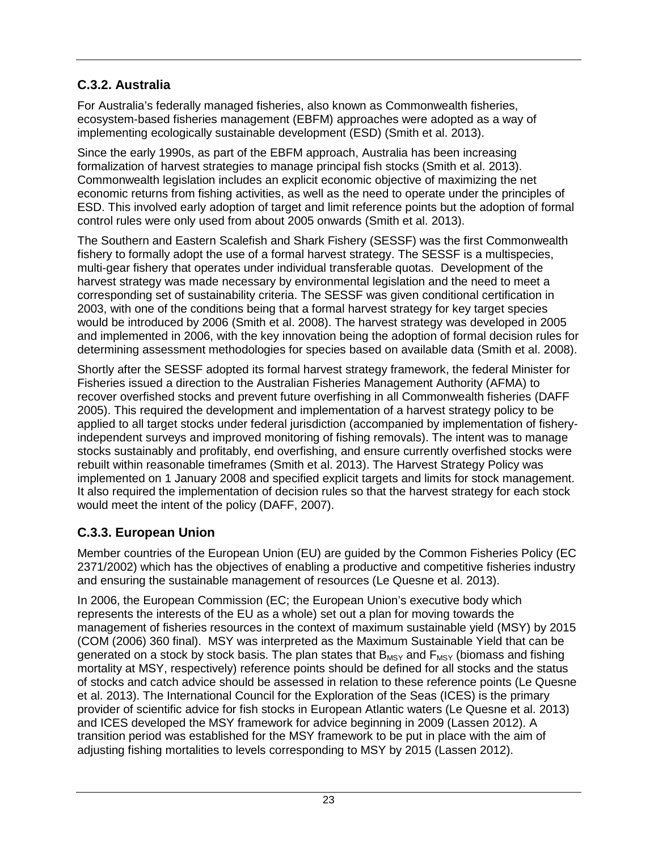# <span id="page-30-0"></span>**C.3.2. Australia**

For Australia's federally managed fisheries, also known as Commonwealth fisheries, ecosystem-based fisheries management (EBFM) approaches were adopted as a way of implementing ecologically sustainable development (ESD) (Smith et al. 2013).

Since the early 1990s, as part of the EBFM approach, Australia has been increasing formalization of harvest strategies to manage principal fish stocks (Smith et al. 2013). Commonwealth legislation includes an explicit economic objective of maximizing the net economic returns from fishing activities, as well as the need to operate under the principles of ESD. This involved early adoption of target and limit reference points but the adoption of formal control rules were only used from about 2005 onwards (Smith et al. 2013).

The Southern and Eastern Scalefish and Shark Fishery (SESSF) was the first Commonwealth fishery to formally adopt the use of a formal harvest strategy. The SESSF is a multispecies, multi-gear fishery that operates under individual transferable quotas. Development of the harvest strategy was made necessary by environmental legislation and the need to meet a corresponding set of sustainability criteria. The SESSF was given conditional certification in 2003, with one of the conditions being that a formal harvest strategy for key target species would be introduced by 2006 (Smith et al. 2008). The harvest strategy was developed in 2005 and implemented in 2006, with the key innovation being the adoption of formal decision rules for determining assessment methodologies for species based on available data (Smith et al. 2008).

Shortly after the SESSF adopted its formal harvest strategy framework, the federal Minister for Fisheries issued a direction to the Australian Fisheries Management Authority (AFMA) to recover overfished stocks and prevent future overfishing in all Commonwealth fisheries (DAFF 2005). This required the development and implementation of a harvest strategy policy to be applied to all target stocks under federal jurisdiction (accompanied by implementation of fisheryindependent surveys and improved monitoring of fishing removals). The intent was to manage stocks sustainably and profitably, end overfishing, and ensure currently overfished stocks were rebuilt within reasonable timeframes (Smith et al. 2013). The Harvest Strategy Policy was implemented on 1 January 2008 and specified explicit targets and limits for stock management. It also required the implementation of decision rules so that the harvest strategy for each stock would meet the intent of the policy (DAFF, 2007).

# <span id="page-30-1"></span>**C.3.3. European Union**

Member countries of the European Union (EU) are guided by the Common Fisheries Policy (EC 2371/2002) which has the objectives of enabling a productive and competitive fisheries industry and ensuring the sustainable management of resources (Le Quesne et al. 2013).

In 2006, the European Commission (EC; the European Union's executive body which represents the interests of the EU as a whole) set out a plan for moving towards the management of fisheries resources in the context of maximum sustainable yield (MSY) by 2015 (COM (2006) 360 final). MSY was interpreted as the Maximum Sustainable Yield that can be generated on a stock by stock basis. The plan states that  $B_{MSY}$  and  $F_{MSY}$  (biomass and fishing mortality at MSY, respectively) reference points should be defined for all stocks and the status of stocks and catch advice should be assessed in relation to these reference points (Le Quesne et al. 2013). The International Council for the Exploration of the Seas (ICES) is the primary provider of scientific advice for fish stocks in European Atlantic waters (Le Quesne et al. 2013) and ICES developed the MSY framework for advice beginning in 2009 (Lassen 2012). A transition period was established for the MSY framework to be put in place with the aim of adjusting fishing mortalities to levels corresponding to MSY by 2015 (Lassen 2012).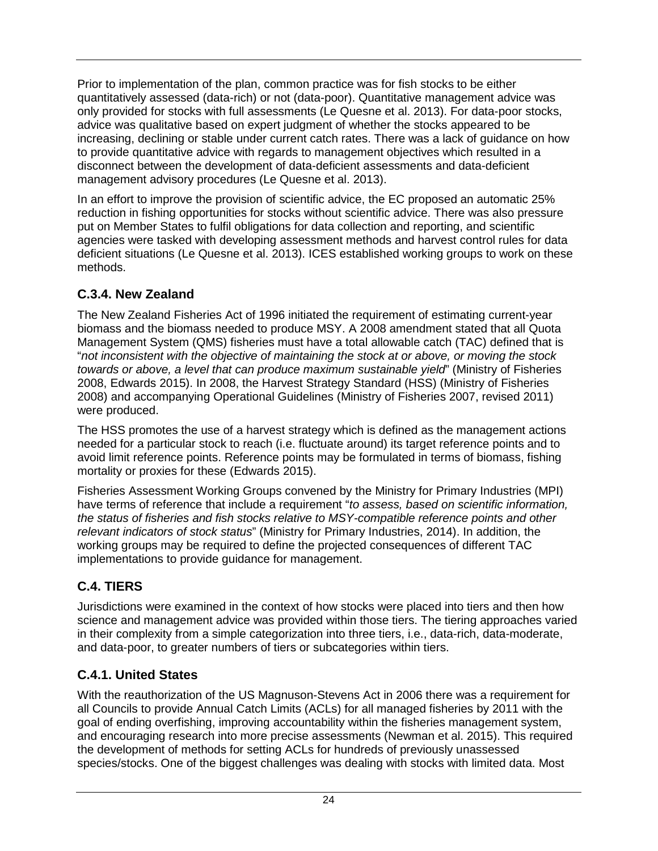Prior to implementation of the plan, common practice was for fish stocks to be either quantitatively assessed (data-rich) or not (data-poor). Quantitative management advice was only provided for stocks with full assessments (Le Quesne et al. 2013). For data-poor stocks, advice was qualitative based on expert judgment of whether the stocks appeared to be increasing, declining or stable under current catch rates. There was a lack of guidance on how to provide quantitative advice with regards to management objectives which resulted in a disconnect between the development of data-deficient assessments and data-deficient management advisory procedures (Le Quesne et al. 2013).

In an effort to improve the provision of scientific advice, the EC proposed an automatic 25% reduction in fishing opportunities for stocks without scientific advice. There was also pressure put on Member States to fulfil obligations for data collection and reporting, and scientific agencies were tasked with developing assessment methods and harvest control rules for data deficient situations (Le Quesne et al. 2013). ICES established working groups to work on these methods.

# <span id="page-31-0"></span>**C.3.4. New Zealand**

The New Zealand Fisheries Act of 1996 initiated the requirement of estimating current-year biomass and the biomass needed to produce MSY. A 2008 amendment stated that all Quota Management System (QMS) fisheries must have a total allowable catch (TAC) defined that is "*not inconsistent with the objective of maintaining the stock at or above, or moving the stock towards or above, a level that can produce maximum sustainable yield*" (Ministry of Fisheries 2008, Edwards 2015). In 2008, the Harvest Strategy Standard (HSS) (Ministry of Fisheries 2008) and accompanying Operational Guidelines (Ministry of Fisheries 2007, revised 2011) were produced.

The HSS promotes the use of a harvest strategy which is defined as the management actions needed for a particular stock to reach (i.e. fluctuate around) its target reference points and to avoid limit reference points. Reference points may be formulated in terms of biomass, fishing mortality or proxies for these (Edwards 2015).

Fisheries Assessment Working Groups convened by the Ministry for Primary Industries (MPI) have terms of reference that include a requirement "*to assess, based on scientific information, the status of fisheries and fish stocks relative to MSY-compatible reference points and other relevant indicators of stock status*" (Ministry for Primary Industries, 2014). In addition, the working groups may be required to define the projected consequences of different TAC implementations to provide guidance for management.

# <span id="page-31-1"></span>**C.4. TIERS**

Jurisdictions were examined in the context of how stocks were placed into tiers and then how science and management advice was provided within those tiers. The tiering approaches varied in their complexity from a simple categorization into three tiers, i.e., data-rich, data-moderate, and data-poor, to greater numbers of tiers or subcategories within tiers.

# <span id="page-31-2"></span>**C.4.1. United States**

With the reauthorization of the US Magnuson-Stevens Act in 2006 there was a requirement for all Councils to provide Annual Catch Limits (ACLs) for all managed fisheries by 2011 with the goal of ending overfishing, improving accountability within the fisheries management system, and encouraging research into more precise assessments (Newman et al. 2015). This required the development of methods for setting ACLs for hundreds of previously unassessed species/stocks. One of the biggest challenges was dealing with stocks with limited data. Most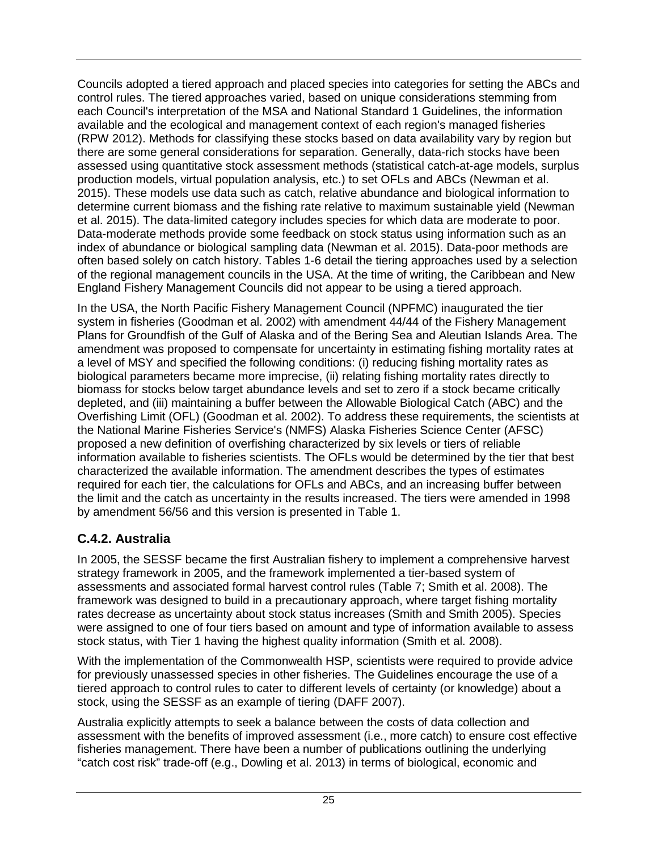Councils adopted a tiered approach and placed species into categories for setting the ABCs and control rules. The tiered approaches varied, based on unique considerations stemming from each Council's interpretation of the MSA and National Standard 1 Guidelines, the information available and the ecological and management context of each region's managed fisheries (RPW 2012). Methods for classifying these stocks based on data availability vary by region but there are some general considerations for separation. Generally, data-rich stocks have been assessed using quantitative stock assessment methods (statistical catch-at-age models, surplus production models, virtual population analysis, etc.) to set OFLs and ABCs (Newman et al. 2015). These models use data such as catch, relative abundance and biological information to determine current biomass and the fishing rate relative to maximum sustainable yield (Newman et al. 2015). The data-limited category includes species for which data are moderate to poor. Data-moderate methods provide some feedback on stock status using information such as an index of abundance or biological sampling data (Newman et al. 2015). Data-poor methods are often based solely on catch history. Tables 1-6 detail the tiering approaches used by a selection of the regional management councils in the USA. At the time of writing, the Caribbean and New England Fishery Management Councils did not appear to be using a tiered approach.

In the USA, the North Pacific Fishery Management Council (NPFMC) inaugurated the tier system in fisheries (Goodman et al. 2002) with amendment 44/44 of the Fishery Management Plans for Groundfish of the Gulf of Alaska and of the Bering Sea and Aleutian Islands Area. The amendment was proposed to compensate for uncertainty in estimating fishing mortality rates at a level of MSY and specified the following conditions: (i) reducing fishing mortality rates as biological parameters became more imprecise, (ii) relating fishing mortality rates directly to biomass for stocks below target abundance levels and set to zero if a stock became critically depleted, and (iii) maintaining a buffer between the Allowable Biological Catch (ABC) and the Overfishing Limit (OFL) (Goodman et al. 2002). To address these requirements, the scientists at the National Marine Fisheries Service's (NMFS) Alaska Fisheries Science Center (AFSC) proposed a new definition of overfishing characterized by six levels or tiers of reliable information available to fisheries scientists. The OFLs would be determined by the tier that best characterized the available information. The amendment describes the types of estimates required for each tier, the calculations for OFLs and ABCs, and an increasing buffer between the limit and the catch as uncertainty in the results increased. The tiers were amended in 1998 by amendment 56/56 and this version is presented in Table 1.

# <span id="page-32-0"></span>**C.4.2. Australia**

In 2005, the SESSF became the first Australian fishery to implement a comprehensive harvest strategy framework in 2005, and the framework implemented a tier-based system of assessments and associated formal harvest control rules (Table 7; Smith et al. 2008). The framework was designed to build in a precautionary approach, where target fishing mortality rates decrease as uncertainty about stock status increases (Smith and Smith 2005). Species were assigned to one of four tiers based on amount and type of information available to assess stock status, with Tier 1 having the highest quality information (Smith et al. 2008).

With the implementation of the Commonwealth HSP, scientists were required to provide advice for previously unassessed species in other fisheries. The Guidelines encourage the use of a tiered approach to control rules to cater to different levels of certainty (or knowledge) about a stock, using the SESSF as an example of tiering (DAFF 2007).

Australia explicitly attempts to seek a balance between the costs of data collection and assessment with the benefits of improved assessment (i.e., more catch) to ensure cost effective fisheries management. There have been a number of publications outlining the underlying "catch cost risk" trade-off (e.g., Dowling et al. 2013) in terms of biological, economic and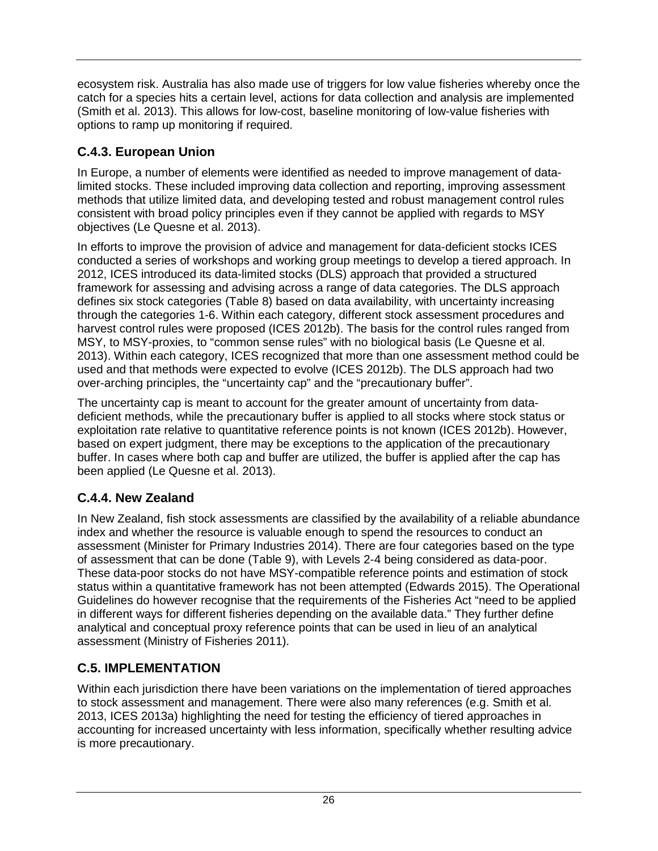ecosystem risk. Australia has also made use of triggers for low value fisheries whereby once the catch for a species hits a certain level, actions for data collection and analysis are implemented (Smith et al. 2013). This allows for low-cost, baseline monitoring of low-value fisheries with options to ramp up monitoring if required.

# <span id="page-33-0"></span>**C.4.3. European Union**

In Europe, a number of elements were identified as needed to improve management of datalimited stocks. These included improving data collection and reporting, improving assessment methods that utilize limited data, and developing tested and robust management control rules consistent with broad policy principles even if they cannot be applied with regards to MSY objectives (Le Quesne et al. 2013).

In efforts to improve the provision of advice and management for data-deficient stocks ICES conducted a series of workshops and working group meetings to develop a tiered approach. In 2012, ICES introduced its data-limited stocks (DLS) approach that provided a structured framework for assessing and advising across a range of data categories. The DLS approach defines six stock categories (Table 8) based on data availability, with uncertainty increasing through the categories 1-6. Within each category, different stock assessment procedures and harvest control rules were proposed (ICES 2012b). The basis for the control rules ranged from MSY, to MSY-proxies, to "common sense rules" with no biological basis (Le Quesne et al. 2013). Within each category, ICES recognized that more than one assessment method could be used and that methods were expected to evolve (ICES 2012b). The DLS approach had two over-arching principles, the "uncertainty cap" and the "precautionary buffer".

The uncertainty cap is meant to account for the greater amount of uncertainty from datadeficient methods, while the precautionary buffer is applied to all stocks where stock status or exploitation rate relative to quantitative reference points is not known (ICES 2012b). However, based on expert judgment, there may be exceptions to the application of the precautionary buffer. In cases where both cap and buffer are utilized, the buffer is applied after the cap has been applied (Le Quesne et al. 2013).

# <span id="page-33-1"></span>**C.4.4. New Zealand**

In New Zealand, fish stock assessments are classified by the availability of a reliable abundance index and whether the resource is valuable enough to spend the resources to conduct an assessment (Minister for Primary Industries 2014). There are four categories based on the type of assessment that can be done (Table 9), with Levels 2-4 being considered as data-poor. These data-poor stocks do not have MSY-compatible reference points and estimation of stock status within a quantitative framework has not been attempted (Edwards 2015). The Operational Guidelines do however recognise that the requirements of the Fisheries Act "need to be applied in different ways for different fisheries depending on the available data." They further define analytical and conceptual proxy reference points that can be used in lieu of an analytical assessment (Ministry of Fisheries 2011).

## <span id="page-33-2"></span>**C.5. IMPLEMENTATION**

Within each jurisdiction there have been variations on the implementation of tiered approaches to stock assessment and management. There were also many references (e.g. Smith et al. 2013, ICES 2013a) highlighting the need for testing the efficiency of tiered approaches in accounting for increased uncertainty with less information, specifically whether resulting advice is more precautionary.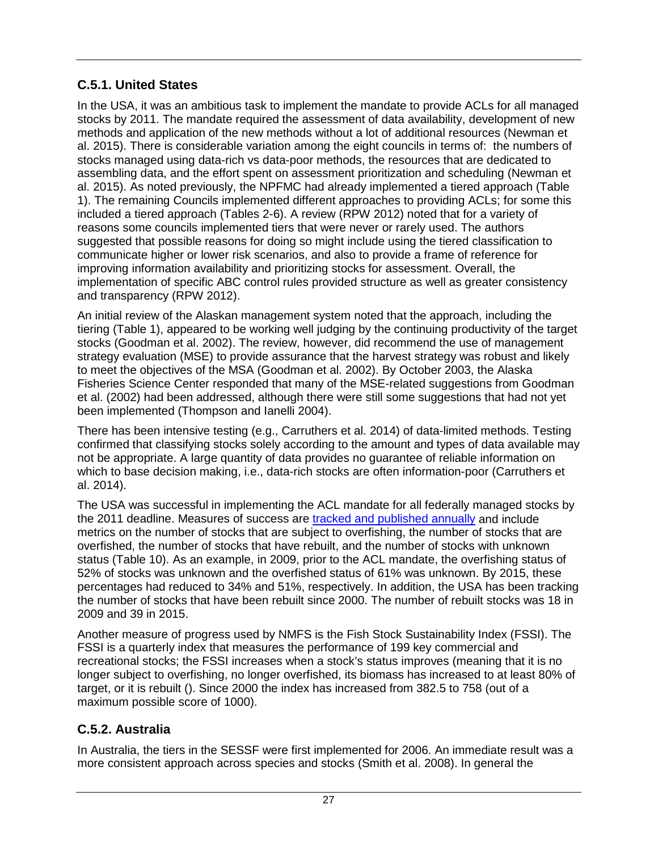# <span id="page-34-0"></span>**C.5.1. United States**

In the USA, it was an ambitious task to implement the mandate to provide ACLs for all managed stocks by 2011. The mandate required the assessment of data availability, development of new methods and application of the new methods without a lot of additional resources (Newman et al. 2015). There is considerable variation among the eight councils in terms of: the numbers of stocks managed using data-rich vs data-poor methods, the resources that are dedicated to assembling data, and the effort spent on assessment prioritization and scheduling (Newman et al. 2015). As noted previously, the NPFMC had already implemented a tiered approach (Table 1). The remaining Councils implemented different approaches to providing ACLs; for some this included a tiered approach (Tables 2-6). A review (RPW 2012) noted that for a variety of reasons some councils implemented tiers that were never or rarely used. The authors suggested that possible reasons for doing so might include using the tiered classification to communicate higher or lower risk scenarios, and also to provide a frame of reference for improving information availability and prioritizing stocks for assessment. Overall, the implementation of specific ABC control rules provided structure as well as greater consistency and transparency (RPW 2012).

An initial review of the Alaskan management system noted that the approach, including the tiering (Table 1), appeared to be working well judging by the continuing productivity of the target stocks (Goodman et al. 2002). The review, however, did recommend the use of management strategy evaluation (MSE) to provide assurance that the harvest strategy was robust and likely to meet the objectives of the MSA (Goodman et al. 2002). By October 2003, the Alaska Fisheries Science Center responded that many of the MSE-related suggestions from Goodman et al. (2002) had been addressed, although there were still some suggestions that had not yet been implemented (Thompson and Ianelli 2004).

There has been intensive testing (e.g., Carruthers et al. 2014) of data-limited methods. Testing confirmed that classifying stocks solely according to the amount and types of data available may not be appropriate. A large quantity of data provides no guarantee of reliable information on which to base decision making, i.e., data-rich stocks are often information-poor (Carruthers et al. 2014).

The USA was successful in implementing the ACL mandate for all federally managed stocks by the 2011 deadline. Measures of success are [tracked and published annually](http://www.nmfs.noaa.gov/sfa/fisheries_eco/status_of_fisheries/) and include metrics on the number of stocks that are subject to overfishing, the number of stocks that are overfished, the number of stocks that have rebuilt, and the number of stocks with unknown status (Table 10). As an example, in 2009, prior to the ACL mandate, the overfishing status of 52% of stocks was unknown and the overfished status of 61% was unknown. By 2015, these percentages had reduced to 34% and 51%, respectively. In addition, the USA has been tracking the number of stocks that have been rebuilt since 2000. The number of rebuilt stocks was 18 in 2009 and 39 in 2015.

Another measure of progress used by NMFS is the Fish Stock Sustainability Index (FSSI). The FSSI is a quarterly index that measures the performance of 199 key commercial and recreational stocks; the FSSI increases when a stock's status improves (meaning that it is no longer subject to overfishing, no longer overfished, its biomass has increased to at least 80% of target, or it is rebuilt (). Since 2000 the index has increased from 382.5 to 758 (out of a maximum possible score of 1000).

# <span id="page-34-1"></span>**C.5.2. Australia**

In Australia, the tiers in the SESSF were first implemented for 2006. An immediate result was a more consistent approach across species and stocks (Smith et al. 2008). In general the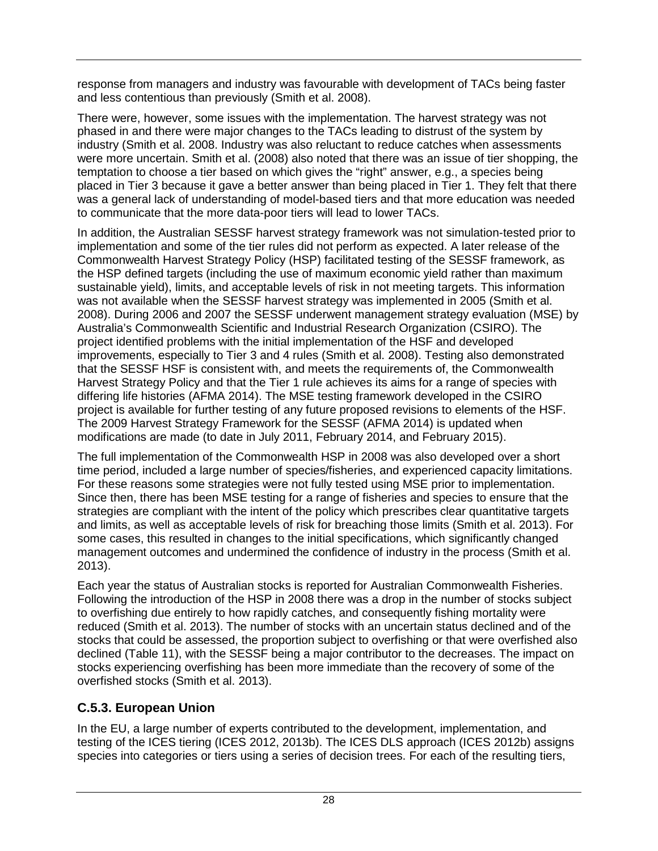response from managers and industry was favourable with development of TACs being faster and less contentious than previously (Smith et al. 2008).

There were, however, some issues with the implementation. The harvest strategy was not phased in and there were major changes to the TACs leading to distrust of the system by industry (Smith et al. 2008. Industry was also reluctant to reduce catches when assessments were more uncertain. Smith et al. (2008) also noted that there was an issue of tier shopping, the temptation to choose a tier based on which gives the "right" answer, e.g., a species being placed in Tier 3 because it gave a better answer than being placed in Tier 1. They felt that there was a general lack of understanding of model-based tiers and that more education was needed to communicate that the more data-poor tiers will lead to lower TACs.

In addition, the Australian SESSF harvest strategy framework was not simulation-tested prior to implementation and some of the tier rules did not perform as expected. A later release of the Commonwealth Harvest Strategy Policy (HSP) facilitated testing of the SESSF framework, as the HSP defined targets (including the use of maximum economic yield rather than maximum sustainable yield), limits, and acceptable levels of risk in not meeting targets. This information was not available when the SESSF harvest strategy was implemented in 2005 (Smith et al. 2008). During 2006 and 2007 the SESSF underwent management strategy evaluation (MSE) by Australia's Commonwealth Scientific and Industrial Research Organization (CSIRO). The project identified problems with the initial implementation of the HSF and developed improvements, especially to Tier 3 and 4 rules (Smith et al. 2008). Testing also demonstrated that the SESSF HSF is consistent with, and meets the requirements of, the Commonwealth Harvest Strategy Policy and that the Tier 1 rule achieves its aims for a range of species with differing life histories (AFMA 2014). The MSE testing framework developed in the CSIRO project is available for further testing of any future proposed revisions to elements of the HSF. The 2009 Harvest Strategy Framework for the SESSF (AFMA 2014) is updated when modifications are made (to date in July 2011, February 2014, and February 2015).

The full implementation of the Commonwealth HSP in 2008 was also developed over a short time period, included a large number of species/fisheries, and experienced capacity limitations. For these reasons some strategies were not fully tested using MSE prior to implementation. Since then, there has been MSE testing for a range of fisheries and species to ensure that the strategies are compliant with the intent of the policy which prescribes clear quantitative targets and limits, as well as acceptable levels of risk for breaching those limits (Smith et al. 2013). For some cases, this resulted in changes to the initial specifications, which significantly changed management outcomes and undermined the confidence of industry in the process (Smith et al. 2013).

Each year the status of Australian stocks is reported for Australian Commonwealth Fisheries. Following the introduction of the HSP in 2008 there was a drop in the number of stocks subject to overfishing due entirely to how rapidly catches, and consequently fishing mortality were reduced (Smith et al. 2013). The number of stocks with an uncertain status declined and of the stocks that could be assessed, the proportion subject to overfishing or that were overfished also declined (Table 11), with the SESSF being a major contributor to the decreases. The impact on stocks experiencing overfishing has been more immediate than the recovery of some of the overfished stocks (Smith et al. 2013).

# <span id="page-35-0"></span>**C.5.3. European Union**

In the EU, a large number of experts contributed to the development, implementation, and testing of the ICES tiering (ICES 2012, 2013b). The ICES DLS approach (ICES 2012b) assigns species into categories or tiers using a series of decision trees. For each of the resulting tiers,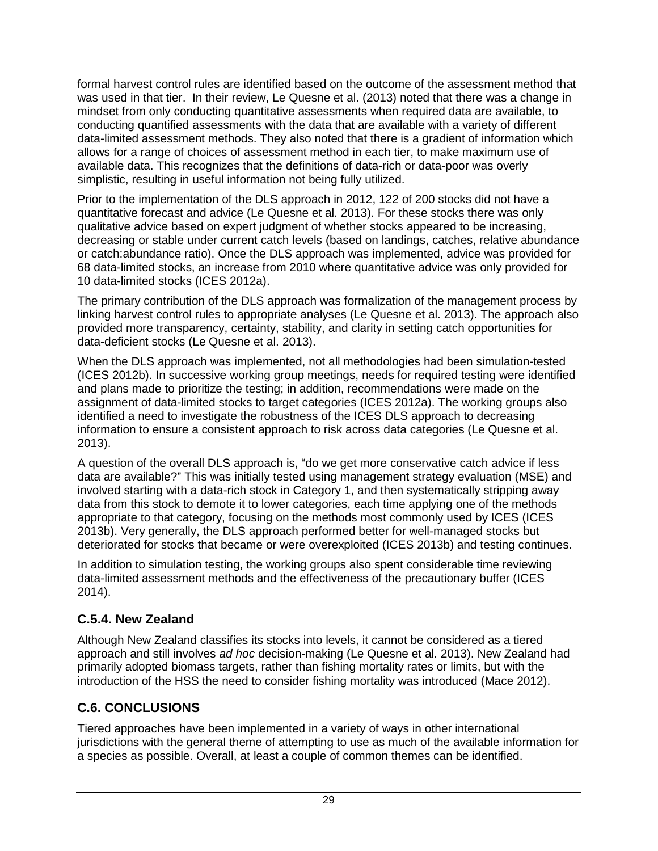formal harvest control rules are identified based on the outcome of the assessment method that was used in that tier. In their review, Le Quesne et al. (2013) noted that there was a change in mindset from only conducting quantitative assessments when required data are available, to conducting quantified assessments with the data that are available with a variety of different data-limited assessment methods. They also noted that there is a gradient of information which allows for a range of choices of assessment method in each tier, to make maximum use of available data. This recognizes that the definitions of data-rich or data-poor was overly simplistic, resulting in useful information not being fully utilized.

Prior to the implementation of the DLS approach in 2012, 122 of 200 stocks did not have a quantitative forecast and advice (Le Quesne et al. 2013). For these stocks there was only qualitative advice based on expert judgment of whether stocks appeared to be increasing, decreasing or stable under current catch levels (based on landings, catches, relative abundance or catch:abundance ratio). Once the DLS approach was implemented, advice was provided for 68 data-limited stocks, an increase from 2010 where quantitative advice was only provided for 10 data-limited stocks (ICES 2012a).

The primary contribution of the DLS approach was formalization of the management process by linking harvest control rules to appropriate analyses (Le Quesne et al. 2013). The approach also provided more transparency, certainty, stability, and clarity in setting catch opportunities for data-deficient stocks (Le Quesne et al. 2013).

When the DLS approach was implemented, not all methodologies had been simulation-tested (ICES 2012b). In successive working group meetings, needs for required testing were identified and plans made to prioritize the testing; in addition, recommendations were made on the assignment of data-limited stocks to target categories (ICES 2012a). The working groups also identified a need to investigate the robustness of the ICES DLS approach to decreasing information to ensure a consistent approach to risk across data categories (Le Quesne et al. 2013).

A question of the overall DLS approach is, "do we get more conservative catch advice if less data are available?" This was initially tested using management strategy evaluation (MSE) and involved starting with a data-rich stock in Category 1, and then systematically stripping away data from this stock to demote it to lower categories, each time applying one of the methods appropriate to that category, focusing on the methods most commonly used by ICES (ICES 2013b). Very generally, the DLS approach performed better for well-managed stocks but deteriorated for stocks that became or were overexploited (ICES 2013b) and testing continues.

In addition to simulation testing, the working groups also spent considerable time reviewing data-limited assessment methods and the effectiveness of the precautionary buffer (ICES 2014).

# **C.5.4. New Zealand**

Although New Zealand classifies its stocks into levels, it cannot be considered as a tiered approach and still involves *ad hoc* decision-making (Le Quesne et al. 2013). New Zealand had primarily adopted biomass targets, rather than fishing mortality rates or limits, but with the introduction of the HSS the need to consider fishing mortality was introduced (Mace 2012).

# **C.6. CONCLUSIONS**

Tiered approaches have been implemented in a variety of ways in other international jurisdictions with the general theme of attempting to use as much of the available information for a species as possible. Overall, at least a couple of common themes can be identified.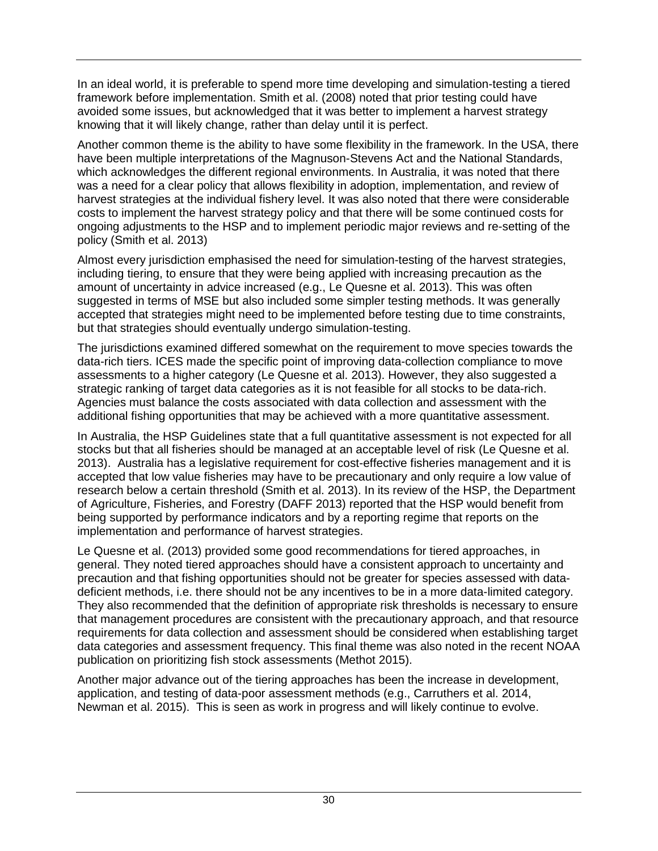In an ideal world, it is preferable to spend more time developing and simulation-testing a tiered framework before implementation. Smith et al. (2008) noted that prior testing could have avoided some issues, but acknowledged that it was better to implement a harvest strategy knowing that it will likely change, rather than delay until it is perfect.

Another common theme is the ability to have some flexibility in the framework. In the USA, there have been multiple interpretations of the Magnuson-Stevens Act and the National Standards, which acknowledges the different regional environments. In Australia, it was noted that there was a need for a clear policy that allows flexibility in adoption, implementation, and review of harvest strategies at the individual fishery level. It was also noted that there were considerable costs to implement the harvest strategy policy and that there will be some continued costs for ongoing adjustments to the HSP and to implement periodic major reviews and re-setting of the policy (Smith et al. 2013)

Almost every jurisdiction emphasised the need for simulation-testing of the harvest strategies, including tiering, to ensure that they were being applied with increasing precaution as the amount of uncertainty in advice increased (e.g., Le Quesne et al. 2013). This was often suggested in terms of MSE but also included some simpler testing methods. It was generally accepted that strategies might need to be implemented before testing due to time constraints, but that strategies should eventually undergo simulation-testing.

The jurisdictions examined differed somewhat on the requirement to move species towards the data-rich tiers. ICES made the specific point of improving data-collection compliance to move assessments to a higher category (Le Quesne et al. 2013). However, they also suggested a strategic ranking of target data categories as it is not feasible for all stocks to be data-rich. Agencies must balance the costs associated with data collection and assessment with the additional fishing opportunities that may be achieved with a more quantitative assessment.

In Australia, the HSP Guidelines state that a full quantitative assessment is not expected for all stocks but that all fisheries should be managed at an acceptable level of risk (Le Quesne et al. 2013). Australia has a legislative requirement for cost-effective fisheries management and it is accepted that low value fisheries may have to be precautionary and only require a low value of research below a certain threshold (Smith et al. 2013). In its review of the HSP, the Department of Agriculture, Fisheries, and Forestry (DAFF 2013) reported that the HSP would benefit from being supported by performance indicators and by a reporting regime that reports on the implementation and performance of harvest strategies.

Le Quesne et al. (2013) provided some good recommendations for tiered approaches, in general. They noted tiered approaches should have a consistent approach to uncertainty and precaution and that fishing opportunities should not be greater for species assessed with datadeficient methods, i.e. there should not be any incentives to be in a more data-limited category. They also recommended that the definition of appropriate risk thresholds is necessary to ensure that management procedures are consistent with the precautionary approach, and that resource requirements for data collection and assessment should be considered when establishing target data categories and assessment frequency. This final theme was also noted in the recent NOAA publication on prioritizing fish stock assessments (Methot 2015).

Another major advance out of the tiering approaches has been the increase in development, application, and testing of data-poor assessment methods (e.g., Carruthers et al. 2014, Newman et al. 2015). This is seen as work in progress and will likely continue to evolve.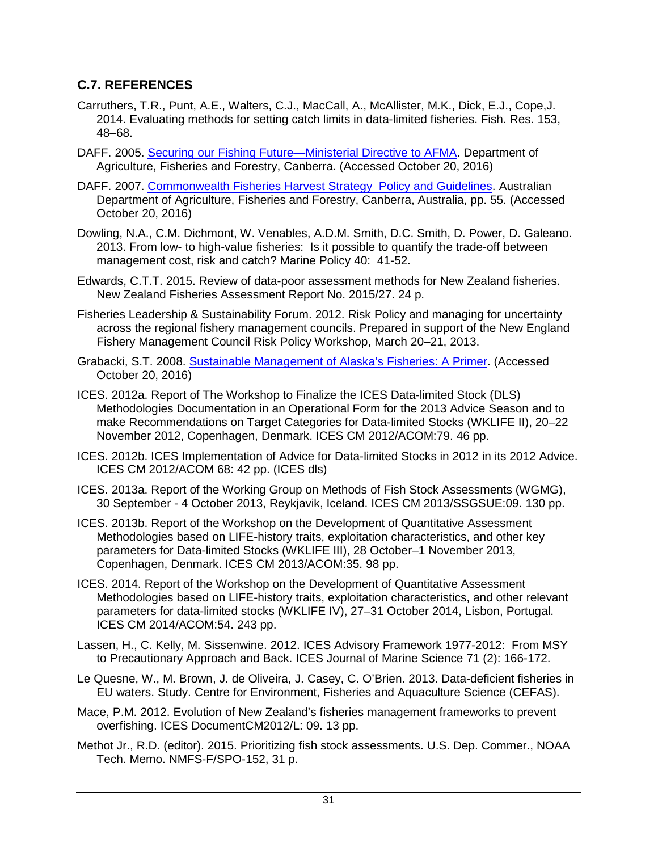#### **C.7. REFERENCES**

- Carruthers, T.R., Punt, A.E., Walters, C.J., MacCall, A., McAllister, M.K., Dick, E.J., Cope,J. 2014. Evaluating methods for setting catch limits in data-limited fisheries. Fish. Res. 153, 48–68.
- DAFF. 2005. [Securing our Fishing Future—Ministerial Directive to AFMA.](http://www.agriculture.gov.au/SiteCollectionDocuments/fisheries/domestic/harvest-strategy-policy/ministerial-direction-2005.pdf) Department of Agriculture, Fisheries and Forestry, Canberra. (Accessed October 20, 2016)
- DAFF. 2007. [Commonwealth Fisheries Harvest Strategy Policy and Guidelines.](http://www.agriculture.gov.au/fisheries/domestic/harvest_strategy_policy) Australian Department of Agriculture, Fisheries and Forestry, Canberra, Australia, pp. 55. (Accessed October 20, 2016)
- Dowling, N.A., C.M. Dichmont, W. Venables, A.D.M. Smith, D.C. Smith, D. Power, D. Galeano. 2013. From low- to high-value fisheries: Is it possible to quantify the trade-off between management cost, risk and catch? Marine Policy 40: 41-52.
- Edwards, C.T.T. 2015. Review of data-poor assessment methods for New Zealand fisheries. New Zealand Fisheries Assessment Report No. 2015/27. 24 p.
- Fisheries Leadership & Sustainability Forum. 2012. Risk Policy and managing for uncertainty across the regional fishery management councils. Prepared in support of the New England Fishery Management Council Risk Policy Workshop, March 20–21, 2013.
- Grabacki, S.T. 2008. [Sustainable Management of Alaska's Fisheries: A Primer.](http://www.alaskaseafood.org/wp-content/uploads/2015/10/SustainabilityWhitePaper.pdf) (Accessed October 20, 2016)
- ICES. 2012a. Report of The Workshop to Finalize the ICES Data-limited Stock (DLS) Methodologies Documentation in an Operational Form for the 2013 Advice Season and to make Recommendations on Target Categories for Data-limited Stocks (WKLIFE II), 20–22 November 2012, Copenhagen, Denmark. ICES CM 2012/ACOM:79. 46 pp.
- ICES. 2012b. ICES Implementation of Advice for Data-limited Stocks in 2012 in its 2012 Advice. ICES CM 2012/ACOM 68: 42 pp. (ICES dls)
- ICES. 2013a. Report of the Working Group on Methods of Fish Stock Assessments (WGMG), 30 September - 4 October 2013, Reykjavik, Iceland. ICES CM 2013/SSGSUE:09. 130 pp.
- ICES. 2013b. Report of the Workshop on the Development of Quantitative Assessment Methodologies based on LIFE-history traits, exploitation characteristics, and other key parameters for Data-limited Stocks (WKLIFE III), 28 October–1 November 2013, Copenhagen, Denmark. ICES CM 2013/ACOM:35. 98 pp.
- ICES. 2014. Report of the Workshop on the Development of Quantitative Assessment Methodologies based on LIFE-history traits, exploitation characteristics, and other relevant parameters for data-limited stocks (WKLIFE IV), 27–31 October 2014, Lisbon, Portugal. ICES CM 2014/ACOM:54. 243 pp.
- Lassen, H., C. Kelly, M. Sissenwine. 2012. ICES Advisory Framework 1977-2012: From MSY to Precautionary Approach and Back. ICES Journal of Marine Science 71 (2): 166-172.
- Le Quesne, W., M. Brown, J. de Oliveira, J. Casey, C. O'Brien. 2013. Data-deficient fisheries in EU waters. Study. Centre for Environment, Fisheries and Aquaculture Science (CEFAS).
- Mace, P.M. 2012. Evolution of New Zealand's fisheries management frameworks to prevent overfishing. ICES DocumentCM2012/L: 09. 13 pp.
- Methot Jr., R.D. (editor). 2015. Prioritizing fish stock assessments. U.S. Dep. Commer., NOAA Tech. Memo. NMFS-F/SPO-152, 31 p.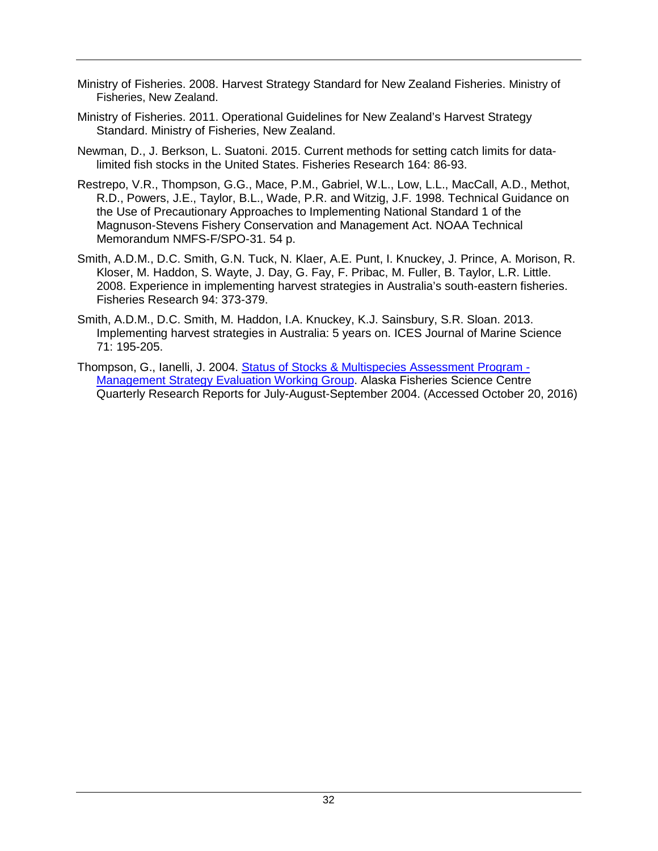- Ministry of Fisheries. 2008. Harvest Strategy Standard for New Zealand Fisheries. Ministry of Fisheries, New Zealand.
- Ministry of Fisheries. 2011. Operational Guidelines for New Zealand's Harvest Strategy Standard. Ministry of Fisheries, New Zealand.
- Newman, D., J. Berkson, L. Suatoni. 2015. Current methods for setting catch limits for datalimited fish stocks in the United States. Fisheries Research 164: 86-93.
- Restrepo, V.R., Thompson, G.G., Mace, P.M., Gabriel, W.L., Low, L.L., MacCall, A.D., Methot, R.D., Powers, J.E., Taylor, B.L., Wade, P.R. and Witzig, J.F. 1998. Technical Guidance on the Use of Precautionary Approaches to Implementing National Standard 1 of the Magnuson-Stevens Fishery Conservation and Management Act. NOAA Technical Memorandum NMFS-F/SPO-31. 54 p.
- Smith, A.D.M., D.C. Smith, G.N. Tuck, N. Klaer, A.E. Punt, I. Knuckey, J. Prince, A. Morison, R. Kloser, M. Haddon, S. Wayte, J. Day, G. Fay, F. Pribac, M. Fuller, B. Taylor, L.R. Little. 2008. Experience in implementing harvest strategies in Australia's south-eastern fisheries. Fisheries Research 94: 373-379.
- Smith, A.D.M., D.C. Smith, M. Haddon, I.A. Knuckey, K.J. Sainsbury, S.R. Sloan. 2013. Implementing harvest strategies in Australia: 5 years on. ICES Journal of Marine Science 71: 195-205.
- Thompson, G., Ianelli, J. 2004. [Status of Stocks & Multispecies Assessment Program -](http://www.afsc.noaa.gov/Quarterly/jas2004/divrptsREFM1.htm) [Management Strategy Evaluation Working Group.](http://www.afsc.noaa.gov/Quarterly/jas2004/divrptsREFM1.htm) Alaska Fisheries Science Centre Quarterly Research Reports for July-August-September 2004. (Accessed October 20, 2016)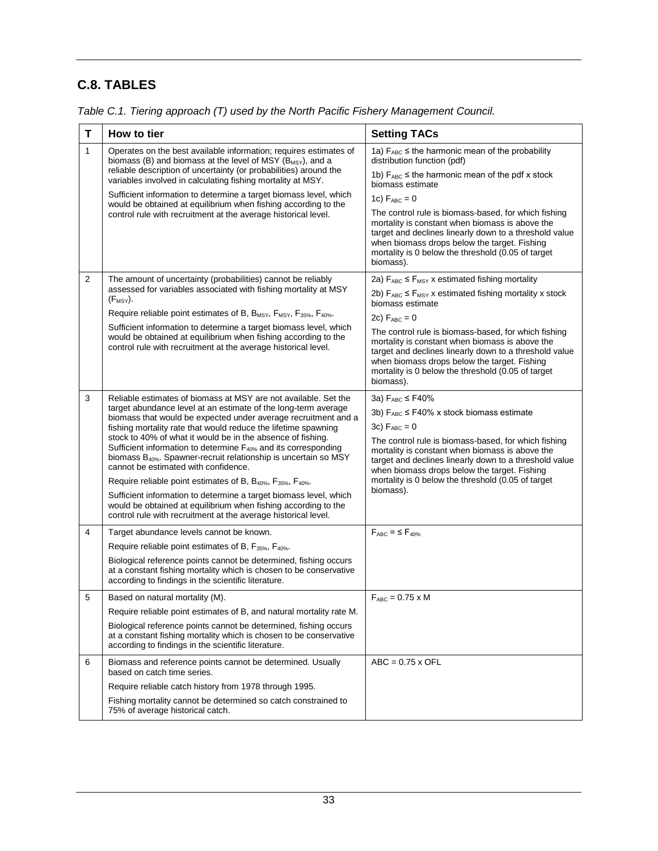# **C.8. TABLES**

| T            | How to tier                                                                                                                                                                                                                                                      | <b>Setting TACs</b>                                                                                                                                                                                                                                                                  |  |  |  |  |
|--------------|------------------------------------------------------------------------------------------------------------------------------------------------------------------------------------------------------------------------------------------------------------------|--------------------------------------------------------------------------------------------------------------------------------------------------------------------------------------------------------------------------------------------------------------------------------------|--|--|--|--|
| $\mathbf{1}$ | Operates on the best available information; requires estimates of<br>biomass (B) and biomass at the level of MSY $(B_{MSY})$ , and a                                                                                                                             | 1a) $F_{ABC} \leq$ the harmonic mean of the probability<br>distribution function (pdf)                                                                                                                                                                                               |  |  |  |  |
|              | reliable description of uncertainty (or probabilities) around the<br>variables involved in calculating fishing mortality at MSY.                                                                                                                                 | 1b) $F_{ABC} \leq$ the harmonic mean of the pdf x stock<br>biomass estimate                                                                                                                                                                                                          |  |  |  |  |
|              | Sufficient information to determine a target biomass level, which<br>would be obtained at equilibrium when fishing according to the                                                                                                                              | 1c) $F_{ABC} = 0$                                                                                                                                                                                                                                                                    |  |  |  |  |
|              | control rule with recruitment at the average historical level.                                                                                                                                                                                                   | The control rule is biomass-based, for which fishing<br>mortality is constant when biomass is above the<br>target and declines linearly down to a threshold value<br>when biomass drops below the target. Fishing<br>mortality is 0 below the threshold (0.05 of target<br>biomass). |  |  |  |  |
| 2            | The amount of uncertainty (probabilities) cannot be reliably                                                                                                                                                                                                     | 2a) $F_{ABC} \leq F_{MSY}$ x estimated fishing mortality                                                                                                                                                                                                                             |  |  |  |  |
|              | assessed for variables associated with fishing mortality at MSY<br>$(F_{MSY}).$                                                                                                                                                                                  | 2b) $F_{ABC} \le F_{MSY}$ x estimated fishing mortality x stock<br>biomass estimate                                                                                                                                                                                                  |  |  |  |  |
|              | Require reliable point estimates of B, $B_{MSY}$ , $F_{MSY}$ , $F_{35\%}$ , $F_{40\%}$ .                                                                                                                                                                         | 2c) $F_{ABC} = 0$                                                                                                                                                                                                                                                                    |  |  |  |  |
|              | Sufficient information to determine a target biomass level, which<br>would be obtained at equilibrium when fishing according to the<br>control rule with recruitment at the average historical level.                                                            | The control rule is biomass-based, for which fishing<br>mortality is constant when biomass is above the<br>target and declines linearly down to a threshold value<br>when biomass drops below the target. Fishing<br>mortality is 0 below the threshold (0.05 of target<br>biomass). |  |  |  |  |
| 3            | Reliable estimates of biomass at MSY are not available. Set the                                                                                                                                                                                                  | 3а) FABC ≤ F40%                                                                                                                                                                                                                                                                      |  |  |  |  |
|              | target abundance level at an estimate of the long-term average<br>biomass that would be expected under average recruitment and a                                                                                                                                 | 3b) $F_{ABC} \leq F40\%$ x stock biomass estimate                                                                                                                                                                                                                                    |  |  |  |  |
|              | fishing mortality rate that would reduce the lifetime spawning                                                                                                                                                                                                   | 3c) $F_{ABC} = 0$                                                                                                                                                                                                                                                                    |  |  |  |  |
|              | stock to 40% of what it would be in the absence of fishing.<br>Sufficient information to determine F <sub>40%</sub> and its corresponding<br>biomass B <sub>40%</sub> . Spawner-recruit relationship is uncertain so MSY<br>cannot be estimated with confidence. | The control rule is biomass-based, for which fishing<br>mortality is constant when biomass is above the<br>target and declines linearly down to a threshold value<br>when biomass drops below the target. Fishing<br>mortality is 0 below the threshold (0.05 of target              |  |  |  |  |
|              | Require reliable point estimates of B, B <sub>40%</sub> , F <sub>35%</sub> , F <sub>40%</sub> .                                                                                                                                                                  |                                                                                                                                                                                                                                                                                      |  |  |  |  |
|              | Sufficient information to determine a target biomass level, which<br>would be obtained at equilibrium when fishing according to the<br>control rule with recruitment at the average historical level.                                                            | biomass).                                                                                                                                                                                                                                                                            |  |  |  |  |
| 4            | Target abundance levels cannot be known.                                                                                                                                                                                                                         | $F_{ABC}$ = $\leq$ $F_{40\%}$                                                                                                                                                                                                                                                        |  |  |  |  |
|              | Require reliable point estimates of B, F <sub>35%</sub> , F <sub>40%</sub> .                                                                                                                                                                                     |                                                                                                                                                                                                                                                                                      |  |  |  |  |
|              | Biological reference points cannot be determined, fishing occurs<br>at a constant fishing mortality which is chosen to be conservative<br>according to findings in the scientific literature.                                                                    |                                                                                                                                                                                                                                                                                      |  |  |  |  |
| 5            | Based on natural mortality (M).                                                                                                                                                                                                                                  | $F_{ABC} = 0.75 \times M$                                                                                                                                                                                                                                                            |  |  |  |  |
|              | Require reliable point estimates of B, and natural mortality rate M.                                                                                                                                                                                             |                                                                                                                                                                                                                                                                                      |  |  |  |  |
|              | Biological reference points cannot be determined, fishing occurs<br>at a constant fishing mortality which is chosen to be conservative<br>according to findings in the scientific literature.                                                                    |                                                                                                                                                                                                                                                                                      |  |  |  |  |
| 6            | Biomass and reference points cannot be determined. Usually<br>based on catch time series.                                                                                                                                                                        | $ABC = 0.75 \times OFL$                                                                                                                                                                                                                                                              |  |  |  |  |
|              | Require reliable catch history from 1978 through 1995.                                                                                                                                                                                                           |                                                                                                                                                                                                                                                                                      |  |  |  |  |
|              | Fishing mortality cannot be determined so catch constrained to<br>75% of average historical catch.                                                                                                                                                               |                                                                                                                                                                                                                                                                                      |  |  |  |  |

*Table C.1. Tiering approach (T) used by the North Pacific Fishery Management Council.*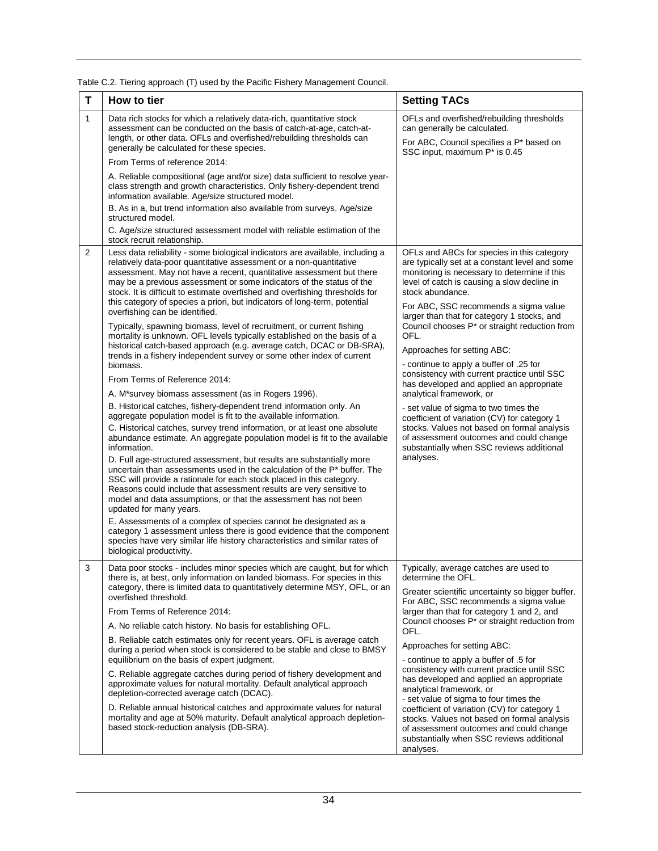| T              | How to tier                                                                                                                                                                                                                                                                                                                                                                                                                                                      | <b>Setting TACs</b>                                                                                                                                                                                                                                                                                                                                               |  |  |  |  |
|----------------|------------------------------------------------------------------------------------------------------------------------------------------------------------------------------------------------------------------------------------------------------------------------------------------------------------------------------------------------------------------------------------------------------------------------------------------------------------------|-------------------------------------------------------------------------------------------------------------------------------------------------------------------------------------------------------------------------------------------------------------------------------------------------------------------------------------------------------------------|--|--|--|--|
| 1              | Data rich stocks for which a relatively data-rich, quantitative stock<br>assessment can be conducted on the basis of catch-at-age, catch-at-<br>length, or other data. OFLs and overfished/rebuilding thresholds can<br>generally be calculated for these species.                                                                                                                                                                                               | OFLs and overfished/rebuilding thresholds<br>can generally be calculated.<br>For ABC, Council specifies a P* based on<br>SSC input, maximum P* is 0.45                                                                                                                                                                                                            |  |  |  |  |
|                | From Terms of reference 2014:                                                                                                                                                                                                                                                                                                                                                                                                                                    |                                                                                                                                                                                                                                                                                                                                                                   |  |  |  |  |
|                | A. Reliable compositional (age and/or size) data sufficient to resolve year-<br>class strength and growth characteristics. Only fishery-dependent trend<br>information available. Age/size structured model.                                                                                                                                                                                                                                                     |                                                                                                                                                                                                                                                                                                                                                                   |  |  |  |  |
|                | B. As in a, but trend information also available from surveys. Age/size<br>structured model.                                                                                                                                                                                                                                                                                                                                                                     |                                                                                                                                                                                                                                                                                                                                                                   |  |  |  |  |
|                | C. Age/size structured assessment model with reliable estimation of the<br>stock recruit relationship.                                                                                                                                                                                                                                                                                                                                                           |                                                                                                                                                                                                                                                                                                                                                                   |  |  |  |  |
| $\overline{2}$ | Less data reliability - some biological indicators are available, including a<br>relatively data-poor quantitative assessment or a non-quantitative<br>assessment. May not have a recent, quantitative assessment but there<br>may be a previous assessment or some indicators of the status of the<br>stock. It is difficult to estimate overfished and overfishing thresholds for<br>this category of species a priori, but indicators of long-term, potential | OFLs and ABCs for species in this category<br>are typically set at a constant level and some<br>monitoring is necessary to determine if this<br>level of catch is causing a slow decline in<br>stock abundance.                                                                                                                                                   |  |  |  |  |
|                | overfishing can be identified.<br>Typically, spawning biomass, level of recruitment, or current fishing<br>mortality is unknown. OFL levels typically established on the basis of a                                                                                                                                                                                                                                                                              | For ABC, SSC recommends a sigma value<br>larger than that for category 1 stocks, and<br>Council chooses P* or straight reduction from<br>OFL.                                                                                                                                                                                                                     |  |  |  |  |
|                | historical catch-based approach (e.g. average catch, DCAC or DB-SRA),<br>trends in a fishery independent survey or some other index of current                                                                                                                                                                                                                                                                                                                   | Approaches for setting ABC:                                                                                                                                                                                                                                                                                                                                       |  |  |  |  |
|                | biomass.                                                                                                                                                                                                                                                                                                                                                                                                                                                         | - continue to apply a buffer of .25 for<br>consistency with current practice until SSC<br>has developed and applied an appropriate                                                                                                                                                                                                                                |  |  |  |  |
|                | From Terms of Reference 2014:                                                                                                                                                                                                                                                                                                                                                                                                                                    |                                                                                                                                                                                                                                                                                                                                                                   |  |  |  |  |
|                | A. M*survey biomass assessment (as in Rogers 1996).<br>B. Historical catches, fishery-dependent trend information only. An<br>aggregate population model is fit to the available information.                                                                                                                                                                                                                                                                    | analytical framework, or<br>- set value of sigma to two times the<br>coefficient of variation (CV) for category 1                                                                                                                                                                                                                                                 |  |  |  |  |
|                | C. Historical catches, survey trend information, or at least one absolute<br>abundance estimate. An aggregate population model is fit to the available<br>information.                                                                                                                                                                                                                                                                                           | stocks. Values not based on formal analysis<br>of assessment outcomes and could change<br>substantially when SSC reviews additional                                                                                                                                                                                                                               |  |  |  |  |
|                | D. Full age-structured assessment, but results are substantially more<br>uncertain than assessments used in the calculation of the $P^*$ buffer. The<br>SSC will provide a rationale for each stock placed in this category.<br>Reasons could include that assessment results are very sensitive to<br>model and data assumptions, or that the assessment has not been<br>updated for many years.                                                                | analyses.                                                                                                                                                                                                                                                                                                                                                         |  |  |  |  |
|                | E. Assessments of a complex of species cannot be designated as a<br>category 1 assessment unless there is good evidence that the component<br>species have very similar life history characteristics and similar rates of<br>biological productivity.                                                                                                                                                                                                            |                                                                                                                                                                                                                                                                                                                                                                   |  |  |  |  |
| 3              | Data poor stocks - includes minor species which are caught, but for which<br>there is, at best, only information on landed biomass. For species in this<br>category, there is limited data to quantitatively determine MSY, OFL, or an<br>overfished threshold.                                                                                                                                                                                                  | Typically, average catches are used to<br>determine the OFL.<br>Greater scientific uncertainty so bigger buffer.<br>For ABC, SSC recommends a sigma value                                                                                                                                                                                                         |  |  |  |  |
|                | From Terms of Reference 2014:                                                                                                                                                                                                                                                                                                                                                                                                                                    | larger than that for category 1 and 2, and                                                                                                                                                                                                                                                                                                                        |  |  |  |  |
|                | A. No reliable catch history. No basis for establishing OFL.                                                                                                                                                                                                                                                                                                                                                                                                     | Council chooses P* or straight reduction from<br>OFL.                                                                                                                                                                                                                                                                                                             |  |  |  |  |
|                | B. Reliable catch estimates only for recent years. OFL is average catch<br>during a period when stock is considered to be stable and close to BMSY<br>equilibrium on the basis of expert judgment.                                                                                                                                                                                                                                                               | Approaches for setting ABC:<br>- continue to apply a buffer of .5 for                                                                                                                                                                                                                                                                                             |  |  |  |  |
|                | C. Reliable aggregate catches during period of fishery development and<br>approximate values for natural mortality. Default analytical approach<br>depletion-corrected average catch (DCAC).                                                                                                                                                                                                                                                                     | consistency with current practice until SSC<br>has developed and applied an appropriate<br>analytical framework, or<br>- set value of sigma to four times the<br>coefficient of variation (CV) for category 1<br>stocks. Values not based on formal analysis<br>of assessment outcomes and could change<br>substantially when SSC reviews additional<br>analyses. |  |  |  |  |
|                | D. Reliable annual historical catches and approximate values for natural<br>mortality and age at 50% maturity. Default analytical approach depletion-<br>based stock-reduction analysis (DB-SRA).                                                                                                                                                                                                                                                                |                                                                                                                                                                                                                                                                                                                                                                   |  |  |  |  |

Table C.2. Tiering approach (T) used by the Pacific Fishery Management Council.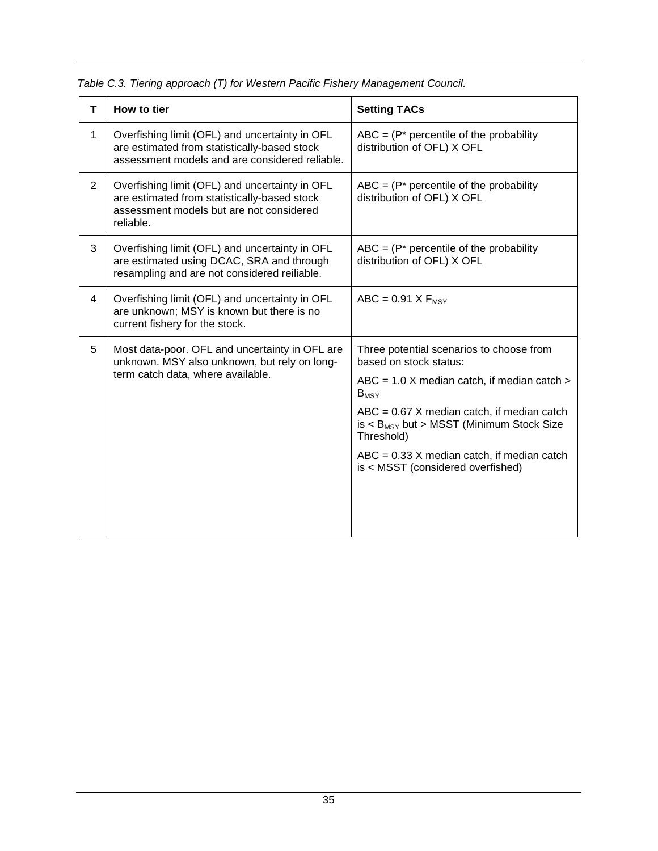| т              | How to tier                                                                                                                                             | <b>Setting TACs</b>                                                                                                                                                                |
|----------------|---------------------------------------------------------------------------------------------------------------------------------------------------------|------------------------------------------------------------------------------------------------------------------------------------------------------------------------------------|
| $\mathbf{1}$   | Overfishing limit (OFL) and uncertainty in OFL<br>are estimated from statistically-based stock<br>assessment models and are considered reliable.        | $ABC = (P^*)$ percentile of the probability<br>distribution of OFL) X OFL                                                                                                          |
| $\overline{2}$ | Overfishing limit (OFL) and uncertainty in OFL<br>are estimated from statistically-based stock<br>assessment models but are not considered<br>reliable. | $ABC = (P^*)$ percentile of the probability<br>distribution of OFL) X OFL                                                                                                          |
| 3              | Overfishing limit (OFL) and uncertainty in OFL<br>are estimated using DCAC, SRA and through<br>resampling and are not considered reiliable.             | $ABC = (P^*)$ percentile of the probability<br>distribution of OFL) X OFL                                                                                                          |
| 4              | Overfishing limit (OFL) and uncertainty in OFL<br>are unknown; MSY is known but there is no<br>current fishery for the stock.                           | $ABC = 0.91 X F_{MSY}$                                                                                                                                                             |
| 5              | Most data-poor. OFL and uncertainty in OFL are<br>unknown. MSY also unknown, but rely on long-<br>term catch data, where available.                     | Three potential scenarios to choose from<br>based on stock status:<br>$ABC = 1.0$ X median catch, if median catch $>$<br>$B_{MSY}$<br>$ABC = 0.67$ X median catch, if median catch |
|                |                                                                                                                                                         | $is < B_{MSY}$ but > MSST (Minimum Stock Size<br>Threshold)                                                                                                                        |
|                |                                                                                                                                                         | $ABC = 0.33$ X median catch, if median catch<br>is < MSST (considered overfished)                                                                                                  |
|                |                                                                                                                                                         |                                                                                                                                                                                    |

*Table C.3. Tiering approach (T) for Western Pacific Fishery Management Council.*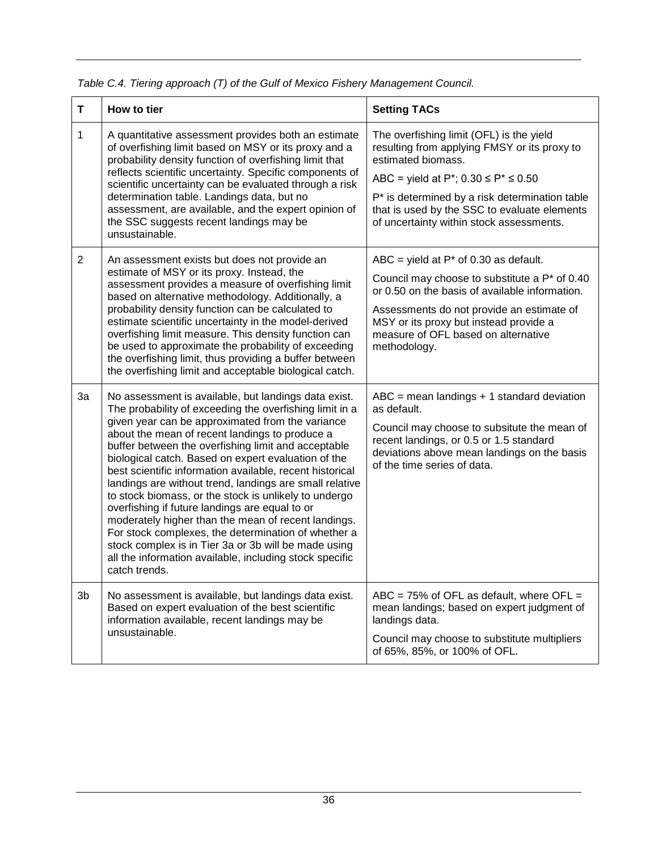| Τ              | How to tier                                                                                                                                                                                                                                                                                                                                                                                                                                                                                                                                                                                                                                                                                                                                                                                                             | <b>Setting TACs</b>                                                                                                                                                                                                                                                                                                                  |  |  |  |
|----------------|-------------------------------------------------------------------------------------------------------------------------------------------------------------------------------------------------------------------------------------------------------------------------------------------------------------------------------------------------------------------------------------------------------------------------------------------------------------------------------------------------------------------------------------------------------------------------------------------------------------------------------------------------------------------------------------------------------------------------------------------------------------------------------------------------------------------------|--------------------------------------------------------------------------------------------------------------------------------------------------------------------------------------------------------------------------------------------------------------------------------------------------------------------------------------|--|--|--|
| 1              | A quantitative assessment provides both an estimate<br>of overfishing limit based on MSY or its proxy and a<br>probability density function of overfishing limit that<br>reflects scientific uncertainty. Specific components of<br>scientific uncertainty can be evaluated through a risk<br>determination table. Landings data, but no<br>assessment, are available, and the expert opinion of<br>the SSC suggests recent landings may be<br>unsustainable.                                                                                                                                                                                                                                                                                                                                                           | The overfishing limit (OFL) is the yield<br>resulting from applying FMSY or its proxy to<br>estimated biomass.<br>ABC = yield at P <sup>*</sup> ; $0.30 \le P$ <sup>*</sup> $\le 0.50$<br>P* is determined by a risk determination table<br>that is used by the SSC to evaluate elements<br>of uncertainty within stock assessments. |  |  |  |
| $\overline{2}$ | An assessment exists but does not provide an<br>estimate of MSY or its proxy. Instead, the<br>assessment provides a measure of overfishing limit<br>based on alternative methodology. Additionally, a<br>probability density function can be calculated to<br>estimate scientific uncertainty in the model-derived<br>overfishing limit measure. This density function can<br>be used to approximate the probability of exceeding<br>the overfishing limit, thus providing a buffer between<br>the overfishing limit and acceptable biological catch.                                                                                                                                                                                                                                                                   | ABC = yield at $P^*$ of 0.30 as default.<br>Council may choose to substitute a P* of 0.40<br>or 0.50 on the basis of available information.<br>Assessments do not provide an estimate of<br>MSY or its proxy but instead provide a<br>measure of OFL based on alternative<br>methodology.                                            |  |  |  |
| 3a             | No assessment is available, but landings data exist.<br>The probability of exceeding the overfishing limit in a<br>given year can be approximated from the variance<br>about the mean of recent landings to produce a<br>buffer between the overfishing limit and acceptable<br>biological catch. Based on expert evaluation of the<br>best scientific information available, recent historical<br>landings are without trend, landings are small relative<br>to stock biomass, or the stock is unlikely to undergo<br>overfishing if future landings are equal to or<br>moderately higher than the mean of recent landings.<br>For stock complexes, the determination of whether a<br>stock complex is in Tier 3a or 3b will be made using<br>all the information available, including stock specific<br>catch trends. | $ABC$ = mean landings + 1 standard deviation<br>as default.<br>Council may choose to subsitute the mean of<br>recent landings, or 0.5 or 1.5 standard<br>deviations above mean landings on the basis<br>of the time series of data.                                                                                                  |  |  |  |
| 3b             | No assessment is available, but landings data exist.<br>Based on expert evaluation of the best scientific<br>information available, recent landings may be<br>unsustainable.                                                                                                                                                                                                                                                                                                                                                                                                                                                                                                                                                                                                                                            | ABC = $75\%$ of OFL as default, where OFL =<br>mean landings; based on expert judgment of<br>landings data.<br>Council may choose to substitute multipliers<br>of 65%, 85%, or 100% of OFL.                                                                                                                                          |  |  |  |

*Table C.4. Tiering approach (T) of the Gulf of Mexico Fishery Management Council.*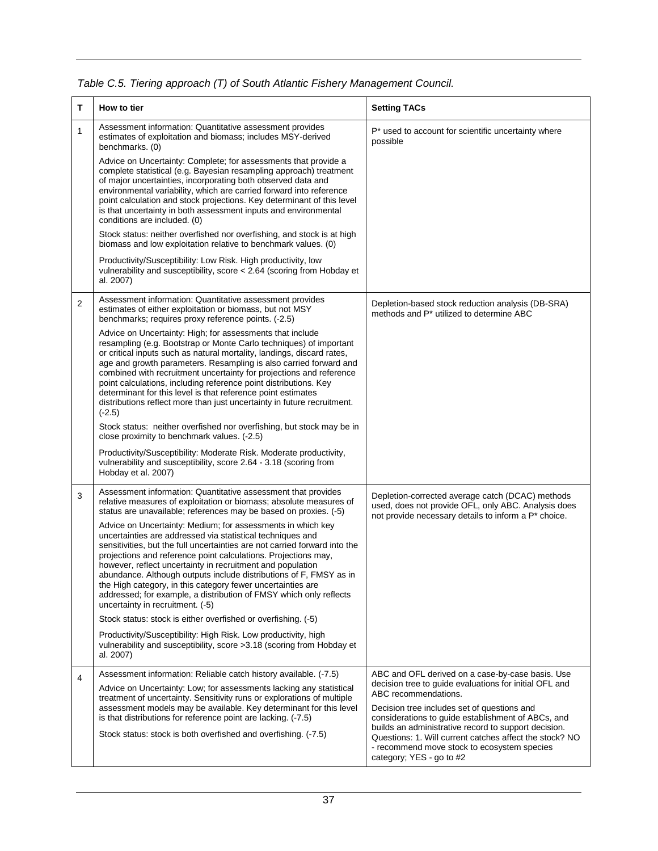| т              | How to tier                                                                                                                                                                                                                                                                                                                                                                                                                                                                                                                                                                            | <b>Setting TACs</b>                                                                                                                                                                                                                              |
|----------------|----------------------------------------------------------------------------------------------------------------------------------------------------------------------------------------------------------------------------------------------------------------------------------------------------------------------------------------------------------------------------------------------------------------------------------------------------------------------------------------------------------------------------------------------------------------------------------------|--------------------------------------------------------------------------------------------------------------------------------------------------------------------------------------------------------------------------------------------------|
| 1              | Assessment information: Quantitative assessment provides<br>estimates of exploitation and biomass; includes MSY-derived<br>benchmarks. (0)                                                                                                                                                                                                                                                                                                                                                                                                                                             | P* used to account for scientific uncertainty where<br>possible                                                                                                                                                                                  |
|                | Advice on Uncertainty: Complete; for assessments that provide a<br>complete statistical (e.g. Bayesian resampling approach) treatment<br>of major uncertainties, incorporating both observed data and<br>environmental variability, which are carried forward into reference<br>point calculation and stock projections. Key determinant of this level<br>is that uncertainty in both assessment inputs and environmental<br>conditions are included. (0)                                                                                                                              |                                                                                                                                                                                                                                                  |
|                | Stock status: neither overfished nor overfishing, and stock is at high<br>biomass and low exploitation relative to benchmark values. (0)                                                                                                                                                                                                                                                                                                                                                                                                                                               |                                                                                                                                                                                                                                                  |
|                | Productivity/Susceptibility: Low Risk. High productivity, low<br>vulnerability and susceptibility, score < 2.64 (scoring from Hobday et<br>al. 2007)                                                                                                                                                                                                                                                                                                                                                                                                                                   |                                                                                                                                                                                                                                                  |
| $\overline{2}$ | Assessment information: Quantitative assessment provides<br>estimates of either exploitation or biomass, but not MSY<br>benchmarks; requires proxy reference points. (-2.5)                                                                                                                                                                                                                                                                                                                                                                                                            | Depletion-based stock reduction analysis (DB-SRA)<br>methods and P* utilized to determine ABC                                                                                                                                                    |
|                | Advice on Uncertainty: High; for assessments that include<br>resampling (e.g. Bootstrap or Monte Carlo techniques) of important<br>or critical inputs such as natural mortality, landings, discard rates,<br>age and growth parameters. Resampling is also carried forward and<br>combined with recruitment uncertainty for projections and reference<br>point calculations, including reference point distributions. Key<br>determinant for this level is that reference point estimates<br>distributions reflect more than just uncertainty in future recruitment.<br>$(-2.5)$       |                                                                                                                                                                                                                                                  |
|                | Stock status: neither overfished nor overfishing, but stock may be in<br>close proximity to benchmark values. (-2.5)                                                                                                                                                                                                                                                                                                                                                                                                                                                                   |                                                                                                                                                                                                                                                  |
|                | Productivity/Susceptibility: Moderate Risk. Moderate productivity,<br>vulnerability and susceptibility, score 2.64 - 3.18 (scoring from<br>Hobday et al. 2007)                                                                                                                                                                                                                                                                                                                                                                                                                         |                                                                                                                                                                                                                                                  |
| 3              | Assessment information: Quantitative assessment that provides<br>relative measures of exploitation or biomass; absolute measures of<br>status are unavailable; references may be based on proxies. (-5)                                                                                                                                                                                                                                                                                                                                                                                | Depletion-corrected average catch (DCAC) methods<br>used, does not provide OFL, only ABC. Analysis does<br>not provide necessary details to inform a P* choice.                                                                                  |
|                | Advice on Uncertainty: Medium; for assessments in which key<br>uncertainties are addressed via statistical techniques and<br>sensitivities, but the full uncertainties are not carried forward into the<br>projections and reference point calculations. Projections may,<br>however, reflect uncertainty in recruitment and population<br>abundance. Although outputs include distributions of F, FMSY as in<br>the High category, in this category fewer uncertainties are<br>addressed; for example, a distribution of FMSY which only reflects<br>uncertainty in recruitment. (-5) |                                                                                                                                                                                                                                                  |
|                | Stock status: stock is either overfished or overfishing. (-5)                                                                                                                                                                                                                                                                                                                                                                                                                                                                                                                          |                                                                                                                                                                                                                                                  |
|                | Productivity/Susceptibility: High Risk. Low productivity, high<br>vulnerability and susceptibility, score > 3.18 (scoring from Hobday et<br>al. 2007)                                                                                                                                                                                                                                                                                                                                                                                                                                  |                                                                                                                                                                                                                                                  |
| 4              | Assessment information: Reliable catch history available. (-7.5)<br>Advice on Uncertainty: Low; for assessments lacking any statistical                                                                                                                                                                                                                                                                                                                                                                                                                                                | ABC and OFL derived on a case-by-case basis. Use<br>decision tree to quide evaluations for initial OFL and                                                                                                                                       |
|                | treatment of uncertainty. Sensitivity runs or explorations of multiple<br>assessment models may be available. Key determinant for this level                                                                                                                                                                                                                                                                                                                                                                                                                                           | ABC recommendations.<br>Decision tree includes set of questions and                                                                                                                                                                              |
|                | is that distributions for reference point are lacking. (-7.5)<br>Stock status: stock is both overfished and overfishing. (-7.5)                                                                                                                                                                                                                                                                                                                                                                                                                                                        | considerations to guide establishment of ABCs, and<br>builds an administrative record to support decision.<br>Questions: 1. Will current catches affect the stock? NO<br>- recommend move stock to ecosystem species<br>category; YES - go to #2 |

#### *Table C.5. Tiering approach (T) of South Atlantic Fishery Management Council.*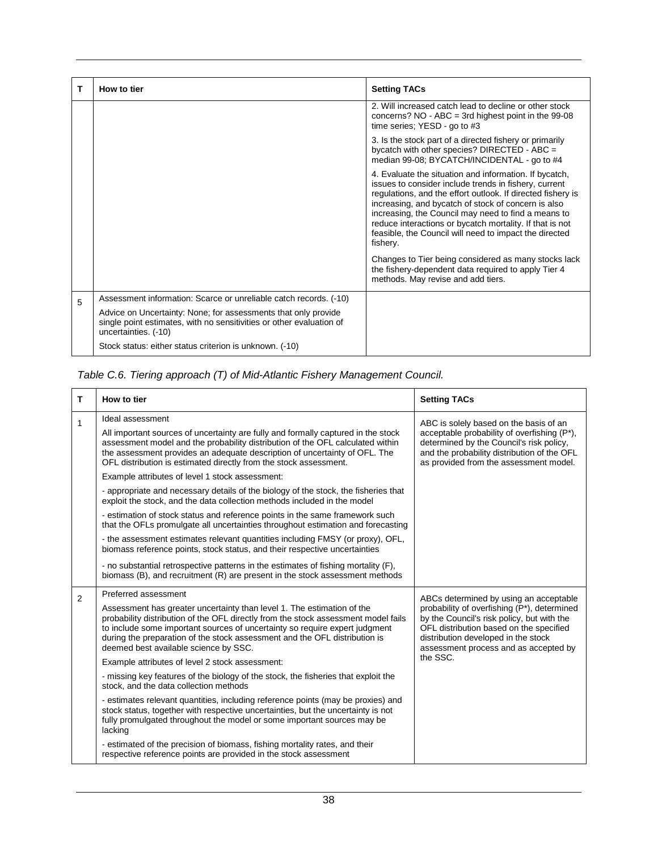| т | How to tier                                                                                                                                                    | <b>Setting TACs</b>                                                                                                                                                                                                                                                                                                                                                                                                            |
|---|----------------------------------------------------------------------------------------------------------------------------------------------------------------|--------------------------------------------------------------------------------------------------------------------------------------------------------------------------------------------------------------------------------------------------------------------------------------------------------------------------------------------------------------------------------------------------------------------------------|
|   |                                                                                                                                                                | 2. Will increased catch lead to decline or other stock<br>concerns? $NO - ABC = 3rd$ highest point in the 99-08<br>time series; YESD - go to #3                                                                                                                                                                                                                                                                                |
|   |                                                                                                                                                                | 3. Is the stock part of a directed fishery or primarily<br>bycatch with other species? DIRECTED - ABC =<br>median 99-08; BYCATCH/INCIDENTAL - go to #4                                                                                                                                                                                                                                                                         |
|   |                                                                                                                                                                | 4. Evaluate the situation and information. If bycatch,<br>issues to consider include trends in fishery, current<br>regulations, and the effort outlook. If directed fishery is<br>increasing, and bycatch of stock of concern is also<br>increasing, the Council may need to find a means to<br>reduce interactions or bycatch mortality. If that is not<br>feasible, the Council will need to impact the directed<br>fishery. |
|   |                                                                                                                                                                | Changes to Tier being considered as many stocks lack<br>the fishery-dependent data required to apply Tier 4<br>methods. May revise and add tiers.                                                                                                                                                                                                                                                                              |
| 5 | Assessment information: Scarce or unreliable catch records. (-10)                                                                                              |                                                                                                                                                                                                                                                                                                                                                                                                                                |
|   | Advice on Uncertainty: None; for assessments that only provide<br>single point estimates, with no sensitivities or other evaluation of<br>uncertainties. (-10) |                                                                                                                                                                                                                                                                                                                                                                                                                                |
|   | Stock status: either status criterion is unknown. (-10)                                                                                                        |                                                                                                                                                                                                                                                                                                                                                                                                                                |

#### *Table C.6. Tiering approach (T) of Mid-Atlantic Fishery Management Council.*

| т              | How to tier                                                                                                                                                                                                                                                                                                                                                                                | <b>Setting TACs</b>                                                                                                                                                                                                                                            |
|----------------|--------------------------------------------------------------------------------------------------------------------------------------------------------------------------------------------------------------------------------------------------------------------------------------------------------------------------------------------------------------------------------------------|----------------------------------------------------------------------------------------------------------------------------------------------------------------------------------------------------------------------------------------------------------------|
| 1              | Ideal assessment<br>All important sources of uncertainty are fully and formally captured in the stock<br>assessment model and the probability distribution of the OFL calculated within<br>the assessment provides an adequate description of uncertainty of OFL. The<br>OFL distribution is estimated directly from the stock assessment.                                                 | ABC is solely based on the basis of an<br>acceptable probability of overfishing (P*),<br>determined by the Council's risk policy,<br>and the probability distribution of the OFL<br>as provided from the assessment model.                                     |
|                | Example attributes of level 1 stock assessment:<br>- appropriate and necessary details of the biology of the stock, the fisheries that<br>exploit the stock, and the data collection methods included in the model                                                                                                                                                                         |                                                                                                                                                                                                                                                                |
|                | - estimation of stock status and reference points in the same framework such<br>that the OFLs promulgate all uncertainties throughout estimation and forecasting<br>- the assessment estimates relevant quantities including FMSY (or proxy), OFL,<br>biomass reference points, stock status, and their respective uncertainties                                                           |                                                                                                                                                                                                                                                                |
|                | - no substantial retrospective patterns in the estimates of fishing mortality (F),<br>biomass (B), and recruitment (R) are present in the stock assessment methods                                                                                                                                                                                                                         |                                                                                                                                                                                                                                                                |
| $\overline{2}$ | Preferred assessment<br>Assessment has greater uncertainty than level 1. The estimation of the<br>probability distribution of the OFL directly from the stock assessment model fails<br>to include some important sources of uncertainty so require expert judgment<br>during the preparation of the stock assessment and the OFL distribution is<br>deemed best available science by SSC. | ABCs determined by using an acceptable<br>probability of overfishing (P*), determined<br>by the Council's risk policy, but with the<br>OFL distribution based on the specified<br>distribution developed in the stock<br>assessment process and as accepted by |
|                | Example attributes of level 2 stock assessment:                                                                                                                                                                                                                                                                                                                                            | the SSC.                                                                                                                                                                                                                                                       |
|                | - missing key features of the biology of the stock, the fisheries that exploit the<br>stock, and the data collection methods                                                                                                                                                                                                                                                               |                                                                                                                                                                                                                                                                |
|                | - estimates relevant quantities, including reference points (may be proxies) and<br>stock status, together with respective uncertainties, but the uncertainty is not<br>fully promulgated throughout the model or some important sources may be<br>lacking                                                                                                                                 |                                                                                                                                                                                                                                                                |
|                | - estimated of the precision of biomass, fishing mortality rates, and their<br>respective reference points are provided in the stock assessment                                                                                                                                                                                                                                            |                                                                                                                                                                                                                                                                |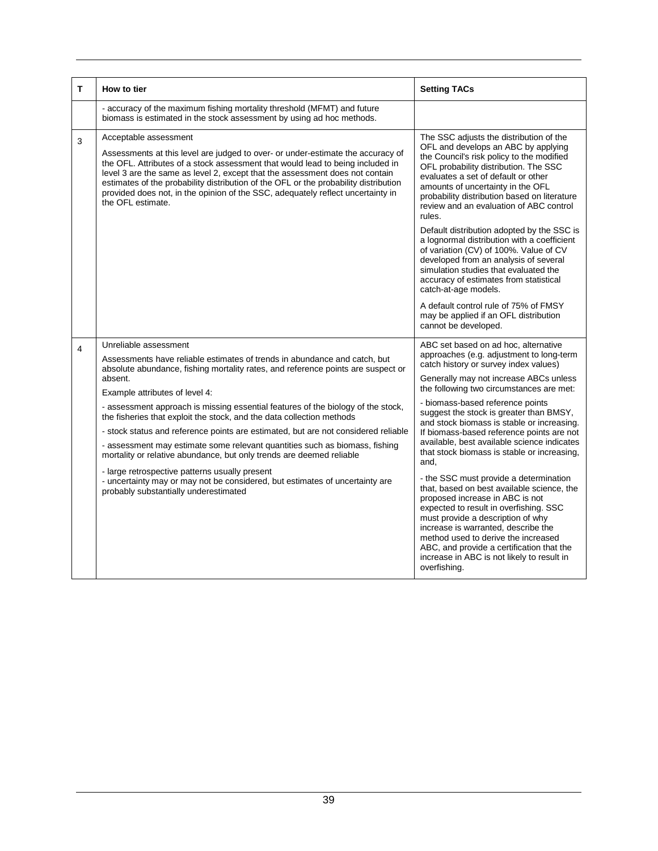| т | How to tier                                                                                                                                                                                                                                                                                                                                                                                                                                                                            | <b>Setting TACs</b>                                                                                                                                                                                                                                                                                                                                                                                                                                                                                                                                                                                                                              |  |  |  |
|---|----------------------------------------------------------------------------------------------------------------------------------------------------------------------------------------------------------------------------------------------------------------------------------------------------------------------------------------------------------------------------------------------------------------------------------------------------------------------------------------|--------------------------------------------------------------------------------------------------------------------------------------------------------------------------------------------------------------------------------------------------------------------------------------------------------------------------------------------------------------------------------------------------------------------------------------------------------------------------------------------------------------------------------------------------------------------------------------------------------------------------------------------------|--|--|--|
|   | - accuracy of the maximum fishing mortality threshold (MFMT) and future<br>biomass is estimated in the stock assessment by using ad hoc methods.                                                                                                                                                                                                                                                                                                                                       |                                                                                                                                                                                                                                                                                                                                                                                                                                                                                                                                                                                                                                                  |  |  |  |
| 3 | Acceptable assessment<br>Assessments at this level are judged to over- or under-estimate the accuracy of<br>the OFL. Attributes of a stock assessment that would lead to being included in<br>level 3 are the same as level 2, except that the assessment does not contain<br>estimates of the probability distribution of the OFL or the probability distribution<br>provided does not, in the opinion of the SSC, adequately reflect uncertainty in<br>the OFL estimate.             | The SSC adjusts the distribution of the<br>OFL and develops an ABC by applying<br>the Council's risk policy to the modified<br>OFL probability distribution. The SSC<br>evaluates a set of default or other<br>amounts of uncertainty in the OFL<br>probability distribution based on literature<br>review and an evaluation of ABC control<br>rules.<br>Default distribution adopted by the SSC is<br>a lognormal distribution with a coefficient<br>of variation (CV) of 100%. Value of CV<br>developed from an analysis of several<br>simulation studies that evaluated the<br>accuracy of estimates from statistical<br>catch-at-age models. |  |  |  |
|   |                                                                                                                                                                                                                                                                                                                                                                                                                                                                                        | A default control rule of 75% of FMSY<br>may be applied if an OFL distribution<br>cannot be developed.                                                                                                                                                                                                                                                                                                                                                                                                                                                                                                                                           |  |  |  |
| 4 | Unreliable assessment<br>Assessments have reliable estimates of trends in abundance and catch, but<br>absolute abundance, fishing mortality rates, and reference points are suspect or<br>absent.<br>Example attributes of level 4:<br>- assessment approach is missing essential features of the biology of the stock,<br>the fisheries that exploit the stock, and the data collection methods<br>- stock status and reference points are estimated, but are not considered reliable | ABC set based on ad hoc, alternative<br>approaches (e.g. adjustment to long-term<br>catch history or survey index values)<br>Generally may not increase ABCs unless<br>the following two circumstances are met:<br>- biomass-based reference points<br>suggest the stock is greater than BMSY,<br>and stock biomass is stable or increasing.<br>If biomass-based reference points are not                                                                                                                                                                                                                                                        |  |  |  |
|   | - assessment may estimate some relevant quantities such as biomass, fishing<br>mortality or relative abundance, but only trends are deemed reliable                                                                                                                                                                                                                                                                                                                                    | available, best available science indicates<br>that stock biomass is stable or increasing,<br>and.                                                                                                                                                                                                                                                                                                                                                                                                                                                                                                                                               |  |  |  |
|   | - large retrospective patterns usually present<br>- uncertainty may or may not be considered, but estimates of uncertainty are<br>probably substantially underestimated                                                                                                                                                                                                                                                                                                                | - the SSC must provide a determination<br>that, based on best available science, the<br>proposed increase in ABC is not<br>expected to result in overfishing. SSC<br>must provide a description of why<br>increase is warranted, describe the<br>method used to derive the increased<br>ABC, and provide a certification that the<br>increase in ABC is not likely to result in<br>overfishing.                                                                                                                                                                                                                                                  |  |  |  |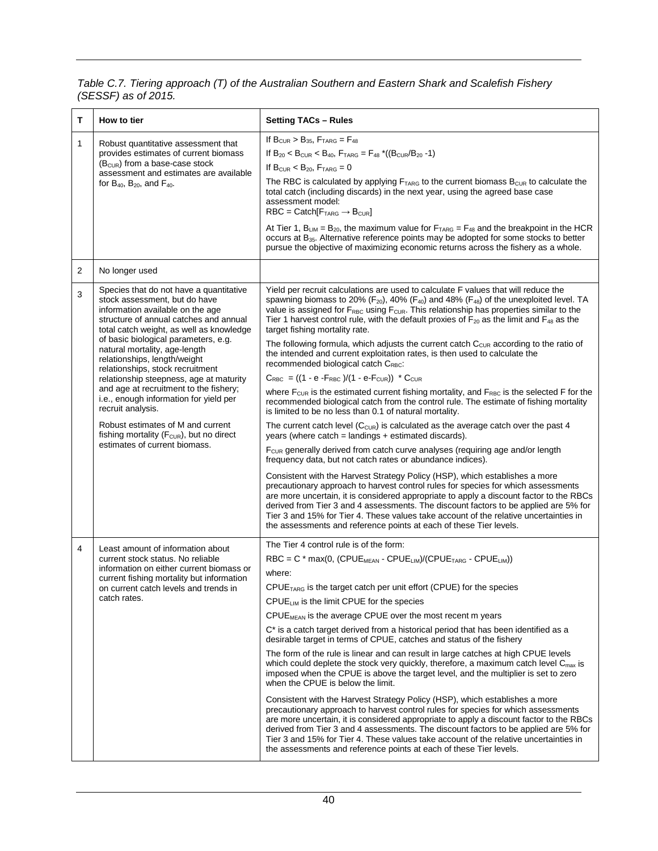*Table C.7. Tiering approach (T) of the Australian Southern and Eastern Shark and Scalefish Fishery (SESSF) as of 2015.*

| т                                                                                                                                                                                                          | How to tier                                                                                                                                                                                                                                                                                                                                                                                                                                                                                                                                                                                                                        | <b>Setting TACs - Rules</b>                                                                                                                                                                                                                                                                                                                                                                                                                                                                                                                                                                                                                                                                                                                                                                                                                                                                                                                                                                                                                                                                                                                                                                                                                                                                                                                                                                                                                                                                                                                                                                                                                                                                                                                                                                                                                               |  |  |
|------------------------------------------------------------------------------------------------------------------------------------------------------------------------------------------------------------|------------------------------------------------------------------------------------------------------------------------------------------------------------------------------------------------------------------------------------------------------------------------------------------------------------------------------------------------------------------------------------------------------------------------------------------------------------------------------------------------------------------------------------------------------------------------------------------------------------------------------------|-----------------------------------------------------------------------------------------------------------------------------------------------------------------------------------------------------------------------------------------------------------------------------------------------------------------------------------------------------------------------------------------------------------------------------------------------------------------------------------------------------------------------------------------------------------------------------------------------------------------------------------------------------------------------------------------------------------------------------------------------------------------------------------------------------------------------------------------------------------------------------------------------------------------------------------------------------------------------------------------------------------------------------------------------------------------------------------------------------------------------------------------------------------------------------------------------------------------------------------------------------------------------------------------------------------------------------------------------------------------------------------------------------------------------------------------------------------------------------------------------------------------------------------------------------------------------------------------------------------------------------------------------------------------------------------------------------------------------------------------------------------------------------------------------------------------------------------------------------------|--|--|
| 1<br>Robust quantitative assessment that<br>provides estimates of current biomass<br>$(BCUR)$ from a base-case stock<br>assessment and estimates are available<br>for $B_{40}$ , $B_{20}$ , and $F_{40}$ . |                                                                                                                                                                                                                                                                                                                                                                                                                                                                                                                                                                                                                                    | If $B_{CUR} > B_{35}$ , $F_{TARG} = F_{48}$<br>If $B_{20}$ < B <sub>CUR</sub> < B <sub>40</sub> , F <sub>TARG</sub> = F <sub>48</sub> *((B <sub>CUR</sub> /B <sub>20</sub> -1)<br>If $BCUR < B20$ , $FTARG = 0$<br>The RBC is calculated by applying $F_{TARG}$ to the current biomass $B_{CUR}$ to calculate the<br>total catch (including discards) in the next year, using the agreed base case<br>assessment model:<br>$RBC = Catch[FTARG \rightarrow BCUR]$<br>At Tier 1, B <sub>LIM</sub> = B <sub>20</sub> , the maximum value for $FTARG = F48$ and the breakpoint in the HCR<br>occurs at B <sub>35</sub> . Alternative reference points may be adopted for some stocks to better<br>pursue the objective of maximizing economic returns across the fishery as a whole.                                                                                                                                                                                                                                                                                                                                                                                                                                                                                                                                                                                                                                                                                                                                                                                                                                                                                                                                                                                                                                                                          |  |  |
| 2                                                                                                                                                                                                          | No longer used                                                                                                                                                                                                                                                                                                                                                                                                                                                                                                                                                                                                                     |                                                                                                                                                                                                                                                                                                                                                                                                                                                                                                                                                                                                                                                                                                                                                                                                                                                                                                                                                                                                                                                                                                                                                                                                                                                                                                                                                                                                                                                                                                                                                                                                                                                                                                                                                                                                                                                           |  |  |
| 3                                                                                                                                                                                                          | Species that do not have a quantitative<br>stock assessment, but do have<br>information available on the age<br>structure of annual catches and annual<br>total catch weight, as well as knowledge<br>of basic biological parameters, e.g.<br>natural mortality, age-length<br>relationships, length/weight<br>relationships, stock recruitment<br>relationship steepness, age at maturity<br>and age at recruitment to the fishery;<br>i.e., enough information for yield per<br>recruit analysis.<br>Robust estimates of M and current<br>fishing mortality ( $F_{\text{CUR}}$ ), but no direct<br>estimates of current biomass. | Yield per recruit calculations are used to calculate F values that will reduce the<br>spawning biomass to 20% ( $F_{20}$ ), 40% ( $F_{40}$ ) and 48% ( $F_{48}$ ) of the unexploited level. TA<br>value is assigned for $F_{RBC}$ using $F_{CUR}$ . This relationship has properties similar to the<br>Tier 1 harvest control rule, with the default proxies of $F_{20}$ as the limit and $F_{48}$ as the<br>target fishing mortality rate.<br>The following formula, which adjusts the current catch $C_{\text{ClR}}$ according to the ratio of<br>the intended and current exploitation rates, is then used to calculate the<br>recommended biological catch CRBC:<br>$C_{RBC}$ = ((1 - e - $F_{RBC}$ )/(1 - e- $F_{CUR}$ )) * $C_{CUR}$<br>where $F_{\text{CUR}}$ is the estimated current fishing mortality, and $F_{\text{RBC}}$ is the selected F for the<br>recommended biological catch from the control rule. The estimate of fishing mortality<br>is limited to be no less than 0.1 of natural mortality.<br>The current catch level $(C_{CUR})$ is calculated as the average catch over the past 4<br>years (where $catch = landings + estimated discards$ ).<br>F <sub>cuR</sub> generally derived from catch curve analyses (requiring age and/or length<br>frequency data, but not catch rates or abundance indices).<br>Consistent with the Harvest Strategy Policy (HSP), which establishes a more<br>precautionary approach to harvest control rules for species for which assessments<br>are more uncertain, it is considered appropriate to apply a discount factor to the RBCs<br>derived from Tier 3 and 4 assessments. The discount factors to be applied are 5% for<br>Tier 3 and 15% for Tier 4. These values take account of the relative uncertainties in<br>the assessments and reference points at each of these Tier levels. |  |  |
| 4                                                                                                                                                                                                          | Least amount of information about<br>current stock status. No reliable<br>information on either current biomass or<br>current fishing mortality but information<br>on current catch levels and trends in<br>catch rates.                                                                                                                                                                                                                                                                                                                                                                                                           | The Tier 4 control rule is of the form:<br>$RBC = C * max(0, (CPUEMEAN - CPUELIM)/(CPUETARG - CPUELIM))$<br>where:<br>$\text{CPUE}_{\text{TARG}}$ is the target catch per unit effort (CPUE) for the species<br>$CPUE_{LIM}$ is the limit CPUE for the species<br>CPUE <sub>MEAN</sub> is the average CPUE over the most recent m years<br>C <sup>*</sup> is a catch target derived from a historical period that has been identified as a<br>desirable target in terms of CPUE, catches and status of the fishery<br>The form of the rule is linear and can result in large catches at high CPUE levels<br>which could deplete the stock very quickly, therefore, a maximum catch level $C_{\text{max}}$ is<br>imposed when the CPUE is above the target level, and the multiplier is set to zero<br>when the CPUE is below the limit.<br>Consistent with the Harvest Strategy Policy (HSP), which establishes a more<br>precautionary approach to harvest control rules for species for which assessments<br>are more uncertain, it is considered appropriate to apply a discount factor to the RBCs<br>derived from Tier 3 and 4 assessments. The discount factors to be applied are 5% for<br>Tier 3 and 15% for Tier 4. These values take account of the relative uncertainties in<br>the assessments and reference points at each of these Tier levels.                                                                                                                                                                                                                                                                                                                                                                                                                                                                                             |  |  |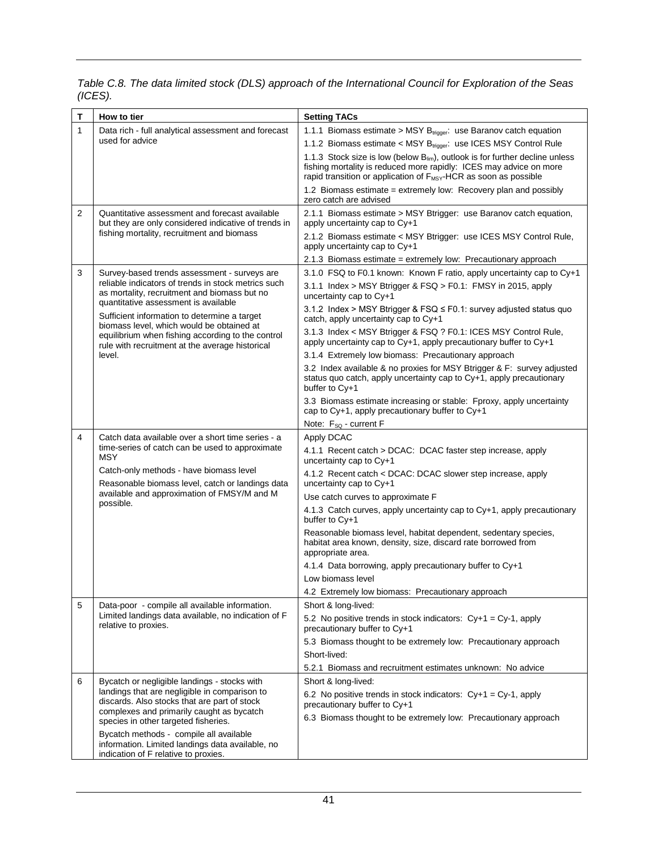| т | How to tier                                                                                                                                             | <b>Setting TACs</b>                                                                                                                                                                                                                     |  |  |  |  |
|---|---------------------------------------------------------------------------------------------------------------------------------------------------------|-----------------------------------------------------------------------------------------------------------------------------------------------------------------------------------------------------------------------------------------|--|--|--|--|
| 1 | Data rich - full analytical assessment and forecast                                                                                                     | 1.1.1 Biomass estimate > MSY B <sub>trigger</sub> : use Baranov catch equation                                                                                                                                                          |  |  |  |  |
|   | used for advice                                                                                                                                         | 1.1.2 Biomass estimate < MSY B <sub>trigger</sub> : use ICES MSY Control Rule                                                                                                                                                           |  |  |  |  |
|   |                                                                                                                                                         | 1.1.3 Stock size is low (below $B_{lim}$ ), outlook is for further decline unless<br>fishing mortality is reduced more rapidly: ICES may advice on more<br>rapid transition or application of F <sub>MSY</sub> -HCR as soon as possible |  |  |  |  |
|   |                                                                                                                                                         | 1.2 Biomass estimate = extremely low: Recovery plan and possibly<br>zero catch are advised                                                                                                                                              |  |  |  |  |
| 2 | Quantitative assessment and forecast available<br>but they are only considered indicative of trends in                                                  | 2.1.1 Biomass estimate > MSY Btrigger: use Baranov catch equation,<br>apply uncertainty cap to Cy+1                                                                                                                                     |  |  |  |  |
|   | fishing mortality, recruitment and biomass                                                                                                              | 2.1.2 Biomass estimate < MSY Btrigger: use ICES MSY Control Rule,<br>apply uncertainty cap to Cy+1                                                                                                                                      |  |  |  |  |
|   |                                                                                                                                                         | 2.1.3 Biomass estimate = extremely low: Precautionary approach                                                                                                                                                                          |  |  |  |  |
| 3 | Survey-based trends assessment - surveys are                                                                                                            | 3.1.0 FSQ to F0.1 known: Known F ratio, apply uncertainty cap to Cy+1                                                                                                                                                                   |  |  |  |  |
|   | reliable indicators of trends in stock metrics such<br>as mortality, recruitment and biomass but no<br>quantitative assessment is available             | 3.1.1 Index > MSY Btrigger & FSQ > F0.1: FMSY in 2015, apply<br>uncertainty cap to Cy+1                                                                                                                                                 |  |  |  |  |
|   | Sufficient information to determine a target<br>biomass level, which would be obtained at                                                               | 3.1.2 Index > MSY Btrigger & FSQ $\leq$ F0.1: survey adjusted status quo<br>catch, apply uncertainty cap to Cy+1                                                                                                                        |  |  |  |  |
|   | equilibrium when fishing according to the control<br>rule with recruitment at the average historical                                                    | 3.1.3 Index < MSY Btrigger & FSQ ? F0.1: ICES MSY Control Rule,<br>apply uncertainty cap to Cy+1, apply precautionary buffer to Cy+1                                                                                                    |  |  |  |  |
|   | level.                                                                                                                                                  | 3.1.4 Extremely low biomass: Precautionary approach                                                                                                                                                                                     |  |  |  |  |
|   |                                                                                                                                                         | 3.2 Index available & no proxies for MSY Btrigger & F: survey adjusted<br>status quo catch, apply uncertainty cap to Cy+1, apply precautionary<br>buffer to Cy+1                                                                        |  |  |  |  |
|   |                                                                                                                                                         | 3.3 Biomass estimate increasing or stable: Fproxy, apply uncertainty<br>cap to Cy+1, apply precautionary buffer to Cy+1                                                                                                                 |  |  |  |  |
|   |                                                                                                                                                         | Note: F <sub>so</sub> - current F                                                                                                                                                                                                       |  |  |  |  |
| 4 | Catch data available over a short time series - a<br>time-series of catch can be used to approximate                                                    | Apply DCAC                                                                                                                                                                                                                              |  |  |  |  |
|   | <b>MSY</b>                                                                                                                                              | 4.1.1 Recent catch > DCAC: DCAC faster step increase, apply<br>uncertainty cap to $Cy+1$                                                                                                                                                |  |  |  |  |
|   | Catch-only methods - have biomass level<br>Reasonable biomass level, catch or landings data<br>available and approximation of FMSY/M and M<br>possible. | 4.1.2 Recent catch < DCAC: DCAC slower step increase, apply<br>uncertainty cap to Cy+1                                                                                                                                                  |  |  |  |  |
|   |                                                                                                                                                         | Use catch curves to approximate F                                                                                                                                                                                                       |  |  |  |  |
|   |                                                                                                                                                         | 4.1.3 Catch curves, apply uncertainty cap to Cy+1, apply precautionary<br>buffer to Cy+1                                                                                                                                                |  |  |  |  |
|   |                                                                                                                                                         | Reasonable biomass level, habitat dependent, sedentary species,<br>habitat area known, density, size, discard rate borrowed from<br>appropriate area.                                                                                   |  |  |  |  |
|   |                                                                                                                                                         | 4.1.4 Data borrowing, apply precautionary buffer to Cy+1                                                                                                                                                                                |  |  |  |  |
|   |                                                                                                                                                         | Low biomass level                                                                                                                                                                                                                       |  |  |  |  |
|   |                                                                                                                                                         | 4.2 Extremely low biomass: Precautionary approach                                                                                                                                                                                       |  |  |  |  |
| 5 | Data-poor - compile all available information.                                                                                                          | Short & long-lived:                                                                                                                                                                                                                     |  |  |  |  |
|   | Limited landings data available, no indication of F<br>relative to proxies.                                                                             | 5.2 No positive trends in stock indicators: $Cy+1 = Cy-1$ , apply<br>precautionary buffer to Cy+1                                                                                                                                       |  |  |  |  |
|   |                                                                                                                                                         | 5.3 Biomass thought to be extremely low: Precautionary approach                                                                                                                                                                         |  |  |  |  |
|   |                                                                                                                                                         | Short-lived:                                                                                                                                                                                                                            |  |  |  |  |
|   |                                                                                                                                                         | 5.2.1 Biomass and recruitment estimates unknown: No advice                                                                                                                                                                              |  |  |  |  |
| 6 | Bycatch or negligible landings - stocks with<br>landings that are negligible in comparison to                                                           | Short & long-lived:<br>6.2 No positive trends in stock indicators: $Cy+1 = Cy-1$ , apply                                                                                                                                                |  |  |  |  |
|   | discards. Also stocks that are part of stock<br>complexes and primarily caught as bycatch                                                               | precautionary buffer to Cy+1                                                                                                                                                                                                            |  |  |  |  |
|   | species in other targeted fisheries.                                                                                                                    | 6.3 Biomass thought to be extremely low: Precautionary approach                                                                                                                                                                         |  |  |  |  |
|   | Bycatch methods - compile all available<br>information. Limited landings data available, no<br>indication of F relative to proxies.                     |                                                                                                                                                                                                                                         |  |  |  |  |

*Table C.8. The data limited stock (DLS) approach of the International Council for Exploration of the Seas (ICES).*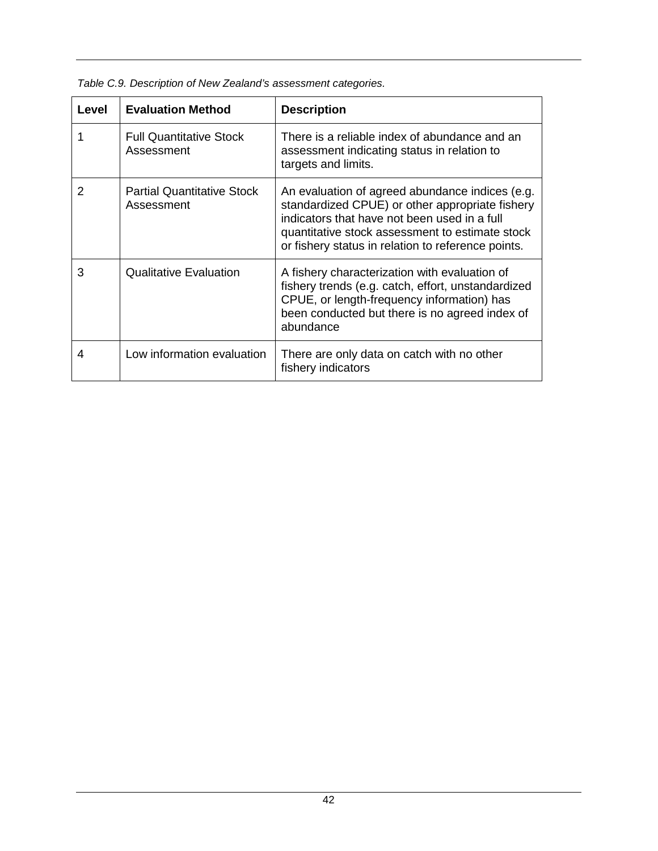| Level | <b>Evaluation Method</b>                        | <b>Description</b>                                                                                                                                                                                                                                          |
|-------|-------------------------------------------------|-------------------------------------------------------------------------------------------------------------------------------------------------------------------------------------------------------------------------------------------------------------|
|       | <b>Full Quantitative Stock</b><br>Assessment    | There is a reliable index of abundance and an<br>assessment indicating status in relation to<br>targets and limits.                                                                                                                                         |
| 2     | <b>Partial Quantitative Stock</b><br>Assessment | An evaluation of agreed abundance indices (e.g.<br>standardized CPUE) or other appropriate fishery<br>indicators that have not been used in a full<br>quantitative stock assessment to estimate stock<br>or fishery status in relation to reference points. |
| 3     | <b>Qualitative Evaluation</b>                   | A fishery characterization with evaluation of<br>fishery trends (e.g. catch, effort, unstandardized<br>CPUE, or length-frequency information) has<br>been conducted but there is no agreed index of<br>abundance                                            |
| 4     | Low information evaluation                      | There are only data on catch with no other<br>fishery indicators                                                                                                                                                                                            |

*Table C.9. Description of New Zealand's assessment categories.*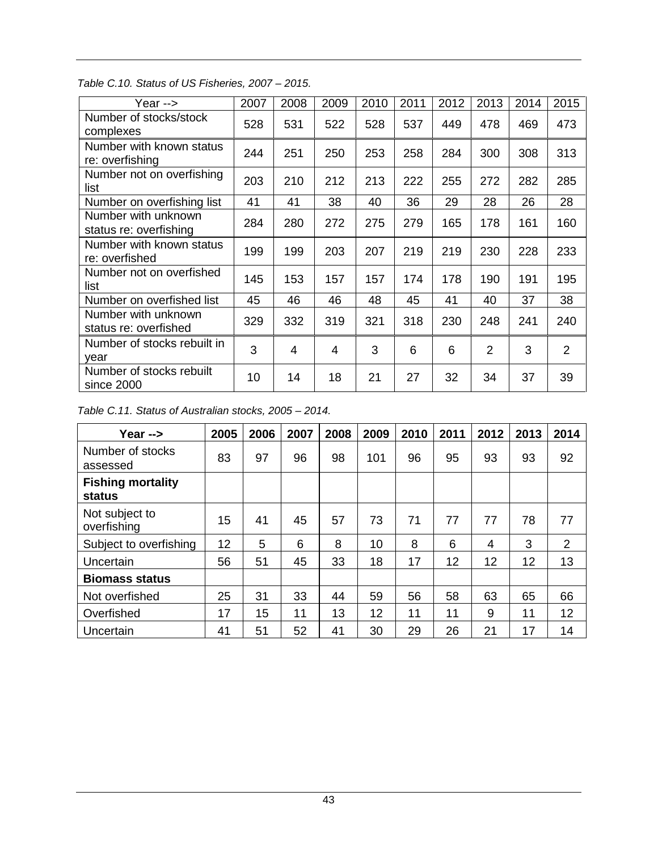| Year -->                                      | 2007 | 2008           | 2009 | 2010 | 2011 | 2012 | 2013           | 2014 | 2015           |
|-----------------------------------------------|------|----------------|------|------|------|------|----------------|------|----------------|
| Number of stocks/stock<br>complexes           | 528  | 531            | 522  | 528  | 537  | 449  | 478            | 469  | 473            |
| Number with known status<br>re: overfishing   | 244  | 251            | 250  | 253  | 258  | 284  | 300            | 308  | 313            |
| Number not on overfishing<br>list             | 203  | 210            | 212  | 213  | 222  | 255  | 272            | 282  | 285            |
| Number on overfishing list                    | 41   | 41             | 38   | 40   | 36   | 29   | 28             | 26   | 28             |
| Number with unknown<br>status re: overfishing | 284  | 280            | 272  | 275  | 279  | 165  | 178            | 161  | 160            |
| Number with known status<br>re: overfished    | 199  | 199            | 203  | 207  | 219  | 219  | 230            | 228  | 233            |
| Number not on overfished<br>list              | 145  | 153            | 157  | 157  | 174  | 178  | 190            | 191  | 195            |
| Number on overfished list                     | 45   | 46             | 46   | 48   | 45   | 41   | 40             | 37   | 38             |
| Number with unknown<br>status re: overfished  | 329  | 332            | 319  | 321  | 318  | 230  | 248            | 241  | 240            |
| Number of stocks rebuilt in<br>year           | 3    | $\overline{4}$ | 4    | 3    | 6    | 6    | $\overline{2}$ | 3    | $\overline{2}$ |
| Number of stocks rebuilt<br>since 2000        | 10   | 14             | 18   | 21   | 27   | 32   | 34             | 37   | 39             |

#### *Table C.10. Status of US Fisheries, 2007 – 2015.*

| Table C.11. Status of Australian stocks, 2005 - 2014. |  |  |
|-------------------------------------------------------|--|--|
|                                                       |  |  |

| Year -->                           | 2005 | 2006 | 2007 | 2008 | 2009 | 2010 | 2011 | 2012 | 2013 | 2014 |
|------------------------------------|------|------|------|------|------|------|------|------|------|------|
| Number of stocks<br>assessed       | 83   | 97   | 96   | 98   | 101  | 96   | 95   | 93   | 93   | 92   |
| <b>Fishing mortality</b><br>status |      |      |      |      |      |      |      |      |      |      |
| Not subject to<br>overfishing      | 15   | 41   | 45   | 57   | 73   | 71   | 77   | 77   | 78   | 77   |
| Subject to overfishing             | 12   | 5    | 6    | 8    | 10   | 8    | 6    | 4    | 3    | 2    |
| Uncertain                          | 56   | 51   | 45   | 33   | 18   | 17   | 12   | 12   | 12   | 13   |
| <b>Biomass status</b>              |      |      |      |      |      |      |      |      |      |      |
| Not overfished                     | 25   | 31   | 33   | 44   | 59   | 56   | 58   | 63   | 65   | 66   |
| Overfished                         | 17   | 15   | 11   | 13   | 12   | 11   | 11   | 9    | 11   | 12   |
| Uncertain                          | 41   | 51   | 52   | 41   | 30   | 29   | 26   | 21   | 17   | 14   |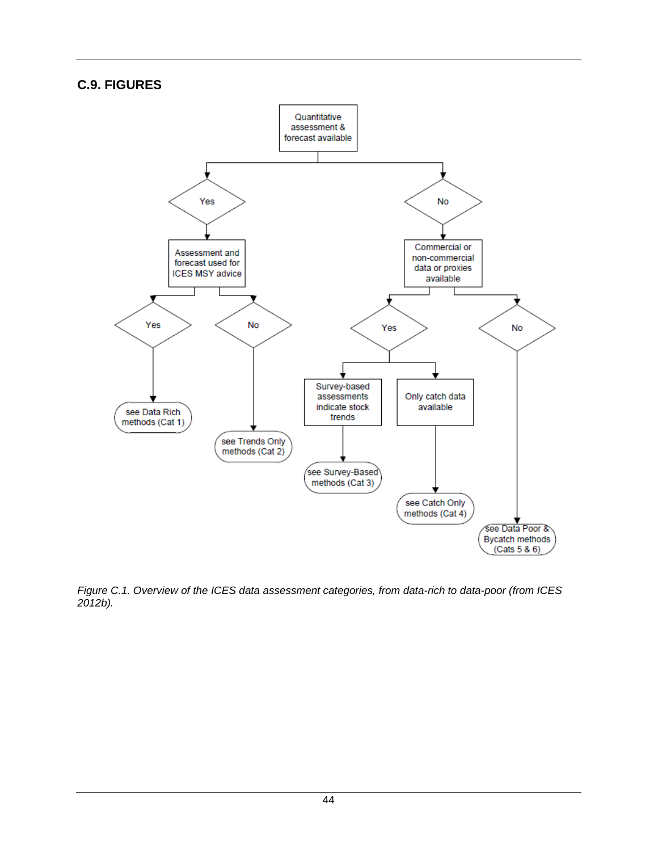#### **C.9. FIGURES**



*Figure C.1. Overview of the ICES data assessment categories, from data-rich to data-poor (from ICES 2012b).*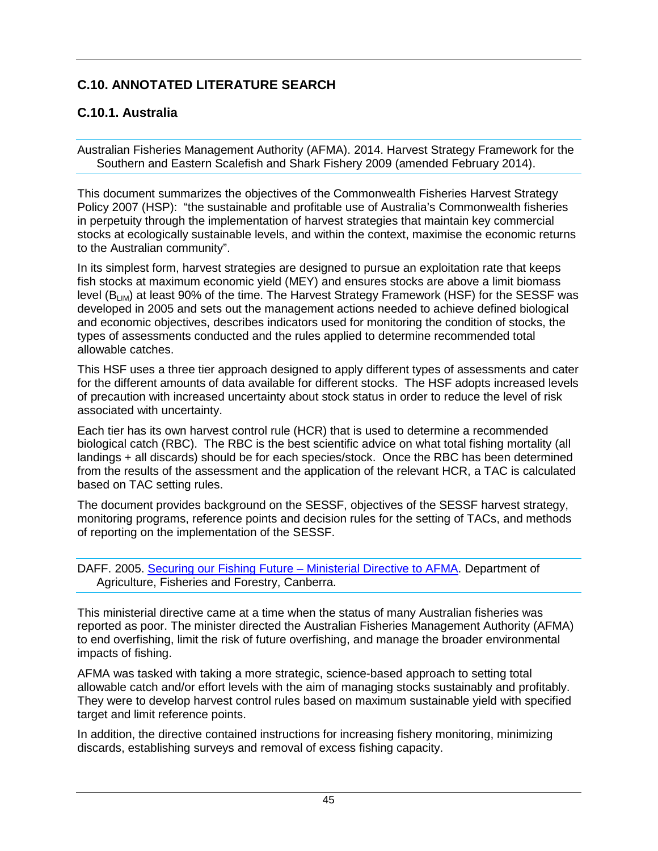# <span id="page-52-0"></span>**C.10. ANNOTATED LITERATURE SEARCH**

# **C.10.1. Australia**

Australian Fisheries Management Authority (AFMA). 2014. Harvest Strategy Framework for the Southern and Eastern Scalefish and Shark Fishery 2009 (amended February 2014).

This document summarizes the objectives of the Commonwealth Fisheries Harvest Strategy Policy 2007 (HSP): "the sustainable and profitable use of Australia's Commonwealth fisheries in perpetuity through the implementation of harvest strategies that maintain key commercial stocks at ecologically sustainable levels, and within the context, maximise the economic returns to the Australian community".

In its simplest form, harvest strategies are designed to pursue an exploitation rate that keeps fish stocks at maximum economic yield (MEY) and ensures stocks are above a limit biomass level (B<sub>LIM</sub>) at least 90% of the time. The Harvest Strategy Framework (HSF) for the SESSF was developed in 2005 and sets out the management actions needed to achieve defined biological and economic objectives, describes indicators used for monitoring the condition of stocks, the types of assessments conducted and the rules applied to determine recommended total allowable catches.

This HSF uses a three tier approach designed to apply different types of assessments and cater for the different amounts of data available for different stocks. The HSF adopts increased levels of precaution with increased uncertainty about stock status in order to reduce the level of risk associated with uncertainty.

Each tier has its own harvest control rule (HCR) that is used to determine a recommended biological catch (RBC). The RBC is the best scientific advice on what total fishing mortality (all landings + all discards) should be for each species/stock. Once the RBC has been determined from the results of the assessment and the application of the relevant HCR, a TAC is calculated based on TAC setting rules.

The document provides background on the SESSF, objectives of the SESSF harvest strategy, monitoring programs, reference points and decision rules for the setting of TACs, and methods of reporting on the implementation of the SESSF.

DAFF. 2005. Securing our Fishing Future – [Ministerial Directive to AFMA.](http://www.agriculture.gov.au/SiteCollectionDocuments/fisheries/domestic/harvest-strategy-policy/ministerial-direction-2005.pdf) Department of Agriculture, Fisheries and Forestry, Canberra.

This ministerial directive came at a time when the status of many Australian fisheries was reported as poor. The minister directed the Australian Fisheries Management Authority (AFMA) to end overfishing, limit the risk of future overfishing, and manage the broader environmental impacts of fishing.

AFMA was tasked with taking a more strategic, science-based approach to setting total allowable catch and/or effort levels with the aim of managing stocks sustainably and profitably. They were to develop harvest control rules based on maximum sustainable yield with specified target and limit reference points.

In addition, the directive contained instructions for increasing fishery monitoring, minimizing discards, establishing surveys and removal of excess fishing capacity.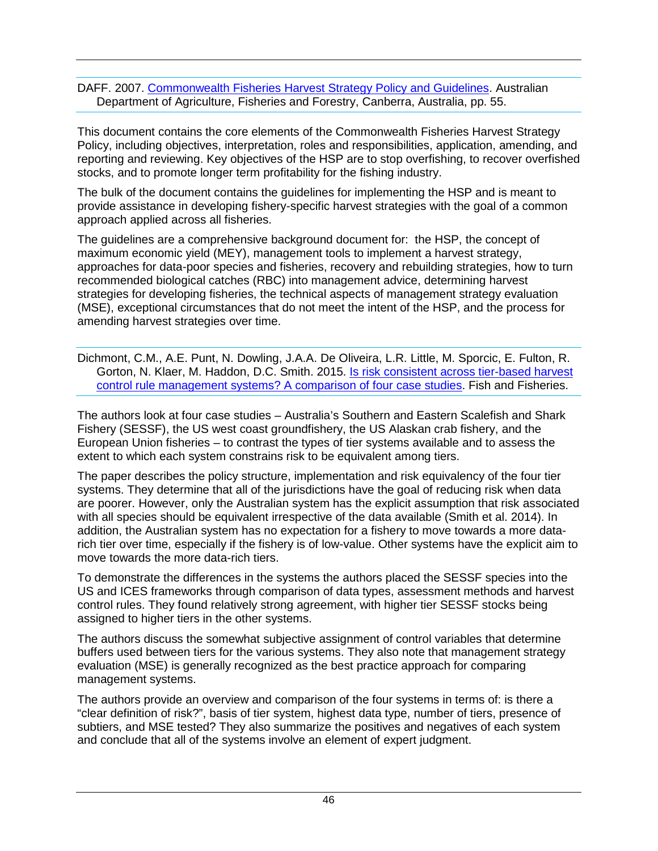DAFF. 2007. [Commonwealth Fisheries Harvest Strategy Policy and Guidelines.](http://www.agriculture.gov.au/fisheries/domestic/harvest_strategy_policy) Australian Department of Agriculture, Fisheries and Forestry, Canberra, Australia, pp. 55.

This document contains the core elements of the Commonwealth Fisheries Harvest Strategy Policy, including objectives, interpretation, roles and responsibilities, application, amending, and reporting and reviewing. Key objectives of the HSP are to stop overfishing, to recover overfished stocks, and to promote longer term profitability for the fishing industry.

The bulk of the document contains the guidelines for implementing the HSP and is meant to provide assistance in developing fishery-specific harvest strategies with the goal of a common approach applied across all fisheries.

The guidelines are a comprehensive background document for: the HSP, the concept of maximum economic yield (MEY), management tools to implement a harvest strategy, approaches for data-poor species and fisheries, recovery and rebuilding strategies, how to turn recommended biological catches (RBC) into management advice, determining harvest strategies for developing fisheries, the technical aspects of management strategy evaluation (MSE), exceptional circumstances that do not meet the intent of the HSP, and the process for amending harvest strategies over time.

Dichmont, C.M., A.E. Punt, N. Dowling, J.A.A. De Oliveira, L.R. Little, M. Sporcic, E. Fulton, R. Gorton, N. Klaer, M. Haddon, D.C. Smith. 2015. [Is risk consistent across tier-based harvest](http://dx.doi.org/10.1111/faf.12142)  [control rule management systems? A comparison of four case studies.](http://dx.doi.org/10.1111/faf.12142) Fish and Fisheries.

The authors look at four case studies – Australia's Southern and Eastern Scalefish and Shark Fishery (SESSF), the US west coast groundfishery, the US Alaskan crab fishery, and the European Union fisheries – to contrast the types of tier systems available and to assess the extent to which each system constrains risk to be equivalent among tiers.

The paper describes the policy structure, implementation and risk equivalency of the four tier systems. They determine that all of the jurisdictions have the goal of reducing risk when data are poorer. However, only the Australian system has the explicit assumption that risk associated with all species should be equivalent irrespective of the data available (Smith et al. 2014). In addition, the Australian system has no expectation for a fishery to move towards a more datarich tier over time, especially if the fishery is of low-value. Other systems have the explicit aim to move towards the more data-rich tiers.

To demonstrate the differences in the systems the authors placed the SESSF species into the US and ICES frameworks through comparison of data types, assessment methods and harvest control rules. They found relatively strong agreement, with higher tier SESSF stocks being assigned to higher tiers in the other systems.

The authors discuss the somewhat subjective assignment of control variables that determine buffers used between tiers for the various systems. They also note that management strategy evaluation (MSE) is generally recognized as the best practice approach for comparing management systems.

The authors provide an overview and comparison of the four systems in terms of: is there a "clear definition of risk?", basis of tier system, highest data type, number of tiers, presence of subtiers, and MSE tested? They also summarize the positives and negatives of each system and conclude that all of the systems involve an element of expert judgment.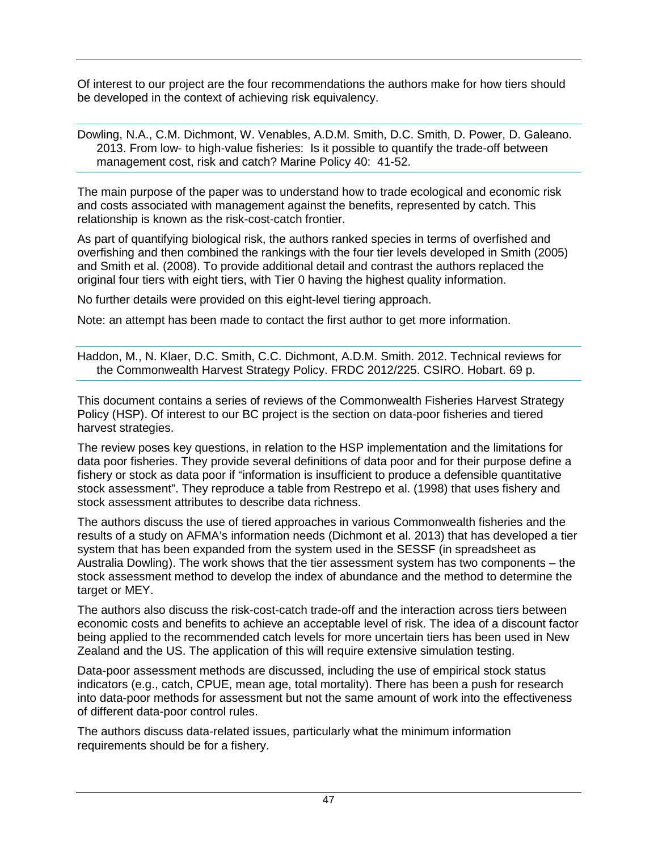Of interest to our project are the four recommendations the authors make for how tiers should be developed in the context of achieving risk equivalency.

Dowling, N.A., C.M. Dichmont, W. Venables, A.D.M. Smith, D.C. Smith, D. Power, D. Galeano. 2013. From low- to high-value fisheries: Is it possible to quantify the trade-off between management cost, risk and catch? Marine Policy 40: 41-52.

The main purpose of the paper was to understand how to trade ecological and economic risk and costs associated with management against the benefits, represented by catch. This relationship is known as the risk-cost-catch frontier.

As part of quantifying biological risk, the authors ranked species in terms of overfished and overfishing and then combined the rankings with the four tier levels developed in Smith (2005) and Smith et al. (2008). To provide additional detail and contrast the authors replaced the original four tiers with eight tiers, with Tier 0 having the highest quality information.

No further details were provided on this eight-level tiering approach.

Note: an attempt has been made to contact the first author to get more information.

Haddon, M., N. Klaer, D.C. Smith, C.C. Dichmont, A.D.M. Smith. 2012. Technical reviews for the Commonwealth Harvest Strategy Policy. FRDC 2012/225. CSIRO. Hobart. 69 p.

This document contains a series of reviews of the Commonwealth Fisheries Harvest Strategy Policy (HSP). Of interest to our BC project is the section on data-poor fisheries and tiered harvest strategies.

The review poses key questions, in relation to the HSP implementation and the limitations for data poor fisheries. They provide several definitions of data poor and for their purpose define a fishery or stock as data poor if "information is insufficient to produce a defensible quantitative stock assessment". They reproduce a table from Restrepo et al. (1998) that uses fishery and stock assessment attributes to describe data richness.

The authors discuss the use of tiered approaches in various Commonwealth fisheries and the results of a study on AFMA's information needs (Dichmont et al. 2013) that has developed a tier system that has been expanded from the system used in the SESSF (in spreadsheet as Australia Dowling). The work shows that the tier assessment system has two components – the stock assessment method to develop the index of abundance and the method to determine the target or MEY.

The authors also discuss the risk-cost-catch trade-off and the interaction across tiers between economic costs and benefits to achieve an acceptable level of risk. The idea of a discount factor being applied to the recommended catch levels for more uncertain tiers has been used in New Zealand and the US. The application of this will require extensive simulation testing.

Data-poor assessment methods are discussed, including the use of empirical stock status indicators (e.g., catch, CPUE, mean age, total mortality). There has been a push for research into data-poor methods for assessment but not the same amount of work into the effectiveness of different data-poor control rules.

The authors discuss data-related issues, particularly what the minimum information requirements should be for a fishery.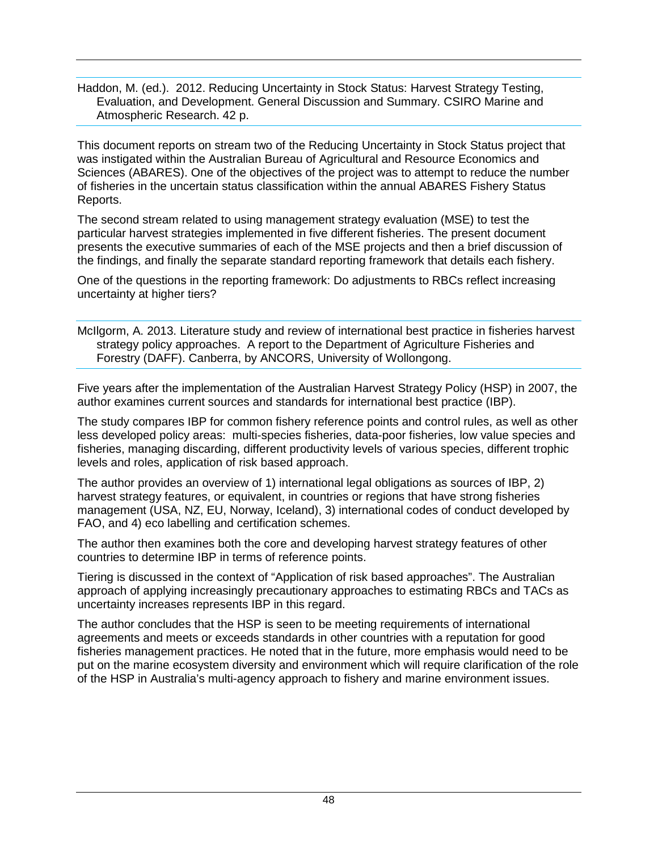Haddon, M. (ed.). 2012. Reducing Uncertainty in Stock Status: Harvest Strategy Testing, Evaluation, and Development. General Discussion and Summary. CSIRO Marine and Atmospheric Research. 42 p.

This document reports on stream two of the Reducing Uncertainty in Stock Status project that was instigated within the Australian Bureau of Agricultural and Resource Economics and Sciences (ABARES). One of the objectives of the project was to attempt to reduce the number of fisheries in the uncertain status classification within the annual ABARES Fishery Status Reports.

The second stream related to using management strategy evaluation (MSE) to test the particular harvest strategies implemented in five different fisheries. The present document presents the executive summaries of each of the MSE projects and then a brief discussion of the findings, and finally the separate standard reporting framework that details each fishery.

One of the questions in the reporting framework: Do adjustments to RBCs reflect increasing uncertainty at higher tiers?

McIlgorm, A. 2013. Literature study and review of international best practice in fisheries harvest strategy policy approaches. A report to the Department of Agriculture Fisheries and Forestry (DAFF). Canberra, by ANCORS, University of Wollongong.

Five years after the implementation of the Australian Harvest Strategy Policy (HSP) in 2007, the author examines current sources and standards for international best practice (IBP).

The study compares IBP for common fishery reference points and control rules, as well as other less developed policy areas: multi-species fisheries, data-poor fisheries, low value species and fisheries, managing discarding, different productivity levels of various species, different trophic levels and roles, application of risk based approach.

The author provides an overview of 1) international legal obligations as sources of IBP, 2) harvest strategy features, or equivalent, in countries or regions that have strong fisheries management (USA, NZ, EU, Norway, Iceland), 3) international codes of conduct developed by FAO, and 4) eco labelling and certification schemes.

The author then examines both the core and developing harvest strategy features of other countries to determine IBP in terms of reference points.

Tiering is discussed in the context of "Application of risk based approaches". The Australian approach of applying increasingly precautionary approaches to estimating RBCs and TACs as uncertainty increases represents IBP in this regard.

The author concludes that the HSP is seen to be meeting requirements of international agreements and meets or exceeds standards in other countries with a reputation for good fisheries management practices. He noted that in the future, more emphasis would need to be put on the marine ecosystem diversity and environment which will require clarification of the role of the HSP in Australia's multi-agency approach to fishery and marine environment issues.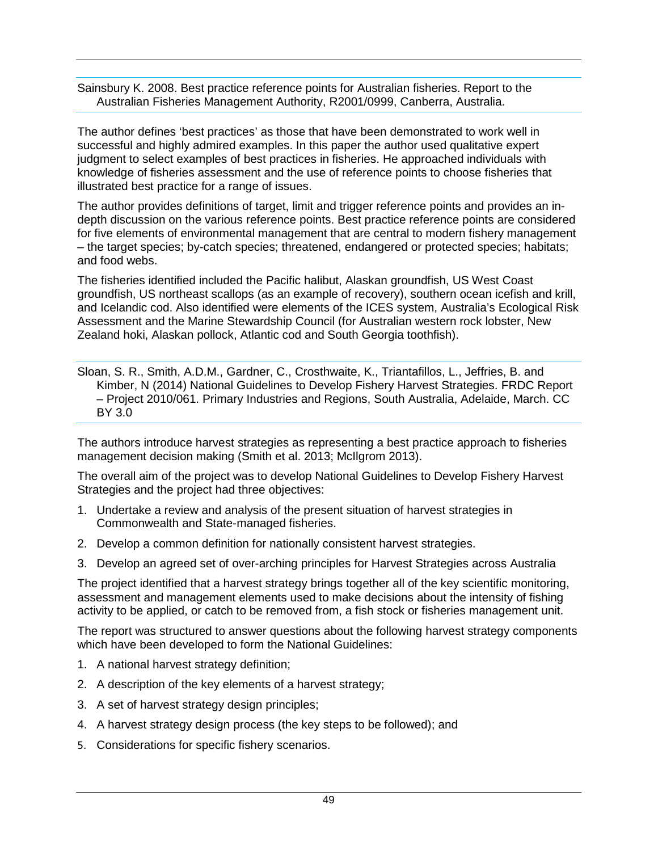Sainsbury K. 2008. Best practice reference points for Australian fisheries. Report to the Australian Fisheries Management Authority, R2001/0999, Canberra, Australia.

The author defines 'best practices' as those that have been demonstrated to work well in successful and highly admired examples. In this paper the author used qualitative expert judgment to select examples of best practices in fisheries. He approached individuals with knowledge of fisheries assessment and the use of reference points to choose fisheries that illustrated best practice for a range of issues.

The author provides definitions of target, limit and trigger reference points and provides an indepth discussion on the various reference points. Best practice reference points are considered for five elements of environmental management that are central to modern fishery management – the target species; by-catch species; threatened, endangered or protected species; habitats; and food webs.

The fisheries identified included the Pacific halibut, Alaskan groundfish, US West Coast groundfish, US northeast scallops (as an example of recovery), southern ocean icefish and krill, and Icelandic cod. Also identified were elements of the ICES system, Australia's Ecological Risk Assessment and the Marine Stewardship Council (for Australian western rock lobster, New Zealand hoki, Alaskan pollock, Atlantic cod and South Georgia toothfish).

Sloan, S. R., Smith, A.D.M., Gardner, C., Crosthwaite, K., Triantafillos, L., Jeffries, B. and Kimber, N (2014) National Guidelines to Develop Fishery Harvest Strategies. FRDC Report – Project 2010/061. Primary Industries and Regions, South Australia, Adelaide, March. CC BY 3.0

The authors introduce harvest strategies as representing a best practice approach to fisheries management decision making (Smith et al. 2013; McIlgrom 2013).

The overall aim of the project was to develop National Guidelines to Develop Fishery Harvest Strategies and the project had three objectives:

- 1. Undertake a review and analysis of the present situation of harvest strategies in Commonwealth and State-managed fisheries.
- 2. Develop a common definition for nationally consistent harvest strategies.
- 3. Develop an agreed set of over-arching principles for Harvest Strategies across Australia

The project identified that a harvest strategy brings together all of the key scientific monitoring, assessment and management elements used to make decisions about the intensity of fishing activity to be applied, or catch to be removed from, a fish stock or fisheries management unit.

The report was structured to answer questions about the following harvest strategy components which have been developed to form the National Guidelines:

- 1. A national harvest strategy definition;
- 2. A description of the key elements of a harvest strategy;
- 3. A set of harvest strategy design principles;
- 4. A harvest strategy design process (the key steps to be followed); and
- 5. Considerations for specific fishery scenarios.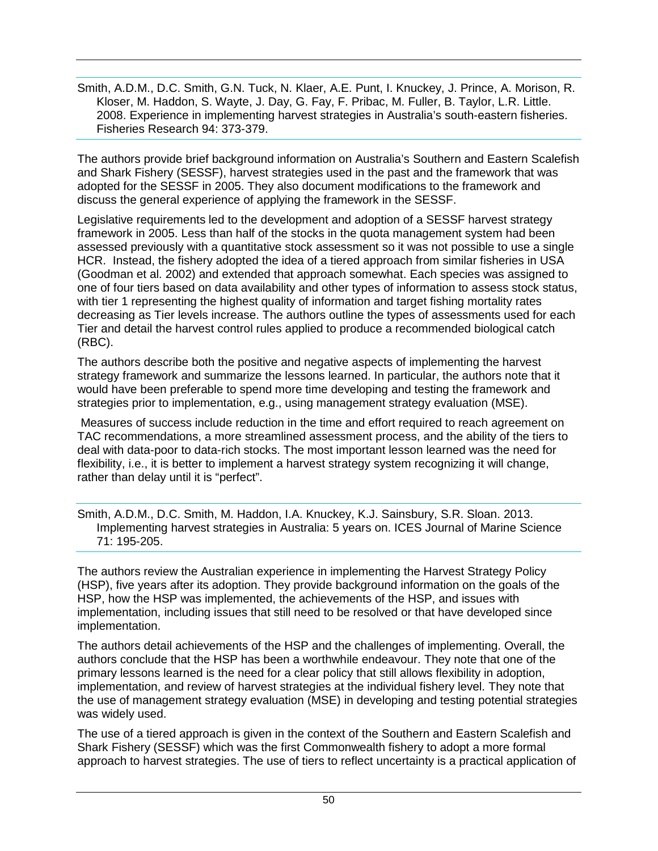Smith, A.D.M., D.C. Smith, G.N. Tuck, N. Klaer, A.E. Punt, I. Knuckey, J. Prince, A. Morison, R. Kloser, M. Haddon, S. Wayte, J. Day, G. Fay, F. Pribac, M. Fuller, B. Taylor, L.R. Little. 2008. Experience in implementing harvest strategies in Australia's south-eastern fisheries. Fisheries Research 94: 373-379.

The authors provide brief background information on Australia's Southern and Eastern Scalefish and Shark Fishery (SESSF), harvest strategies used in the past and the framework that was adopted for the SESSF in 2005. They also document modifications to the framework and discuss the general experience of applying the framework in the SESSF.

Legislative requirements led to the development and adoption of a SESSF harvest strategy framework in 2005. Less than half of the stocks in the quota management system had been assessed previously with a quantitative stock assessment so it was not possible to use a single HCR. Instead, the fishery adopted the idea of a tiered approach from similar fisheries in USA (Goodman et al. 2002) and extended that approach somewhat. Each species was assigned to one of four tiers based on data availability and other types of information to assess stock status, with tier 1 representing the highest quality of information and target fishing mortality rates decreasing as Tier levels increase. The authors outline the types of assessments used for each Tier and detail the harvest control rules applied to produce a recommended biological catch (RBC).

The authors describe both the positive and negative aspects of implementing the harvest strategy framework and summarize the lessons learned. In particular, the authors note that it would have been preferable to spend more time developing and testing the framework and strategies prior to implementation, e.g., using management strategy evaluation (MSE).

Measures of success include reduction in the time and effort required to reach agreement on TAC recommendations, a more streamlined assessment process, and the ability of the tiers to deal with data-poor to data-rich stocks. The most important lesson learned was the need for flexibility, i.e., it is better to implement a harvest strategy system recognizing it will change, rather than delay until it is "perfect".

Smith, A.D.M., D.C. Smith, M. Haddon, I.A. Knuckey, K.J. Sainsbury, S.R. Sloan. 2013. Implementing harvest strategies in Australia: 5 years on. ICES Journal of Marine Science 71: 195-205.

The authors review the Australian experience in implementing the Harvest Strategy Policy (HSP), five years after its adoption. They provide background information on the goals of the HSP, how the HSP was implemented, the achievements of the HSP, and issues with implementation, including issues that still need to be resolved or that have developed since implementation.

The authors detail achievements of the HSP and the challenges of implementing. Overall, the authors conclude that the HSP has been a worthwhile endeavour. They note that one of the primary lessons learned is the need for a clear policy that still allows flexibility in adoption, implementation, and review of harvest strategies at the individual fishery level. They note that the use of management strategy evaluation (MSE) in developing and testing potential strategies was widely used.

The use of a tiered approach is given in the context of the Southern and Eastern Scalefish and Shark Fishery (SESSF) which was the first Commonwealth fishery to adopt a more formal approach to harvest strategies. The use of tiers to reflect uncertainty is a practical application of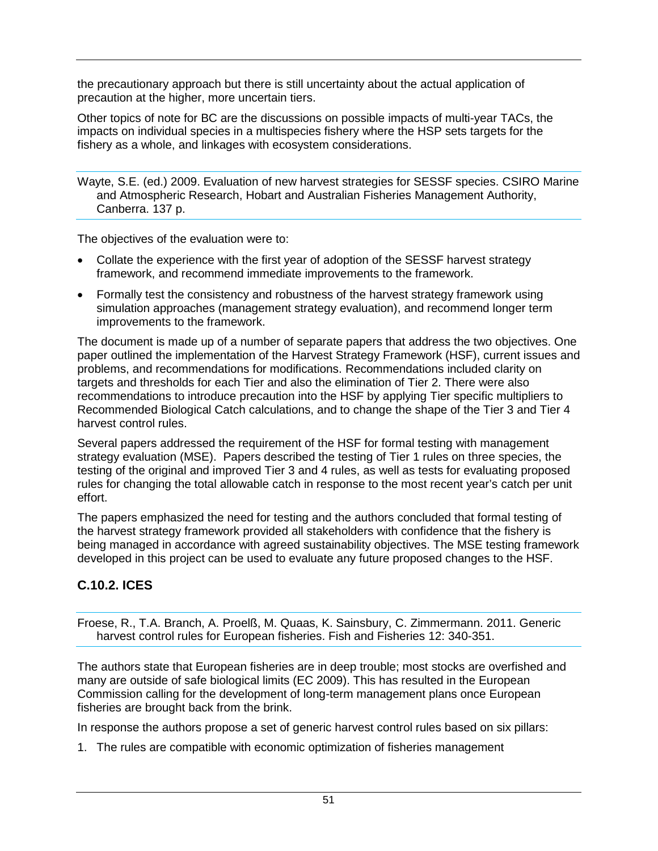the precautionary approach but there is still uncertainty about the actual application of precaution at the higher, more uncertain tiers.

Other topics of note for BC are the discussions on possible impacts of multi-year TACs, the impacts on individual species in a multispecies fishery where the HSP sets targets for the fishery as a whole, and linkages with ecosystem considerations.

Wayte, S.E. (ed.) 2009. Evaluation of new harvest strategies for SESSF species. CSIRO Marine and Atmospheric Research, Hobart and Australian Fisheries Management Authority, Canberra. 137 p.

The objectives of the evaluation were to:

- Collate the experience with the first year of adoption of the SESSF harvest strategy framework, and recommend immediate improvements to the framework.
- Formally test the consistency and robustness of the harvest strategy framework using simulation approaches (management strategy evaluation), and recommend longer term improvements to the framework.

The document is made up of a number of separate papers that address the two objectives. One paper outlined the implementation of the Harvest Strategy Framework (HSF), current issues and problems, and recommendations for modifications. Recommendations included clarity on targets and thresholds for each Tier and also the elimination of Tier 2. There were also recommendations to introduce precaution into the HSF by applying Tier specific multipliers to Recommended Biological Catch calculations, and to change the shape of the Tier 3 and Tier 4 harvest control rules.

Several papers addressed the requirement of the HSF for formal testing with management strategy evaluation (MSE). Papers described the testing of Tier 1 rules on three species, the testing of the original and improved Tier 3 and 4 rules, as well as tests for evaluating proposed rules for changing the total allowable catch in response to the most recent year's catch per unit effort.

The papers emphasized the need for testing and the authors concluded that formal testing of the harvest strategy framework provided all stakeholders with confidence that the fishery is being managed in accordance with agreed sustainability objectives. The MSE testing framework developed in this project can be used to evaluate any future proposed changes to the HSF.

# **C.10.2. ICES**

Froese, R., T.A. Branch, A. Proelß, M. Quaas, K. Sainsbury, C. Zimmermann. 2011. Generic harvest control rules for European fisheries. Fish and Fisheries 12: 340-351.

The authors state that European fisheries are in deep trouble; most stocks are overfished and many are outside of safe biological limits (EC 2009). This has resulted in the European Commission calling for the development of long-term management plans once European fisheries are brought back from the brink.

In response the authors propose a set of generic harvest control rules based on six pillars:

1. The rules are compatible with economic optimization of fisheries management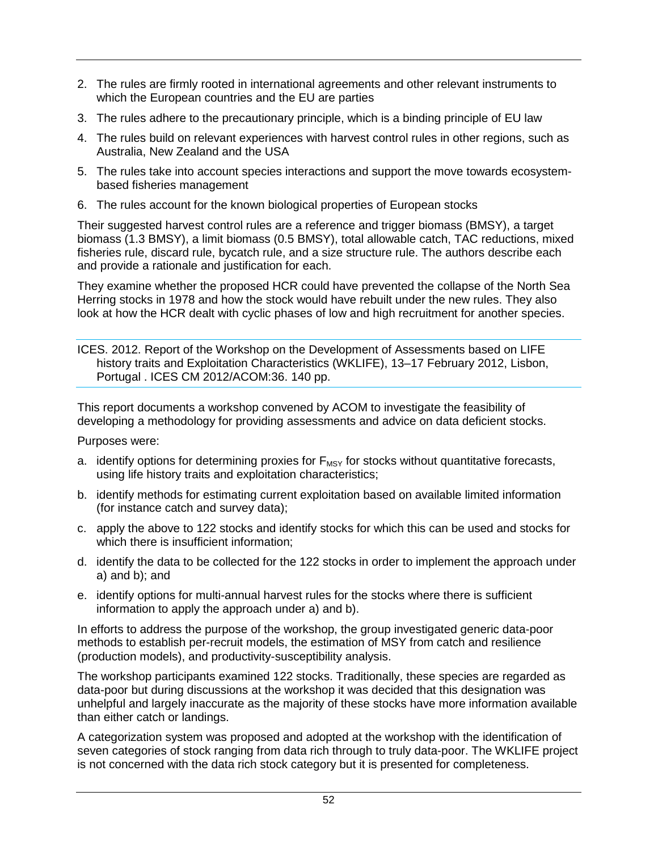- 2. The rules are firmly rooted in international agreements and other relevant instruments to which the European countries and the EU are parties
- 3. The rules adhere to the precautionary principle, which is a binding principle of EU law
- 4. The rules build on relevant experiences with harvest control rules in other regions, such as Australia, New Zealand and the USA
- 5. The rules take into account species interactions and support the move towards ecosystembased fisheries management
- 6. The rules account for the known biological properties of European stocks

Their suggested harvest control rules are a reference and trigger biomass (BMSY), a target biomass (1.3 BMSY), a limit biomass (0.5 BMSY), total allowable catch, TAC reductions, mixed fisheries rule, discard rule, bycatch rule, and a size structure rule. The authors describe each and provide a rationale and justification for each.

They examine whether the proposed HCR could have prevented the collapse of the North Sea Herring stocks in 1978 and how the stock would have rebuilt under the new rules. They also look at how the HCR dealt with cyclic phases of low and high recruitment for another species.

ICES. 2012. Report of the Workshop on the Development of Assessments based on LIFE history traits and Exploitation Characteristics (WKLIFE), 13–17 February 2012, Lisbon, Portugal . ICES CM 2012/ACOM:36. 140 pp.

This report documents a workshop convened by ACOM to investigate the feasibility of developing a methodology for providing assessments and advice on data deficient stocks.

Purposes were:

- a. identify options for determining proxies for  $F_{MSY}$  for stocks without quantitative forecasts, using life history traits and exploitation characteristics;
- b. identify methods for estimating current exploitation based on available limited information (for instance catch and survey data);
- c. apply the above to 122 stocks and identify stocks for which this can be used and stocks for which there is insufficient information:
- d. identify the data to be collected for the 122 stocks in order to implement the approach under a) and b); and
- e. identify options for multi-annual harvest rules for the stocks where there is sufficient information to apply the approach under a) and b).

In efforts to address the purpose of the workshop, the group investigated generic data-poor methods to establish per-recruit models, the estimation of MSY from catch and resilience (production models), and productivity-susceptibility analysis.

The workshop participants examined 122 stocks. Traditionally, these species are regarded as data-poor but during discussions at the workshop it was decided that this designation was unhelpful and largely inaccurate as the majority of these stocks have more information available than either catch or landings.

A categorization system was proposed and adopted at the workshop with the identification of seven categories of stock ranging from data rich through to truly data-poor. The WKLIFE project is not concerned with the data rich stock category but it is presented for completeness.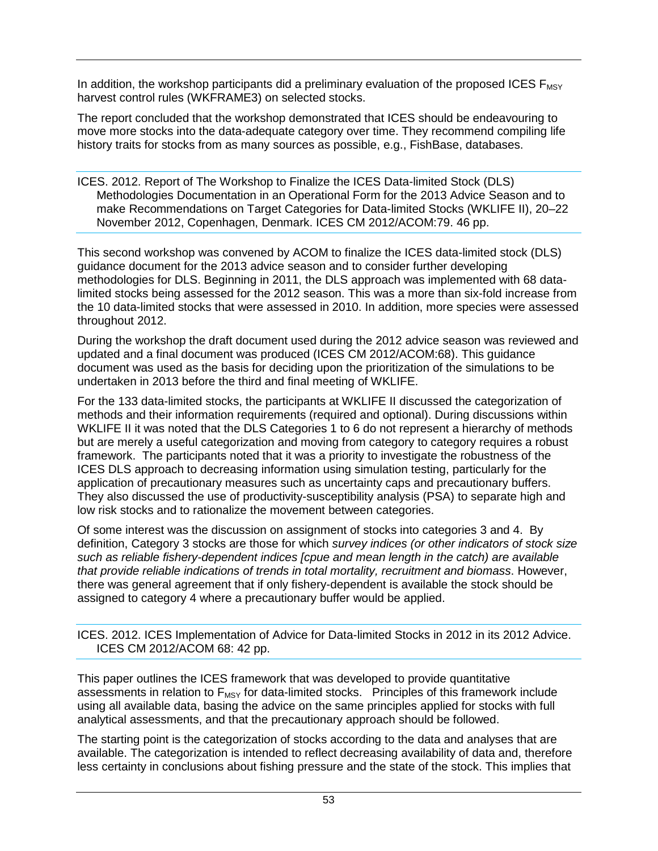In addition, the workshop participants did a preliminary evaluation of the proposed ICES  $F_{MSV}$ harvest control rules (WKFRAME3) on selected stocks.

The report concluded that the workshop demonstrated that ICES should be endeavouring to move more stocks into the data-adequate category over time. They recommend compiling life history traits for stocks from as many sources as possible, e.g., FishBase, databases.

ICES. 2012. Report of The Workshop to Finalize the ICES Data-limited Stock (DLS) Methodologies Documentation in an Operational Form for the 2013 Advice Season and to make Recommendations on Target Categories for Data-limited Stocks (WKLIFE II), 20–22 November 2012, Copenhagen, Denmark. ICES CM 2012/ACOM:79. 46 pp.

This second workshop was convened by ACOM to finalize the ICES data-limited stock (DLS) guidance document for the 2013 advice season and to consider further developing methodologies for DLS. Beginning in 2011, the DLS approach was implemented with 68 datalimited stocks being assessed for the 2012 season. This was a more than six-fold increase from the 10 data-limited stocks that were assessed in 2010. In addition, more species were assessed throughout 2012.

During the workshop the draft document used during the 2012 advice season was reviewed and updated and a final document was produced (ICES CM 2012/ACOM:68). This guidance document was used as the basis for deciding upon the prioritization of the simulations to be undertaken in 2013 before the third and final meeting of WKLIFE.

For the 133 data-limited stocks, the participants at WKLIFE II discussed the categorization of methods and their information requirements (required and optional). During discussions within WKLIFE II it was noted that the DLS Categories 1 to 6 do not represent a hierarchy of methods but are merely a useful categorization and moving from category to category requires a robust framework. The participants noted that it was a priority to investigate the robustness of the ICES DLS approach to decreasing information using simulation testing, particularly for the application of precautionary measures such as uncertainty caps and precautionary buffers. They also discussed the use of productivity-susceptibility analysis (PSA) to separate high and low risk stocks and to rationalize the movement between categories.

Of some interest was the discussion on assignment of stocks into categories 3 and 4. By definition, Category 3 stocks are those for which *survey indices (or other indicators of stock size such as reliable fishery-dependent indices [cpue and mean length in the catch) are available that provide reliable indications of trends in total mortality, recruitment and biomass*. However, there was general agreement that if only fishery-dependent is available the stock should be assigned to category 4 where a precautionary buffer would be applied.

ICES. 2012. ICES Implementation of Advice for Data-limited Stocks in 2012 in its 2012 Advice. ICES CM 2012/ACOM 68: 42 pp.

This paper outlines the ICES framework that was developed to provide quantitative assessments in relation to  $F_{MSV}$  for data-limited stocks. Principles of this framework include using all available data, basing the advice on the same principles applied for stocks with full analytical assessments, and that the precautionary approach should be followed.

The starting point is the categorization of stocks according to the data and analyses that are available. The categorization is intended to reflect decreasing availability of data and, therefore less certainty in conclusions about fishing pressure and the state of the stock. This implies that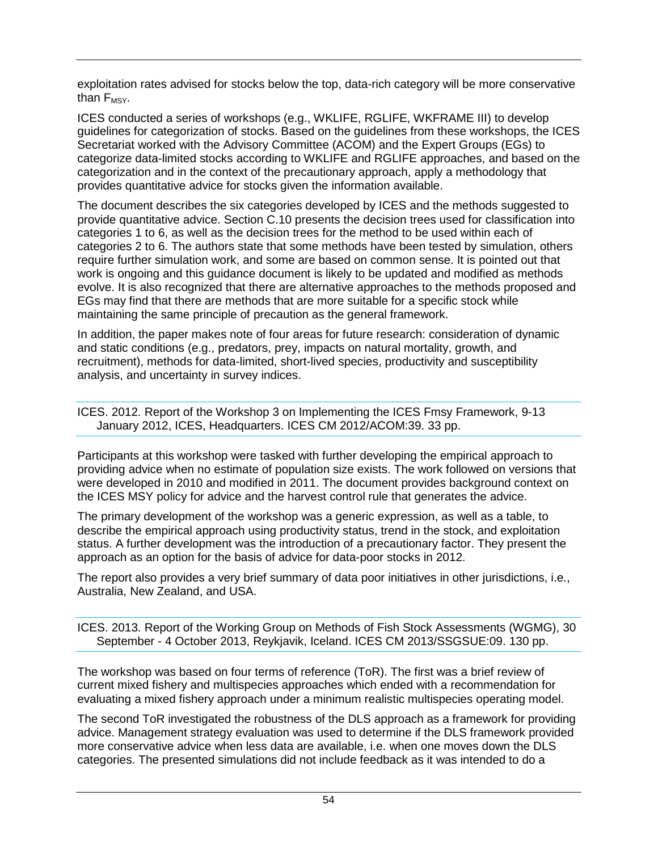exploitation rates advised for stocks below the top, data-rich category will be more conservative than  $F_{MSY}$ .

ICES conducted a series of workshops (e.g., WKLIFE, RGLIFE, WKFRAME III) to develop guidelines for categorization of stocks. Based on the guidelines from these workshops, the ICES Secretariat worked with the Advisory Committee (ACOM) and the Expert Groups (EGs) to categorize data-limited stocks according to WKLIFE and RGLIFE approaches, and based on the categorization and in the context of the precautionary approach, apply a methodology that provides quantitative advice for stocks given the information available.

The document describes the six categories developed by ICES and the methods suggested to provide quantitative advice. Section [C.10](#page-52-0) presents the decision trees used for classification into categories 1 to 6, as well as the decision trees for the method to be used within each of categories 2 to 6. The authors state that some methods have been tested by simulation, others require further simulation work, and some are based on common sense. It is pointed out that work is ongoing and this guidance document is likely to be updated and modified as methods evolve. It is also recognized that there are alternative approaches to the methods proposed and EGs may find that there are methods that are more suitable for a specific stock while maintaining the same principle of precaution as the general framework.

In addition, the paper makes note of four areas for future research: consideration of dynamic and static conditions (e.g., predators, prey, impacts on natural mortality, growth, and recruitment), methods for data-limited, short-lived species, productivity and susceptibility analysis, and uncertainty in survey indices.

ICES. 2012. Report of the Workshop 3 on Implementing the ICES Fmsy Framework, 9-13 January 2012, ICES, Headquarters. ICES CM 2012/ACOM:39. 33 pp.

Participants at this workshop were tasked with further developing the empirical approach to providing advice when no estimate of population size exists. The work followed on versions that were developed in 2010 and modified in 2011. The document provides background context on the ICES MSY policy for advice and the harvest control rule that generates the advice.

The primary development of the workshop was a generic expression, as well as a table, to describe the empirical approach using productivity status, trend in the stock, and exploitation status. A further development was the introduction of a precautionary factor. They present the approach as an option for the basis of advice for data-poor stocks in 2012.

The report also provides a very brief summary of data poor initiatives in other jurisdictions, i.e., Australia, New Zealand, and USA.

ICES. 2013. Report of the Working Group on Methods of Fish Stock Assessments (WGMG), 30 September - 4 October 2013, Reykjavik, Iceland. ICES CM 2013/SSGSUE:09. 130 pp.

The workshop was based on four terms of reference (ToR). The first was a brief review of current mixed fishery and multispecies approaches which ended with a recommendation for evaluating a mixed fishery approach under a minimum realistic multispecies operating model.

The second ToR investigated the robustness of the DLS approach as a framework for providing advice. Management strategy evaluation was used to determine if the DLS framework provided more conservative advice when less data are available, i.e. when one moves down the DLS categories. The presented simulations did not include feedback as it was intended to do a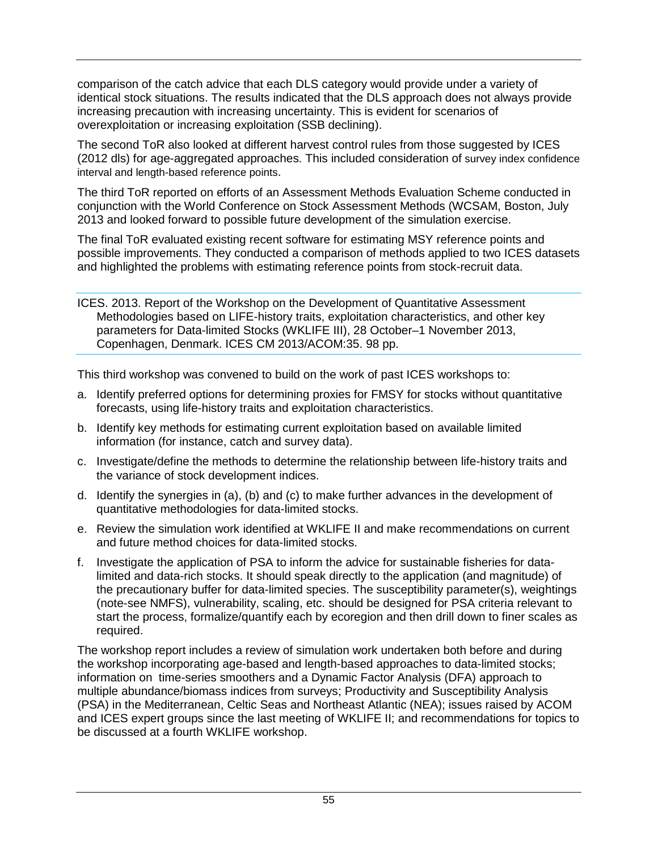comparison of the catch advice that each DLS category would provide under a variety of identical stock situations. The results indicated that the DLS approach does not always provide increasing precaution with increasing uncertainty. This is evident for scenarios of overexploitation or increasing exploitation (SSB declining).

The second ToR also looked at different harvest control rules from those suggested by ICES (2012 dls) for age-aggregated approaches. This included consideration of survey index confidence interval and length-based reference points.

The third ToR reported on efforts of an Assessment Methods Evaluation Scheme conducted in conjunction with the World Conference on Stock Assessment Methods (WCSAM, Boston, July 2013 and looked forward to possible future development of the simulation exercise.

The final ToR evaluated existing recent software for estimating MSY reference points and possible improvements. They conducted a comparison of methods applied to two ICES datasets and highlighted the problems with estimating reference points from stock-recruit data.

ICES. 2013. Report of the Workshop on the Development of Quantitative Assessment Methodologies based on LIFE-history traits, exploitation characteristics, and other key parameters for Data-limited Stocks (WKLIFE III), 28 October–1 November 2013, Copenhagen, Denmark. ICES CM 2013/ACOM:35. 98 pp.

This third workshop was convened to build on the work of past ICES workshops to:

- a. Identify preferred options for determining proxies for FMSY for stocks without quantitative forecasts, using life-history traits and exploitation characteristics.
- b. Identify key methods for estimating current exploitation based on available limited information (for instance, catch and survey data).
- c. Investigate/define the methods to determine the relationship between life-history traits and the variance of stock development indices.
- d. Identify the synergies in (a), (b) and (c) to make further advances in the development of quantitative methodologies for data-limited stocks.
- e. Review the simulation work identified at WKLIFE II and make recommendations on current and future method choices for data-limited stocks.
- f. Investigate the application of PSA to inform the advice for sustainable fisheries for datalimited and data-rich stocks. It should speak directly to the application (and magnitude) of the precautionary buffer for data-limited species. The susceptibility parameter(s), weightings (note-see NMFS), vulnerability, scaling, etc. should be designed for PSA criteria relevant to start the process, formalize/quantify each by ecoregion and then drill down to finer scales as required.

The workshop report includes a review of simulation work undertaken both before and during the workshop incorporating age-based and length-based approaches to data-limited stocks; information on time-series smoothers and a Dynamic Factor Analysis (DFA) approach to multiple abundance/biomass indices from surveys; Productivity and Susceptibility Analysis (PSA) in the Mediterranean, Celtic Seas and Northeast Atlantic (NEA); issues raised by ACOM and ICES expert groups since the last meeting of WKLIFE II; and recommendations for topics to be discussed at a fourth WKLIFE workshop.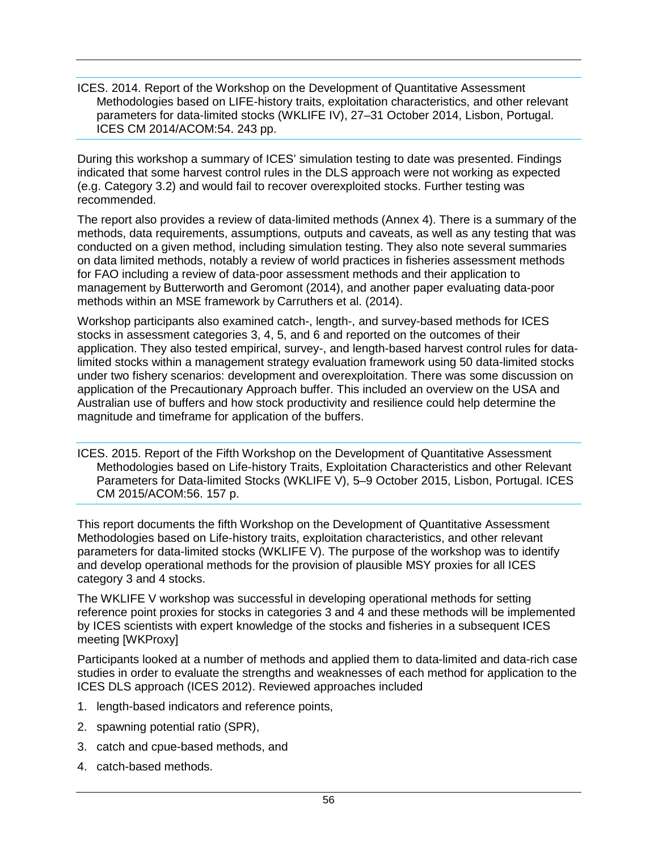ICES. 2014. Report of the Workshop on the Development of Quantitative Assessment Methodologies based on LIFE-history traits, exploitation characteristics, and other relevant parameters for data-limited stocks (WKLIFE IV), 27–31 October 2014, Lisbon, Portugal. ICES CM 2014/ACOM:54. 243 pp.

During this workshop a summary of ICES' simulation testing to date was presented. Findings indicated that some harvest control rules in the DLS approach were not working as expected (e.g. Category 3.2) and would fail to recover overexploited stocks. Further testing was recommended.

The report also provides a review of data-limited methods (Annex 4). There is a summary of the methods, data requirements, assumptions, outputs and caveats, as well as any testing that was conducted on a given method, including simulation testing. They also note several summaries on data limited methods, notably a review of world practices in fisheries assessment methods for FAO including a review of data-poor assessment methods and their application to management by Butterworth and Geromont (2014), and another paper evaluating data-poor methods within an MSE framework by Carruthers et al. (2014).

Workshop participants also examined catch-, length-, and survey-based methods for ICES stocks in assessment categories 3, 4, 5, and 6 and reported on the outcomes of their application. They also tested empirical, survey-, and length-based harvest control rules for datalimited stocks within a management strategy evaluation framework using 50 data-limited stocks under two fishery scenarios: development and overexploitation. There was some discussion on application of the Precautionary Approach buffer. This included an overview on the USA and Australian use of buffers and how stock productivity and resilience could help determine the magnitude and timeframe for application of the buffers.

ICES. 2015. Report of the Fifth Workshop on the Development of Quantitative Assessment Methodologies based on Life-history Traits, Exploitation Characteristics and other Relevant Parameters for Data-limited Stocks (WKLIFE V), 5–9 October 2015, Lisbon, Portugal. ICES CM 2015/ACOM:56. 157 p.

This report documents the fifth Workshop on the Development of Quantitative Assessment Methodologies based on Life-history traits, exploitation characteristics, and other relevant parameters for data-limited stocks (WKLIFE V). The purpose of the workshop was to identify and develop operational methods for the provision of plausible MSY proxies for all ICES category 3 and 4 stocks.

The WKLIFE V workshop was successful in developing operational methods for setting reference point proxies for stocks in categories 3 and 4 and these methods will be implemented by ICES scientists with expert knowledge of the stocks and fisheries in a subsequent ICES meeting [WKProxy]

Participants looked at a number of methods and applied them to data-limited and data-rich case studies in order to evaluate the strengths and weaknesses of each method for application to the ICES DLS approach (ICES 2012). Reviewed approaches included

- 1. length-based indicators and reference points,
- 2. spawning potential ratio (SPR),
- 3. catch and cpue-based methods, and
- 4. catch-based methods.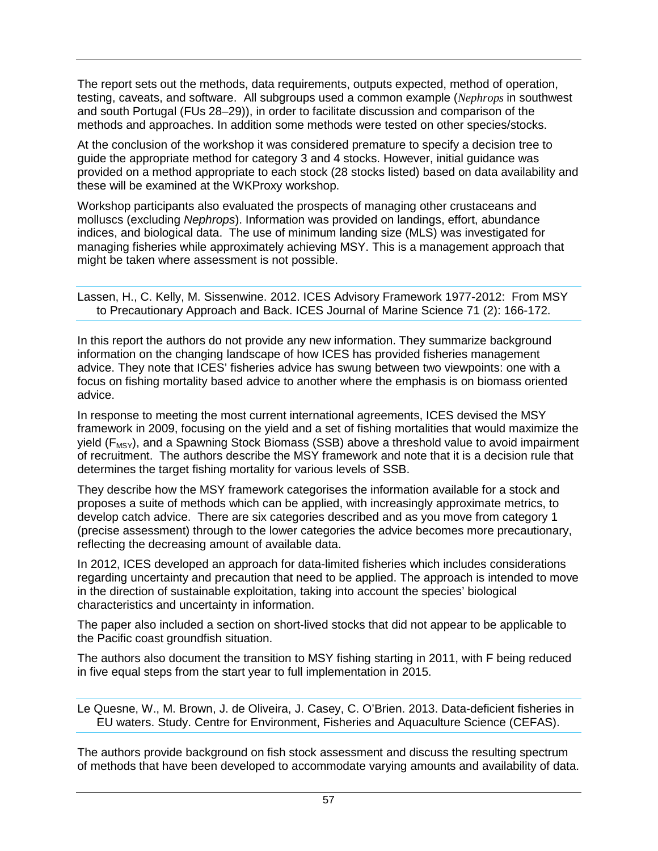The report sets out the methods, data requirements, outputs expected, method of operation, testing, caveats, and software. All subgroups used a common example (*Nephrops* in southwest and south Portugal (FUs 28–29)), in order to facilitate discussion and comparison of the methods and approaches. In addition some methods were tested on other species/stocks.

At the conclusion of the workshop it was considered premature to specify a decision tree to guide the appropriate method for category 3 and 4 stocks. However, initial guidance was provided on a method appropriate to each stock (28 stocks listed) based on data availability and these will be examined at the WKProxy workshop.

Workshop participants also evaluated the prospects of managing other crustaceans and molluscs (excluding *Nephrops*). Information was provided on landings, effort, abundance indices, and biological data. The use of minimum landing size (MLS) was investigated for managing fisheries while approximately achieving MSY. This is a management approach that might be taken where assessment is not possible.

Lassen, H., C. Kelly, M. Sissenwine. 2012. ICES Advisory Framework 1977-2012: From MSY to Precautionary Approach and Back. ICES Journal of Marine Science 71 (2): 166-172.

In this report the authors do not provide any new information. They summarize background information on the changing landscape of how ICES has provided fisheries management advice. They note that ICES' fisheries advice has swung between two viewpoints: one with a focus on fishing mortality based advice to another where the emphasis is on biomass oriented advice.

In response to meeting the most current international agreements, ICES devised the MSY framework in 2009, focusing on the yield and a set of fishing mortalities that would maximize the yield  $(F_{MSY})$ , and a Spawning Stock Biomass (SSB) above a threshold value to avoid impairment of recruitment. The authors describe the MSY framework and note that it is a decision rule that determines the target fishing mortality for various levels of SSB.

They describe how the MSY framework categorises the information available for a stock and proposes a suite of methods which can be applied, with increasingly approximate metrics, to develop catch advice. There are six categories described and as you move from category 1 (precise assessment) through to the lower categories the advice becomes more precautionary, reflecting the decreasing amount of available data.

In 2012, ICES developed an approach for data-limited fisheries which includes considerations regarding uncertainty and precaution that need to be applied. The approach is intended to move in the direction of sustainable exploitation, taking into account the species' biological characteristics and uncertainty in information.

The paper also included a section on short-lived stocks that did not appear to be applicable to the Pacific coast groundfish situation.

The authors also document the transition to MSY fishing starting in 2011, with F being reduced in five equal steps from the start year to full implementation in 2015.

Le Quesne, W., M. Brown, J. de Oliveira, J. Casey, C. O'Brien. 2013. Data-deficient fisheries in EU waters. Study. Centre for Environment, Fisheries and Aquaculture Science (CEFAS).

The authors provide background on fish stock assessment and discuss the resulting spectrum of methods that have been developed to accommodate varying amounts and availability of data.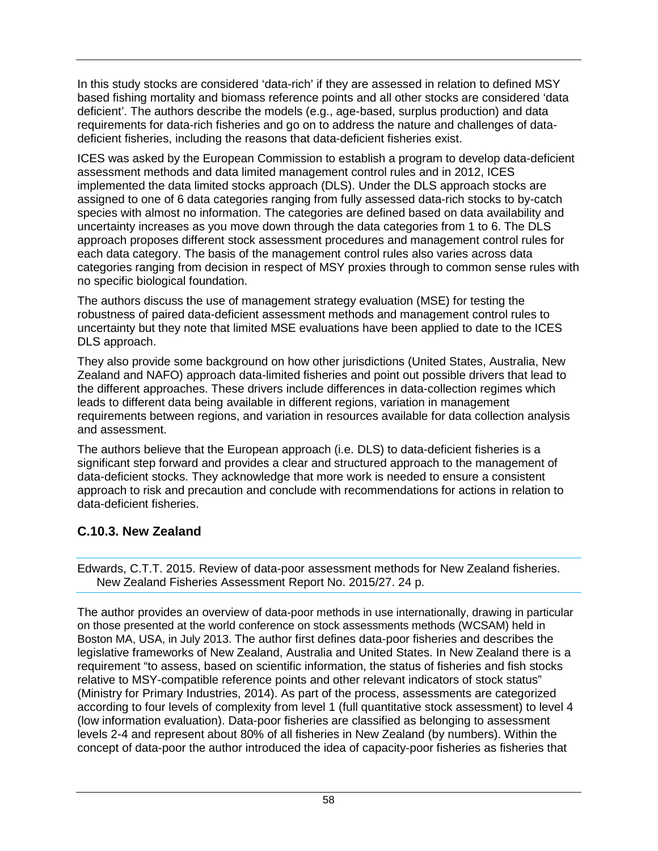In this study stocks are considered 'data-rich' if they are assessed in relation to defined MSY based fishing mortality and biomass reference points and all other stocks are considered 'data deficient'. The authors describe the models (e.g., age-based, surplus production) and data requirements for data-rich fisheries and go on to address the nature and challenges of datadeficient fisheries, including the reasons that data-deficient fisheries exist.

ICES was asked by the European Commission to establish a program to develop data-deficient assessment methods and data limited management control rules and in 2012, ICES implemented the data limited stocks approach (DLS). Under the DLS approach stocks are assigned to one of 6 data categories ranging from fully assessed data-rich stocks to by-catch species with almost no information. The categories are defined based on data availability and uncertainty increases as you move down through the data categories from 1 to 6. The DLS approach proposes different stock assessment procedures and management control rules for each data category. The basis of the management control rules also varies across data categories ranging from decision in respect of MSY proxies through to common sense rules with no specific biological foundation.

The authors discuss the use of management strategy evaluation (MSE) for testing the robustness of paired data-deficient assessment methods and management control rules to uncertainty but they note that limited MSE evaluations have been applied to date to the ICES DLS approach.

They also provide some background on how other jurisdictions (United States, Australia, New Zealand and NAFO) approach data-limited fisheries and point out possible drivers that lead to the different approaches. These drivers include differences in data-collection regimes which leads to different data being available in different regions, variation in management requirements between regions, and variation in resources available for data collection analysis and assessment.

The authors believe that the European approach (i.e. DLS) to data-deficient fisheries is a significant step forward and provides a clear and structured approach to the management of data-deficient stocks. They acknowledge that more work is needed to ensure a consistent approach to risk and precaution and conclude with recommendations for actions in relation to data-deficient fisheries.

# **C.10.3. New Zealand**

Edwards, C.T.T. 2015. Review of data-poor assessment methods for New Zealand fisheries. New Zealand Fisheries Assessment Report No. 2015/27. 24 p.

The author provides an overview of data-poor methods in use internationally, drawing in particular on those presented at the world conference on stock assessments methods (WCSAM) held in Boston MA, USA, in July 2013. The author first defines data-poor fisheries and describes the legislative frameworks of New Zealand, Australia and United States. In New Zealand there is a requirement "to assess, based on scientific information, the status of fisheries and fish stocks relative to MSY-compatible reference points and other relevant indicators of stock status" (Ministry for Primary Industries, 2014). As part of the process, assessments are categorized according to four levels of complexity from level 1 (full quantitative stock assessment) to level 4 (low information evaluation). Data-poor fisheries are classified as belonging to assessment levels 2-4 and represent about 80% of all fisheries in New Zealand (by numbers). Within the concept of data-poor the author introduced the idea of capacity-poor fisheries as fisheries that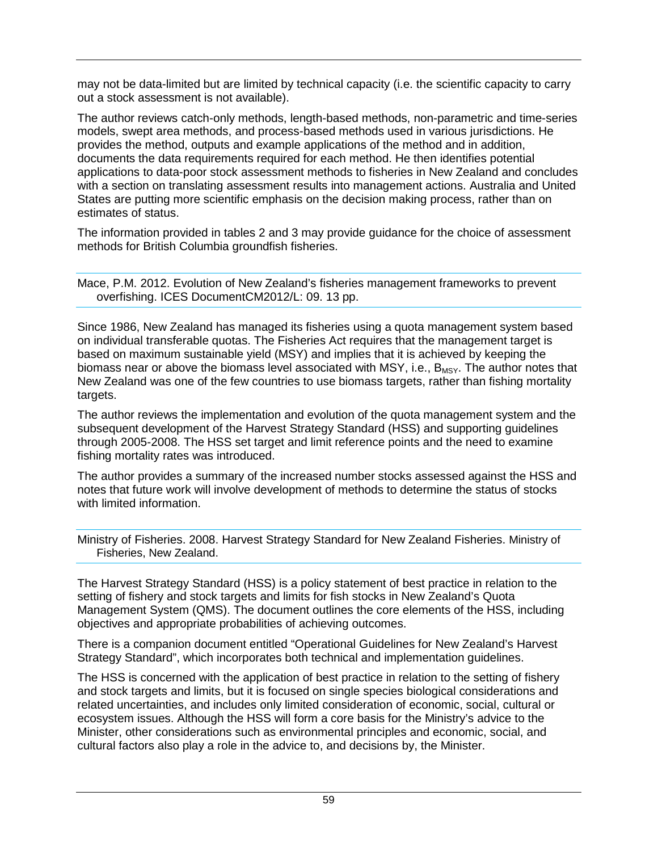may not be data-limited but are limited by technical capacity (i.e. the scientific capacity to carry out a stock assessment is not available).

The author reviews catch-only methods, length-based methods, non-parametric and time-series models, swept area methods, and process-based methods used in various jurisdictions. He provides the method, outputs and example applications of the method and in addition, documents the data requirements required for each method. He then identifies potential applications to data-poor stock assessment methods to fisheries in New Zealand and concludes with a section on translating assessment results into management actions. Australia and United States are putting more scientific emphasis on the decision making process, rather than on estimates of status.

The information provided in tables 2 and 3 may provide guidance for the choice of assessment methods for British Columbia groundfish fisheries.

Mace, P.M. 2012. Evolution of New Zealand's fisheries management frameworks to prevent overfishing. ICES DocumentCM2012/L: 09. 13 pp.

Since 1986, New Zealand has managed its fisheries using a quota management system based on individual transferable quotas. The Fisheries Act requires that the management target is based on maximum sustainable yield (MSY) and implies that it is achieved by keeping the biomass near or above the biomass level associated with MSY, i.e.,  $B_{MSY}$ . The author notes that New Zealand was one of the few countries to use biomass targets, rather than fishing mortality targets.

The author reviews the implementation and evolution of the quota management system and the subsequent development of the Harvest Strategy Standard (HSS) and supporting guidelines through 2005-2008. The HSS set target and limit reference points and the need to examine fishing mortality rates was introduced.

The author provides a summary of the increased number stocks assessed against the HSS and notes that future work will involve development of methods to determine the status of stocks with limited information.

Ministry of Fisheries. 2008. Harvest Strategy Standard for New Zealand Fisheries. Ministry of Fisheries, New Zealand.

The Harvest Strategy Standard (HSS) is a policy statement of best practice in relation to the setting of fishery and stock targets and limits for fish stocks in New Zealand's Quota Management System (QMS). The document outlines the core elements of the HSS, including objectives and appropriate probabilities of achieving outcomes.

There is a companion document entitled "Operational Guidelines for New Zealand's Harvest Strategy Standard", which incorporates both technical and implementation guidelines.

The HSS is concerned with the application of best practice in relation to the setting of fishery and stock targets and limits, but it is focused on single species biological considerations and related uncertainties, and includes only limited consideration of economic, social, cultural or ecosystem issues. Although the HSS will form a core basis for the Ministry's advice to the Minister, other considerations such as environmental principles and economic, social, and cultural factors also play a role in the advice to, and decisions by, the Minister.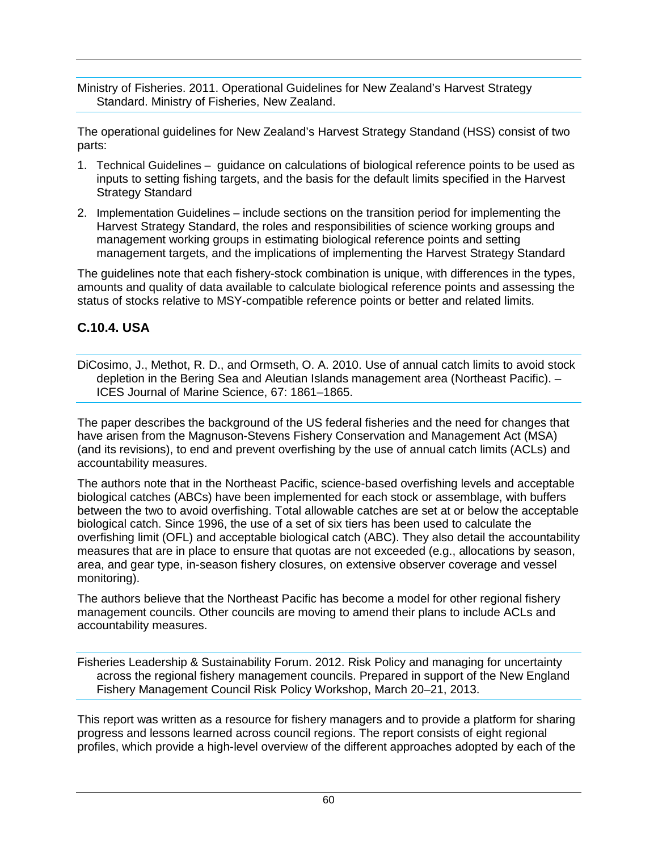Ministry of Fisheries. 2011. Operational Guidelines for New Zealand's Harvest Strategy Standard. Ministry of Fisheries, New Zealand.

The operational guidelines for New Zealand's Harvest Strategy Standand (HSS) consist of two parts:

- 1. Technical Guidelines guidance on calculations of biological reference points to be used as inputs to setting fishing targets, and the basis for the default limits specified in the Harvest Strategy Standard
- 2. Implementation Guidelines include sections on the transition period for implementing the Harvest Strategy Standard, the roles and responsibilities of science working groups and management working groups in estimating biological reference points and setting management targets, and the implications of implementing the Harvest Strategy Standard

The guidelines note that each fishery-stock combination is unique, with differences in the types, amounts and quality of data available to calculate biological reference points and assessing the status of stocks relative to MSY-compatible reference points or better and related limits.

#### **C.10.4. USA**

DiCosimo, J., Methot, R. D., and Ormseth, O. A. 2010. Use of annual catch limits to avoid stock depletion in the Bering Sea and Aleutian Islands management area (Northeast Pacific). – ICES Journal of Marine Science, 67: 1861–1865.

The paper describes the background of the US federal fisheries and the need for changes that have arisen from the Magnuson-Stevens Fishery Conservation and Management Act (MSA) (and its revisions), to end and prevent overfishing by the use of annual catch limits (ACLs) and accountability measures.

The authors note that in the Northeast Pacific, science-based overfishing levels and acceptable biological catches (ABCs) have been implemented for each stock or assemblage, with buffers between the two to avoid overfishing. Total allowable catches are set at or below the acceptable biological catch. Since 1996, the use of a set of six tiers has been used to calculate the overfishing limit (OFL) and acceptable biological catch (ABC). They also detail the accountability measures that are in place to ensure that quotas are not exceeded (e.g., allocations by season, area, and gear type, in-season fishery closures, on extensive observer coverage and vessel monitoring).

The authors believe that the Northeast Pacific has become a model for other regional fishery management councils. Other councils are moving to amend their plans to include ACLs and accountability measures.

Fisheries Leadership & Sustainability Forum. 2012. Risk Policy and managing for uncertainty across the regional fishery management councils. Prepared in support of the New England Fishery Management Council Risk Policy Workshop, March 20–21, 2013.

This report was written as a resource for fishery managers and to provide a platform for sharing progress and lessons learned across council regions. The report consists of eight regional profiles, which provide a high-level overview of the different approaches adopted by each of the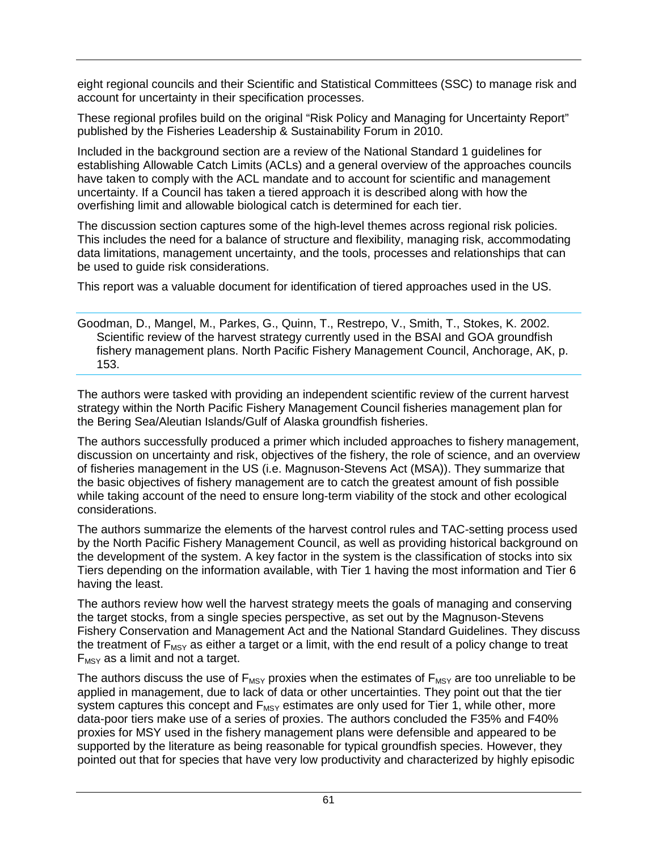eight regional councils and their Scientific and Statistical Committees (SSC) to manage risk and account for uncertainty in their specification processes.

These regional profiles build on the original "Risk Policy and Managing for Uncertainty Report" published by the Fisheries Leadership & Sustainability Forum in 2010.

Included in the background section are a review of the National Standard 1 guidelines for establishing Allowable Catch Limits (ACLs) and a general overview of the approaches councils have taken to comply with the ACL mandate and to account for scientific and management uncertainty. If a Council has taken a tiered approach it is described along with how the overfishing limit and allowable biological catch is determined for each tier.

The discussion section captures some of the high-level themes across regional risk policies. This includes the need for a balance of structure and flexibility, managing risk, accommodating data limitations, management uncertainty, and the tools, processes and relationships that can be used to guide risk considerations.

This report was a valuable document for identification of tiered approaches used in the US.

Goodman, D., Mangel, M., Parkes, G., Quinn, T., Restrepo, V., Smith, T., Stokes, K. 2002. Scientific review of the harvest strategy currently used in the BSAI and GOA groundfish fishery management plans. North Pacific Fishery Management Council, Anchorage, AK, p. 153.

The authors were tasked with providing an independent scientific review of the current harvest strategy within the North Pacific Fishery Management Council fisheries management plan for the Bering Sea/Aleutian Islands/Gulf of Alaska groundfish fisheries.

The authors successfully produced a primer which included approaches to fishery management, discussion on uncertainty and risk, objectives of the fishery, the role of science, and an overview of fisheries management in the US (i.e. Magnuson-Stevens Act (MSA)). They summarize that the basic objectives of fishery management are to catch the greatest amount of fish possible while taking account of the need to ensure long-term viability of the stock and other ecological considerations.

The authors summarize the elements of the harvest control rules and TAC-setting process used by the North Pacific Fishery Management Council, as well as providing historical background on the development of the system. A key factor in the system is the classification of stocks into six Tiers depending on the information available, with Tier 1 having the most information and Tier 6 having the least.

The authors review how well the harvest strategy meets the goals of managing and conserving the target stocks, from a single species perspective, as set out by the Magnuson-Stevens Fishery Conservation and Management Act and the National Standard Guidelines. They discuss the treatment of  $F_{MSV}$  as either a target or a limit, with the end result of a policy change to treat  $F_{MSY}$  as a limit and not a target.

The authors discuss the use of  $F_{MSY}$  proxies when the estimates of  $F_{MSY}$  are too unreliable to be applied in management, due to lack of data or other uncertainties. They point out that the tier system captures this concept and  $F_{MSY}$  estimates are only used for Tier 1, while other, more data-poor tiers make use of a series of proxies. The authors concluded the F35% and F40% proxies for MSY used in the fishery management plans were defensible and appeared to be supported by the literature as being reasonable for typical groundfish species. However, they pointed out that for species that have very low productivity and characterized by highly episodic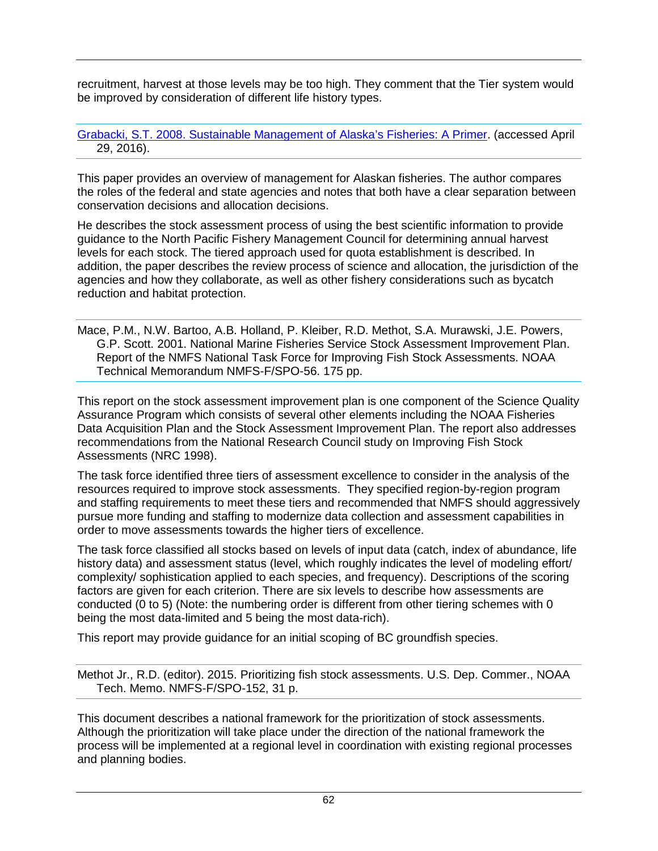recruitment, harvest at those levels may be too high. They comment that the Tier system would be improved by consideration of different life history types.

#### [Grabacki, S.T. 2008. Sustainable Management of Alaska's Fisheries: A Primer.](http://www.alaskaseafood.org/wp-content/uploads/2015/10/Sustainability-White-Paper.pdf) (accessed April 29, 2016).

This paper provides an overview of management for Alaskan fisheries. The author compares the roles of the federal and state agencies and notes that both have a clear separation between conservation decisions and allocation decisions.

He describes the stock assessment process of using the best scientific information to provide guidance to the North Pacific Fishery Management Council for determining annual harvest levels for each stock. The tiered approach used for quota establishment is described. In addition, the paper describes the review process of science and allocation, the jurisdiction of the agencies and how they collaborate, as well as other fishery considerations such as bycatch reduction and habitat protection.

Mace, P.M., N.W. Bartoo, A.B. Holland, P. Kleiber, R.D. Methot, S.A. Murawski, J.E. Powers, G.P. Scott. 2001. National Marine Fisheries Service Stock Assessment Improvement Plan. Report of the NMFS National Task Force for Improving Fish Stock Assessments. NOAA Technical Memorandum NMFS-F/SPO-56. 175 pp.

This report on the stock assessment improvement plan is one component of the Science Quality Assurance Program which consists of several other elements including the NOAA Fisheries Data Acquisition Plan and the Stock Assessment Improvement Plan. The report also addresses recommendations from the National Research Council study on Improving Fish Stock Assessments (NRC 1998).

The task force identified three tiers of assessment excellence to consider in the analysis of the resources required to improve stock assessments. They specified region-by-region program and staffing requirements to meet these tiers and recommended that NMFS should aggressively pursue more funding and staffing to modernize data collection and assessment capabilities in order to move assessments towards the higher tiers of excellence.

The task force classified all stocks based on levels of input data (catch, index of abundance, life history data) and assessment status (level, which roughly indicates the level of modeling effort/ complexity/ sophistication applied to each species, and frequency). Descriptions of the scoring factors are given for each criterion. There are six levels to describe how assessments are conducted (0 to 5) (Note: the numbering order is different from other tiering schemes with 0 being the most data-limited and 5 being the most data-rich).

This report may provide guidance for an initial scoping of BC groundfish species.

Methot Jr., R.D. (editor). 2015. Prioritizing fish stock assessments. U.S. Dep. Commer., NOAA Tech. Memo. NMFS-F/SPO-152, 31 p.

This document describes a national framework for the prioritization of stock assessments. Although the prioritization will take place under the direction of the national framework the process will be implemented at a regional level in coordination with existing regional processes and planning bodies.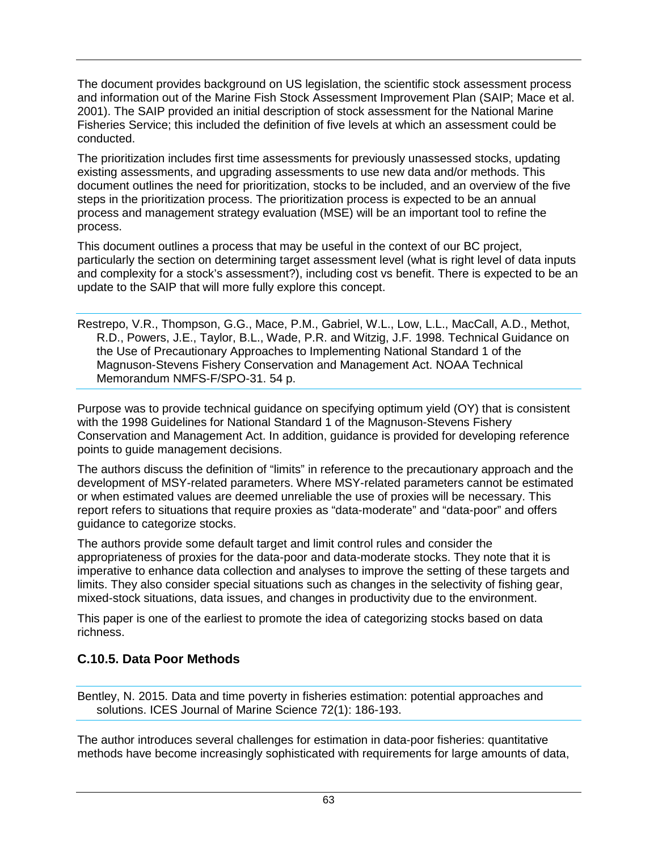The document provides background on US legislation, the scientific stock assessment process and information out of the Marine Fish Stock Assessment Improvement Plan (SAIP; Mace et al. 2001). The SAIP provided an initial description of stock assessment for the National Marine Fisheries Service; this included the definition of five levels at which an assessment could be conducted.

The prioritization includes first time assessments for previously unassessed stocks, updating existing assessments, and upgrading assessments to use new data and/or methods. This document outlines the need for prioritization, stocks to be included, and an overview of the five steps in the prioritization process. The prioritization process is expected to be an annual process and management strategy evaluation (MSE) will be an important tool to refine the process.

This document outlines a process that may be useful in the context of our BC project, particularly the section on determining target assessment level (what is right level of data inputs and complexity for a stock's assessment?), including cost vs benefit. There is expected to be an update to the SAIP that will more fully explore this concept.

Restrepo, V.R., Thompson, G.G., Mace, P.M., Gabriel, W.L., Low, L.L., MacCall, A.D., Methot, R.D., Powers, J.E., Taylor, B.L., Wade, P.R. and Witzig, J.F. 1998. Technical Guidance on the Use of Precautionary Approaches to Implementing National Standard 1 of the Magnuson-Stevens Fishery Conservation and Management Act. NOAA Technical Memorandum NMFS-F/SPO-31. 54 p.

Purpose was to provide technical guidance on specifying optimum yield (OY) that is consistent with the 1998 Guidelines for National Standard 1 of the Magnuson-Stevens Fishery Conservation and Management Act. In addition, guidance is provided for developing reference points to guide management decisions.

The authors discuss the definition of "limits" in reference to the precautionary approach and the development of MSY-related parameters. Where MSY-related parameters cannot be estimated or when estimated values are deemed unreliable the use of proxies will be necessary. This report refers to situations that require proxies as "data-moderate" and "data-poor" and offers guidance to categorize stocks.

The authors provide some default target and limit control rules and consider the appropriateness of proxies for the data-poor and data-moderate stocks. They note that it is imperative to enhance data collection and analyses to improve the setting of these targets and limits. They also consider special situations such as changes in the selectivity of fishing gear, mixed-stock situations, data issues, and changes in productivity due to the environment.

This paper is one of the earliest to promote the idea of categorizing stocks based on data richness.

### **C.10.5. Data Poor Methods**

Bentley, N. 2015. Data and time poverty in fisheries estimation: potential approaches and solutions. ICES Journal of Marine Science 72(1): 186-193.

The author introduces several challenges for estimation in data-poor fisheries: quantitative methods have become increasingly sophisticated with requirements for large amounts of data,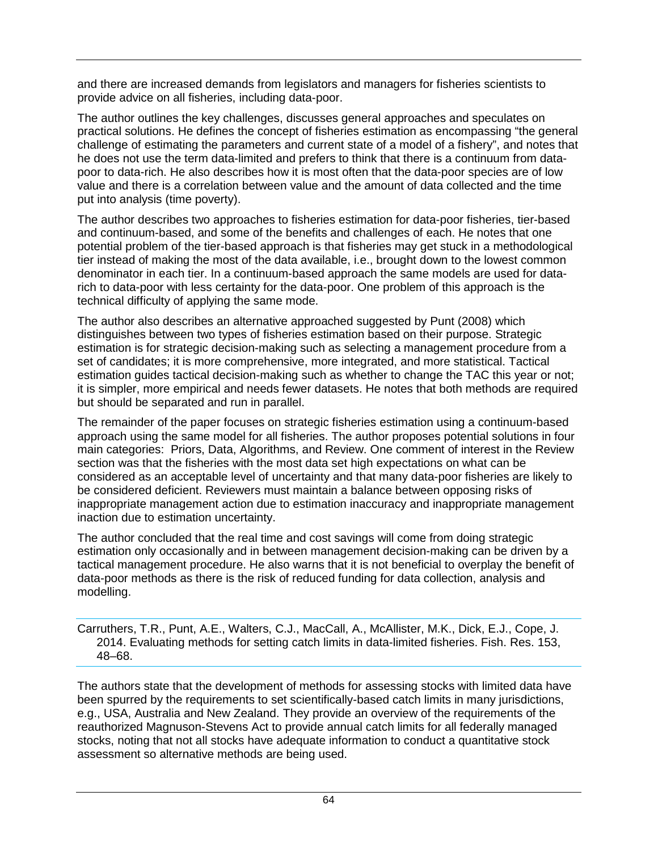and there are increased demands from legislators and managers for fisheries scientists to provide advice on all fisheries, including data-poor.

The author outlines the key challenges, discusses general approaches and speculates on practical solutions. He defines the concept of fisheries estimation as encompassing "the general challenge of estimating the parameters and current state of a model of a fishery", and notes that he does not use the term data-limited and prefers to think that there is a continuum from datapoor to data-rich. He also describes how it is most often that the data-poor species are of low value and there is a correlation between value and the amount of data collected and the time put into analysis (time poverty).

The author describes two approaches to fisheries estimation for data-poor fisheries, tier-based and continuum-based, and some of the benefits and challenges of each. He notes that one potential problem of the tier-based approach is that fisheries may get stuck in a methodological tier instead of making the most of the data available, i.e., brought down to the lowest common denominator in each tier. In a continuum-based approach the same models are used for datarich to data-poor with less certainty for the data-poor. One problem of this approach is the technical difficulty of applying the same mode.

The author also describes an alternative approached suggested by Punt (2008) which distinguishes between two types of fisheries estimation based on their purpose. Strategic estimation is for strategic decision-making such as selecting a management procedure from a set of candidates; it is more comprehensive, more integrated, and more statistical. Tactical estimation guides tactical decision-making such as whether to change the TAC this year or not; it is simpler, more empirical and needs fewer datasets. He notes that both methods are required but should be separated and run in parallel.

The remainder of the paper focuses on strategic fisheries estimation using a continuum-based approach using the same model for all fisheries. The author proposes potential solutions in four main categories: Priors, Data, Algorithms, and Review. One comment of interest in the Review section was that the fisheries with the most data set high expectations on what can be considered as an acceptable level of uncertainty and that many data-poor fisheries are likely to be considered deficient. Reviewers must maintain a balance between opposing risks of inappropriate management action due to estimation inaccuracy and inappropriate management inaction due to estimation uncertainty.

The author concluded that the real time and cost savings will come from doing strategic estimation only occasionally and in between management decision-making can be driven by a tactical management procedure. He also warns that it is not beneficial to overplay the benefit of data-poor methods as there is the risk of reduced funding for data collection, analysis and modelling.

Carruthers, T.R., Punt, A.E., Walters, C.J., MacCall, A., McAllister, M.K., Dick, E.J., Cope, J. 2014. Evaluating methods for setting catch limits in data-limited fisheries. Fish. Res. 153, 48–68.

The authors state that the development of methods for assessing stocks with limited data have been spurred by the requirements to set scientifically-based catch limits in many jurisdictions, e.g., USA, Australia and New Zealand. They provide an overview of the requirements of the reauthorized Magnuson-Stevens Act to provide annual catch limits for all federally managed stocks, noting that not all stocks have adequate information to conduct a quantitative stock assessment so alternative methods are being used.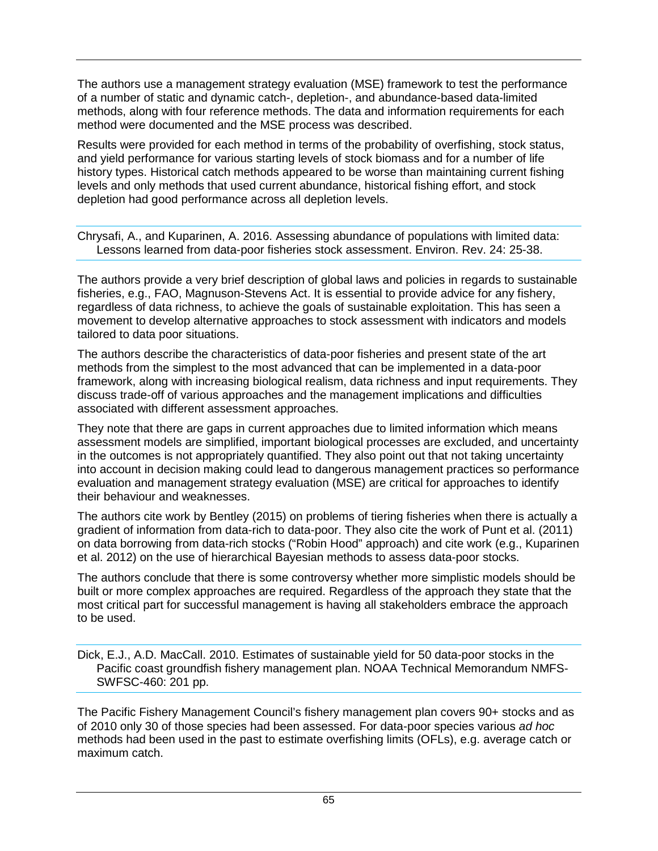The authors use a management strategy evaluation (MSE) framework to test the performance of a number of static and dynamic catch-, depletion-, and abundance-based data-limited methods, along with four reference methods. The data and information requirements for each method were documented and the MSE process was described.

Results were provided for each method in terms of the probability of overfishing, stock status, and yield performance for various starting levels of stock biomass and for a number of life history types. Historical catch methods appeared to be worse than maintaining current fishing levels and only methods that used current abundance, historical fishing effort, and stock depletion had good performance across all depletion levels.

Chrysafi, A., and Kuparinen, A. 2016. Assessing abundance of populations with limited data: Lessons learned from data-poor fisheries stock assessment. Environ. Rev. 24: 25-38.

The authors provide a very brief description of global laws and policies in regards to sustainable fisheries, e.g., FAO, Magnuson-Stevens Act. It is essential to provide advice for any fishery, regardless of data richness, to achieve the goals of sustainable exploitation. This has seen a movement to develop alternative approaches to stock assessment with indicators and models tailored to data poor situations.

The authors describe the characteristics of data-poor fisheries and present state of the art methods from the simplest to the most advanced that can be implemented in a data-poor framework, along with increasing biological realism, data richness and input requirements. They discuss trade-off of various approaches and the management implications and difficulties associated with different assessment approaches.

They note that there are gaps in current approaches due to limited information which means assessment models are simplified, important biological processes are excluded, and uncertainty in the outcomes is not appropriately quantified. They also point out that not taking uncertainty into account in decision making could lead to dangerous management practices so performance evaluation and management strategy evaluation (MSE) are critical for approaches to identify their behaviour and weaknesses.

The authors cite work by Bentley (2015) on problems of tiering fisheries when there is actually a gradient of information from data-rich to data-poor. They also cite the work of Punt et al. (2011) on data borrowing from data-rich stocks ("Robin Hood" approach) and cite work (e.g., Kuparinen et al. 2012) on the use of hierarchical Bayesian methods to assess data-poor stocks.

The authors conclude that there is some controversy whether more simplistic models should be built or more complex approaches are required. Regardless of the approach they state that the most critical part for successful management is having all stakeholders embrace the approach to be used.

Dick, E.J., A.D. MacCall. 2010. Estimates of sustainable yield for 50 data-poor stocks in the Pacific coast groundfish fishery management plan. NOAA Technical Memorandum NMFS-SWFSC-460: 201 pp.

The Pacific Fishery Management Council's fishery management plan covers 90+ stocks and as of 2010 only 30 of those species had been assessed. For data-poor species various *ad hoc* methods had been used in the past to estimate overfishing limits (OFLs), e.g. average catch or maximum catch.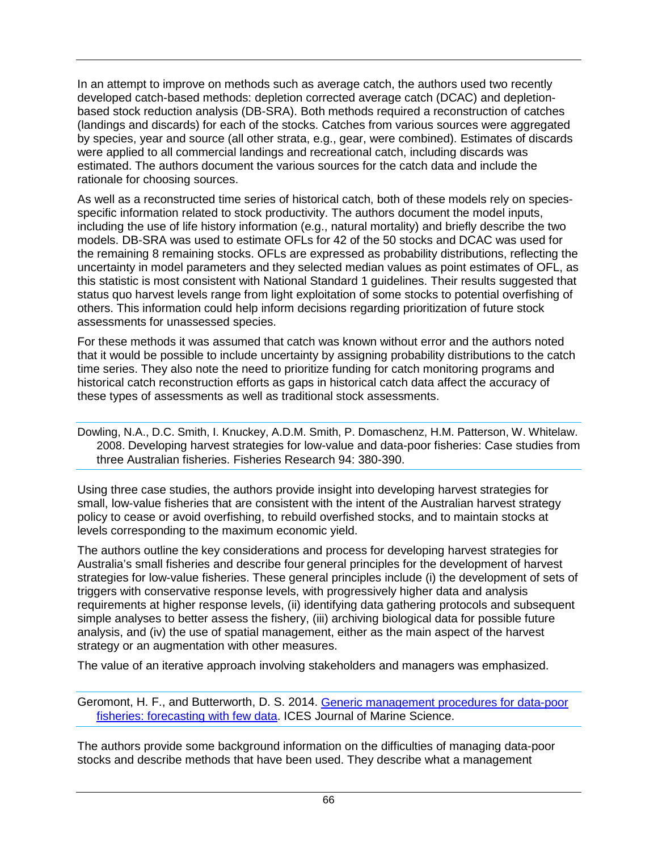In an attempt to improve on methods such as average catch, the authors used two recently developed catch-based methods: depletion corrected average catch (DCAC) and depletionbased stock reduction analysis (DB-SRA). Both methods required a reconstruction of catches (landings and discards) for each of the stocks. Catches from various sources were aggregated by species, year and source (all other strata, e.g., gear, were combined). Estimates of discards were applied to all commercial landings and recreational catch, including discards was estimated. The authors document the various sources for the catch data and include the rationale for choosing sources.

As well as a reconstructed time series of historical catch, both of these models rely on speciesspecific information related to stock productivity. The authors document the model inputs, including the use of life history information (e.g., natural mortality) and briefly describe the two models. DB-SRA was used to estimate OFLs for 42 of the 50 stocks and DCAC was used for the remaining 8 remaining stocks. OFLs are expressed as probability distributions, reflecting the uncertainty in model parameters and they selected median values as point estimates of OFL, as this statistic is most consistent with National Standard 1 guidelines. Their results suggested that status quo harvest levels range from light exploitation of some stocks to potential overfishing of others. This information could help inform decisions regarding prioritization of future stock assessments for unassessed species.

For these methods it was assumed that catch was known without error and the authors noted that it would be possible to include uncertainty by assigning probability distributions to the catch time series. They also note the need to prioritize funding for catch monitoring programs and historical catch reconstruction efforts as gaps in historical catch data affect the accuracy of these types of assessments as well as traditional stock assessments.

Dowling, N.A., D.C. Smith, I. Knuckey, A.D.M. Smith, P. Domaschenz, H.M. Patterson, W. Whitelaw. 2008. Developing harvest strategies for low-value and data-poor fisheries: Case studies from three Australian fisheries. Fisheries Research 94: 380-390.

Using three case studies, the authors provide insight into developing harvest strategies for small, low-value fisheries that are consistent with the intent of the Australian harvest strategy policy to cease or avoid overfishing, to rebuild overfished stocks, and to maintain stocks at levels corresponding to the maximum economic yield.

The authors outline the key considerations and process for developing harvest strategies for Australia's small fisheries and describe four general principles for the development of harvest strategies for low-value fisheries. These general principles include (i) the development of sets of triggers with conservative response levels, with progressively higher data and analysis requirements at higher response levels, (ii) identifying data gathering protocols and subsequent simple analyses to better assess the fishery, (iii) archiving biological data for possible future analysis, and (iv) the use of spatial management, either as the main aspect of the harvest strategy or an augmentation with other measures.

The value of an iterative approach involving stakeholders and managers was emphasized.

Geromont, H. F., and Butterworth, D. S. 2014. [Generic management procedures for data-poor](http://dx.doi.org/10.1093/icesjms/fst232)  [fisheries: forecasting with few data.](http://dx.doi.org/10.1093/icesjms/fst232) ICES Journal of Marine Science.

The authors provide some background information on the difficulties of managing data-poor stocks and describe methods that have been used. They describe what a management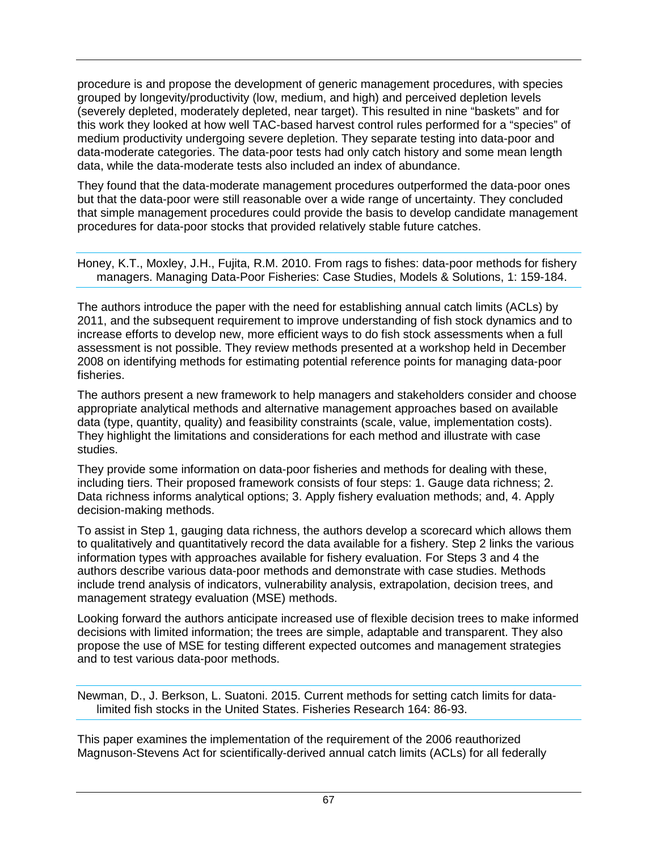procedure is and propose the development of generic management procedures, with species grouped by longevity/productivity (low, medium, and high) and perceived depletion levels (severely depleted, moderately depleted, near target). This resulted in nine "baskets" and for this work they looked at how well TAC-based harvest control rules performed for a "species" of medium productivity undergoing severe depletion. They separate testing into data-poor and data-moderate categories. The data-poor tests had only catch history and some mean length data, while the data-moderate tests also included an index of abundance.

They found that the data-moderate management procedures outperformed the data-poor ones but that the data-poor were still reasonable over a wide range of uncertainty. They concluded that simple management procedures could provide the basis to develop candidate management procedures for data-poor stocks that provided relatively stable future catches.

Honey, K.T., Moxley, J.H., Fujita, R.M. 2010. From rags to fishes: data-poor methods for fishery managers. Managing Data-Poor Fisheries: Case Studies, Models & Solutions, 1: 159-184.

The authors introduce the paper with the need for establishing annual catch limits (ACLs) by 2011, and the subsequent requirement to improve understanding of fish stock dynamics and to increase efforts to develop new, more efficient ways to do fish stock assessments when a full assessment is not possible. They review methods presented at a workshop held in December 2008 on identifying methods for estimating potential reference points for managing data-poor fisheries.

The authors present a new framework to help managers and stakeholders consider and choose appropriate analytical methods and alternative management approaches based on available data (type, quantity, quality) and feasibility constraints (scale, value, implementation costs). They highlight the limitations and considerations for each method and illustrate with case studies.

They provide some information on data-poor fisheries and methods for dealing with these, including tiers. Their proposed framework consists of four steps: 1. Gauge data richness; 2. Data richness informs analytical options; 3. Apply fishery evaluation methods; and, 4. Apply decision-making methods.

To assist in Step 1, gauging data richness, the authors develop a scorecard which allows them to qualitatively and quantitatively record the data available for a fishery. Step 2 links the various information types with approaches available for fishery evaluation. For Steps 3 and 4 the authors describe various data-poor methods and demonstrate with case studies. Methods include trend analysis of indicators, vulnerability analysis, extrapolation, decision trees, and management strategy evaluation (MSE) methods.

Looking forward the authors anticipate increased use of flexible decision trees to make informed decisions with limited information; the trees are simple, adaptable and transparent. They also propose the use of MSE for testing different expected outcomes and management strategies and to test various data-poor methods.

Newman, D., J. Berkson, L. Suatoni. 2015. Current methods for setting catch limits for datalimited fish stocks in the United States. Fisheries Research 164: 86-93.

This paper examines the implementation of the requirement of the 2006 reauthorized Magnuson-Stevens Act for scientifically-derived annual catch limits (ACLs) for all federally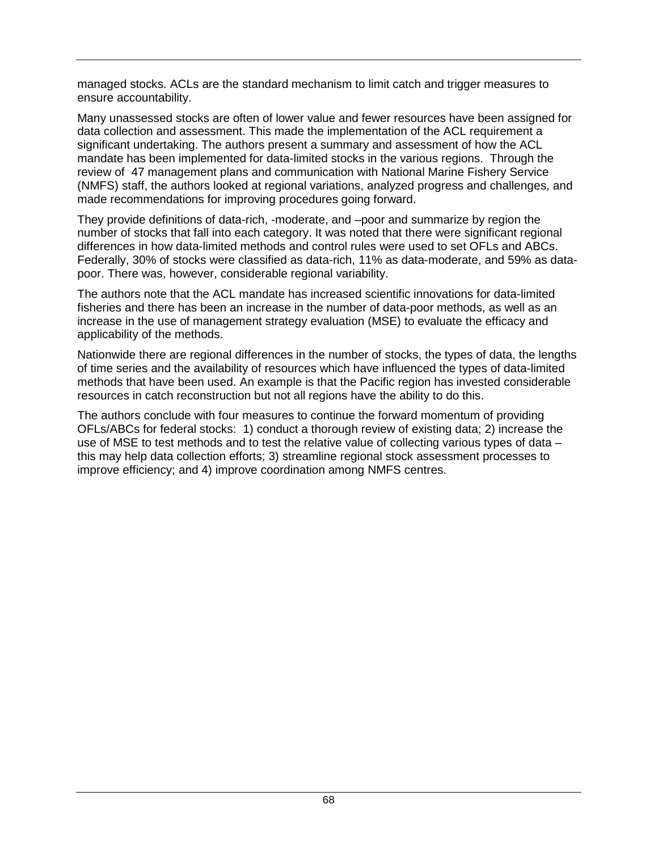managed stocks. ACLs are the standard mechanism to limit catch and trigger measures to ensure accountability.

Many unassessed stocks are often of lower value and fewer resources have been assigned for data collection and assessment. This made the implementation of the ACL requirement a significant undertaking. The authors present a summary and assessment of how the ACL mandate has been implemented for data-limited stocks in the various regions. Through the review of 47 management plans and communication with National Marine Fishery Service (NMFS) staff, the authors looked at regional variations, analyzed progress and challenges, and made recommendations for improving procedures going forward.

They provide definitions of data-rich, -moderate, and –poor and summarize by region the number of stocks that fall into each category. It was noted that there were significant regional differences in how data-limited methods and control rules were used to set OFLs and ABCs. Federally, 30% of stocks were classified as data-rich, 11% as data-moderate, and 59% as datapoor. There was, however, considerable regional variability.

The authors note that the ACL mandate has increased scientific innovations for data-limited fisheries and there has been an increase in the number of data-poor methods, as well as an increase in the use of management strategy evaluation (MSE) to evaluate the efficacy and applicability of the methods.

Nationwide there are regional differences in the number of stocks, the types of data, the lengths of time series and the availability of resources which have influenced the types of data-limited methods that have been used. An example is that the Pacific region has invested considerable resources in catch reconstruction but not all regions have the ability to do this.

The authors conclude with four measures to continue the forward momentum of providing OFLs/ABCs for federal stocks: 1) conduct a thorough review of existing data; 2) increase the use of MSE to test methods and to test the relative value of collecting various types of data – this may help data collection efforts; 3) streamline regional stock assessment processes to improve efficiency; and 4) improve coordination among NMFS centres.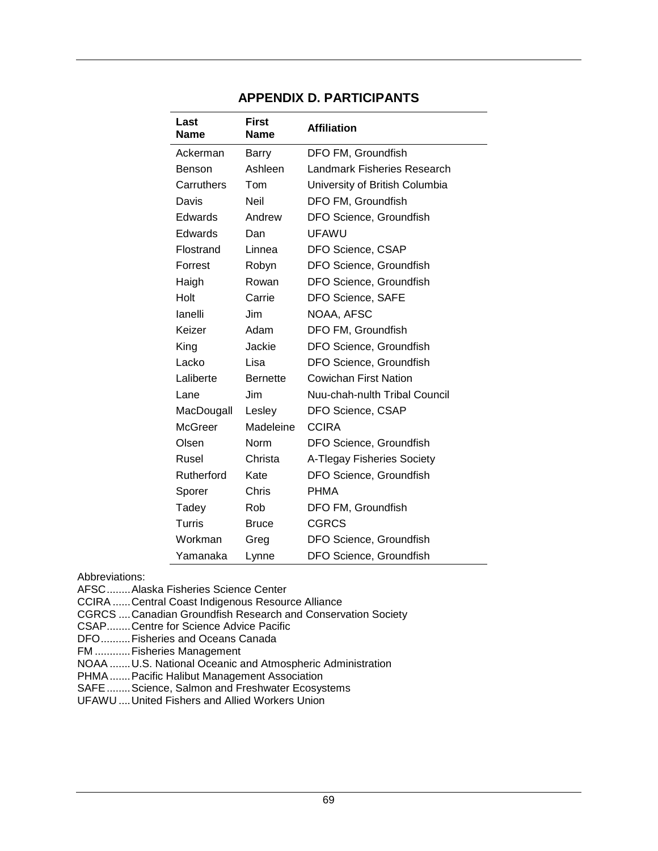| Last<br><b>Name</b> | <b>First</b><br><b>Name</b> | <b>Affiliation</b>             |
|---------------------|-----------------------------|--------------------------------|
| Ackerman            | Barry                       | DFO FM, Groundfish             |
| Benson              | Ashleen                     | Landmark Fisheries Research    |
| Carruthers          | Tom                         | University of British Columbia |
| Davis               | <b>Neil</b>                 | DFO FM, Groundfish             |
| Edwards             | Andrew                      | DFO Science, Groundfish        |
| Edwards             | Dan                         | <b>UFAWU</b>                   |
| Flostrand           | Linnea                      | DFO Science, CSAP              |
| Forrest             | Robyn                       | DFO Science, Groundfish        |
| Haigh               | Rowan                       | DFO Science, Groundfish        |
| Holt                | Carrie                      | DFO Science, SAFE              |
| lanelli             | Jim                         | NOAA, AFSC                     |
| Keizer              | Adam                        | DFO FM, Groundfish             |
| King                | Jackie                      | DFO Science, Groundfish        |
| Lacko               | Lisa                        | DFO Science, Groundfish        |
| Laliberte           | <b>Bernette</b>             | Cowichan First Nation          |
| Lane                | <b>Jim</b>                  | Nuu-chah-nulth Tribal Council  |
| MacDougall          | Lesley                      | DFO Science, CSAP              |
| <b>McGreer</b>      | Madeleine                   | <b>CCIRA</b>                   |
| Olsen               | Norm                        | DFO Science, Groundfish        |
| Rusel               | Christa                     | A-Tlegay Fisheries Society     |
| Rutherford          | Kate                        | DFO Science, Groundfish        |
| Sporer              | Chris                       | <b>PHMA</b>                    |
| Tadey               | Rob                         | DFO FM, Groundfish             |
| Turris              | <b>Bruce</b>                | <b>CGRCS</b>                   |
| Workman             | Greg                        | DFO Science, Groundfish        |
| Yamanaka            | Lynne                       | DFO Science, Groundfish        |

## **APPENDIX D. PARTICIPANTS**

Abbreviations:

AFSC........Alaska Fisheries Science Center

CCIRA ......Central Coast Indigenous Resource Alliance

- CGRCS ....Canadian Groundfish Research and Conservation Society
- CSAP........Centre for Science Advice Pacific
- DFO..........Fisheries and Oceans Canada

FM ............Fisheries Management

NOAA .......U.S. National Oceanic and Atmospheric Administration

- PHMA.......Pacific Halibut Management Association
- SAFE........Science, Salmon and Freshwater Ecosystems

UFAWU ....United Fishers and Allied Workers Union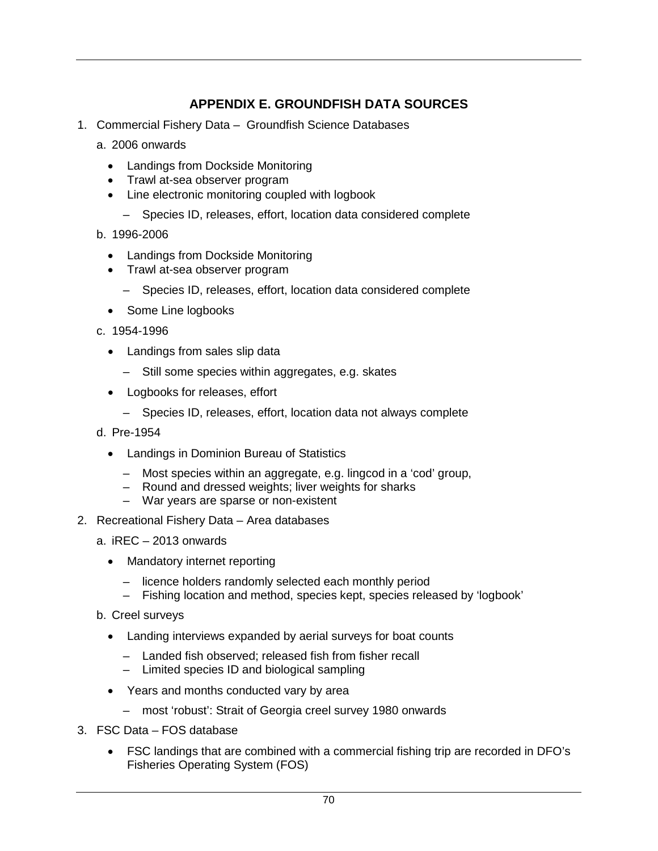## **APPENDIX E. GROUNDFISH DATA SOURCES**

- 1. Commercial Fishery Data Groundfish Science Databases
	- a. 2006 onwards
		- Landings from Dockside Monitoring
		- Trawl at-sea observer program
		- Line electronic monitoring coupled with logbook
			- Species ID, releases, effort, location data considered complete
	- b. 1996-2006
		- Landings from Dockside Monitoring
		- Trawl at-sea observer program
			- Species ID, releases, effort, location data considered complete
		- Some Line logbooks
	- c. 1954-1996
		- Landings from sales slip data
			- Still some species within aggregates, e.g. skates
		- Logbooks for releases, effort
			- Species ID, releases, effort, location data not always complete
	- d. Pre-1954
		- Landings in Dominion Bureau of Statistics
			- Most species within an aggregate, e.g. lingcod in a 'cod' group,
			- Round and dressed weights; liver weights for sharks
			- War years are sparse or non-existent
- 2. Recreational Fishery Data Area databases
	- a. iREC 2013 onwards
		- Mandatory internet reporting
			- licence holders randomly selected each monthly period
			- Fishing location and method, species kept, species released by 'logbook'
	- b. Creel surveys
		- Landing interviews expanded by aerial surveys for boat counts
			- Landed fish observed; released fish from fisher recall
			- Limited species ID and biological sampling
		- Years and months conducted vary by area
			- most 'robust': Strait of Georgia creel survey 1980 onwards
- 3. FSC Data FOS database
	- FSC landings that are combined with a commercial fishing trip are recorded in DFO's Fisheries Operating System (FOS)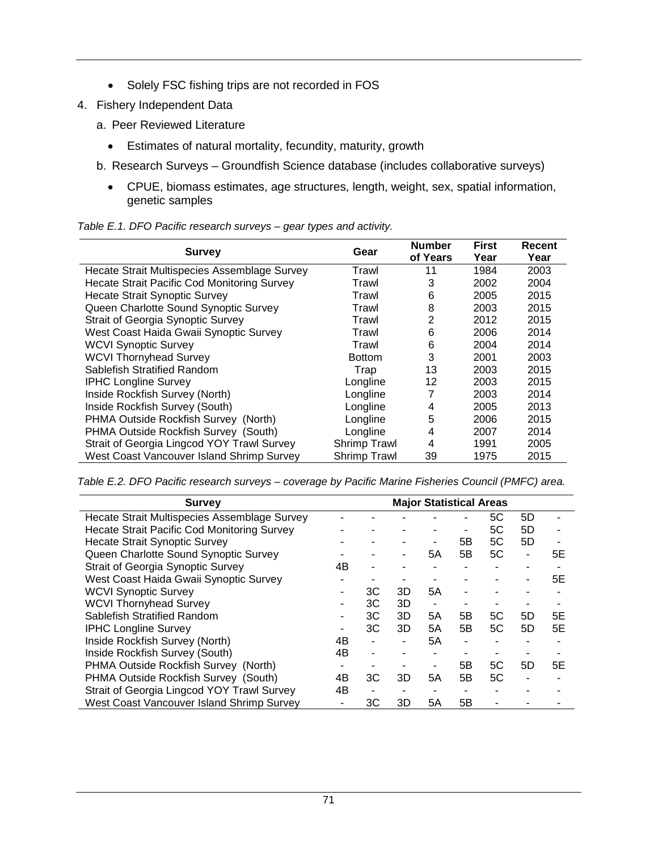- Solely FSC fishing trips are not recorded in FOS
- 4. Fishery Independent Data
	- a. Peer Reviewed Literature
		- Estimates of natural mortality, fecundity, maturity, growth
	- b. Research Surveys Groundfish Science database (includes collaborative surveys)
		- CPUE, biomass estimates, age structures, length, weight, sex, spatial information, genetic samples

| Table E.1. DFO Pacific research surveys - gear types and activity. |  |  |
|--------------------------------------------------------------------|--|--|
|                                                                    |  |  |

| <b>Survey</b>                                      | Gear                | <b>Number</b><br>of Years | <b>First</b><br>Year | Recent<br>Year |
|----------------------------------------------------|---------------------|---------------------------|----------------------|----------------|
| Hecate Strait Multispecies Assemblage Survey       | Trawl               | 11                        | 1984                 | 2003           |
| <b>Hecate Strait Pacific Cod Monitoring Survey</b> | Trawl               | 3                         | 2002                 | 2004           |
| <b>Hecate Strait Synoptic Survey</b>               | Trawl               | 6                         | 2005                 | 2015           |
| Queen Charlotte Sound Synoptic Survey              | Trawl               | 8                         | 2003                 | 2015           |
| <b>Strait of Georgia Synoptic Survey</b>           | Trawl               | 2                         | 2012                 | 2015           |
| West Coast Haida Gwaii Synoptic Survey             | Trawl               | 6                         | 2006                 | 2014           |
| <b>WCVI Synoptic Survey</b>                        | Trawl               | 6                         | 2004                 | 2014           |
| <b>WCVI Thornyhead Survey</b>                      | <b>Bottom</b>       | 3                         | 2001                 | 2003           |
| Sablefish Stratified Random                        | Trap                | 13                        | 2003                 | 2015           |
| <b>IPHC Longline Survey</b>                        | Longline            | 12                        | 2003                 | 2015           |
| Inside Rockfish Survey (North)                     | Longline            |                           | 2003                 | 2014           |
| Inside Rockfish Survey (South)                     | Longline            | 4                         | 2005                 | 2013           |
| PHMA Outside Rockfish Survey (North)               | Longline            | 5                         | 2006                 | 2015           |
| PHMA Outside Rockfish Survey (South)               | Longline            | 4                         | 2007                 | 2014           |
| Strait of Georgia Lingcod YOY Trawl Survey         | <b>Shrimp Trawl</b> | 4                         | 1991                 | 2005           |
| West Coast Vancouver Island Shrimp Survey          | <b>Shrimp Trawl</b> | 39                        | 1975                 | 2015           |

*Table E.2. DFO Pacific research surveys – coverage by Pacific Marine Fisheries Council (PMFC) area.*

| <b>Survey</b>                                      |    |                |    |    | <b>Major Statistical Areas</b> |    |    |    |
|----------------------------------------------------|----|----------------|----|----|--------------------------------|----|----|----|
| Hecate Strait Multispecies Assemblage Survey       |    |                |    |    |                                | 5C | 5D |    |
| <b>Hecate Strait Pacific Cod Monitoring Survey</b> |    |                |    |    | ٠                              | 5C | 5D |    |
| <b>Hecate Strait Synoptic Survey</b>               |    |                |    |    | 5В                             | 5C | 5D |    |
| Queen Charlotte Sound Synoptic Survey              |    |                |    | 5Α | 5B                             | 5C | -  | 5E |
| <b>Strait of Georgia Synoptic Survey</b>           | 4B |                |    |    |                                |    |    |    |
| West Coast Haida Gwaii Synoptic Survey             |    |                |    |    |                                |    |    | 5E |
| <b>WCVI Synoptic Survey</b>                        |    | ЗC             | 3D | 5A | ۰                              |    |    |    |
| <b>WCVI Thornyhead Survey</b>                      |    | ЗC             | 3D |    |                                |    |    |    |
| Sablefish Stratified Random                        |    | ЗC             | 3D | 5A | 5В                             | 5C | 5D | 5Ε |
| <b>IPHC Longline Survey</b>                        |    | ЗC             | 3D | 5A | 5B                             | 5C | 5D | 5E |
| Inside Rockfish Survey (North)                     | 4B | $\blacksquare$ |    | 5Α |                                |    |    |    |
| Inside Rockfish Survey (South)                     | 4B |                |    |    |                                |    |    |    |
| PHMA Outside Rockfish Survey (North)               |    |                |    |    | 5В                             | 5C | 5D | 5Ε |
| PHMA Outside Rockfish Survey (South)               | 4B | ЗC             | 3D | 5A | 5Β                             | 5C |    |    |
| Strait of Georgia Lingcod YOY Trawl Survey         | 4B |                |    |    |                                |    |    |    |
| West Coast Vancouver Island Shrimp Survey          |    | ЗC             | 3D | 5Α | 5Β                             |    |    |    |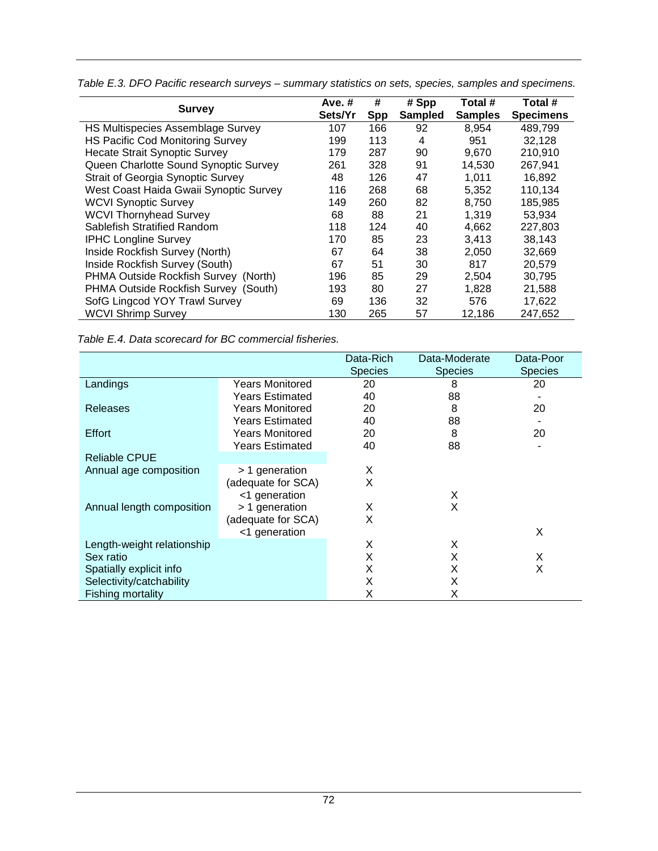|                                         | Ave. $#$ | #          | # Spp          | Total #        | Total #          |
|-----------------------------------------|----------|------------|----------------|----------------|------------------|
| <b>Survey</b>                           | Sets/Yr  | <b>Spp</b> | <b>Sampled</b> | <b>Samples</b> | <b>Specimens</b> |
| HS Multispecies Assemblage Survey       | 107      | 166        | 92             | 8.954          | 489,799          |
| <b>HS Pacific Cod Monitoring Survey</b> | 199      | 113        | 4              | 951            | 32,128           |
| <b>Hecate Strait Synoptic Survey</b>    | 179      | 287        | 90             | 9,670          | 210,910          |
| Queen Charlotte Sound Synoptic Survey   | 261      | 328        | 91             | 14,530         | 267,941          |
| Strait of Georgia Synoptic Survey       | 48       | 126        | 47             | 1.011          | 16,892           |
| West Coast Haida Gwaii Synoptic Survey  | 116      | 268        | 68             | 5,352          | 110,134          |
| <b>WCVI Synoptic Survey</b>             | 149      | 260        | 82             | 8,750          | 185,985          |
| <b>WCVI Thornyhead Survey</b>           | 68       | 88         | 21             | 1,319          | 53.934           |
| Sablefish Stratified Random             | 118      | 124        | 40             | 4,662          | 227,803          |
| <b>IPHC Longline Survey</b>             | 170      | 85         | 23             | 3,413          | 38.143           |
| Inside Rockfish Survey (North)          | 67       | 64         | 38             | 2,050          | 32,669           |
| Inside Rockfish Survey (South)          | 67       | 51         | 30             | 817            | 20,579           |
| PHMA Outside Rockfish Survey (North)    | 196      | 85         | 29             | 2,504          | 30,795           |
| PHMA Outside Rockfish Survey (South)    | 193      | 80         | 27             | 1,828          | 21,588           |
| SofG Lingcod YOY Trawl Survey           | 69       | 136        | 32             | 576            | 17,622           |
| <b>WCVI Shrimp Survey</b>               | 130      | 265        | 57             | 12.186         | 247.652          |

*Table E.3. DFO Pacific research surveys – summary statistics on sets, species, samples and specimens.*

*Table E.4. Data scorecard for BC commercial fisheries.*

|                            |                        | Data-Rich      | Data-Moderate  | Data-Poor      |
|----------------------------|------------------------|----------------|----------------|----------------|
|                            |                        | <b>Species</b> | <b>Species</b> | <b>Species</b> |
| Landings                   | Years Monitored        | 20             | 8              | 20             |
|                            | Years Estimated        | 40             | 88             |                |
| <b>Releases</b>            | <b>Years Monitored</b> | 20             | 8              | 20             |
|                            | <b>Years Estimated</b> | 40             | 88             |                |
| Effort                     | Years Monitored        | 20             | 8              | 20             |
|                            | <b>Years Estimated</b> | 40             | 88             |                |
| <b>Reliable CPUE</b>       |                        |                |                |                |
| Annual age composition     | > 1 generation         | X              |                |                |
|                            | (adequate for SCA)     | X              |                |                |
|                            | <1 generation          |                | X              |                |
| Annual length composition  | > 1 generation         | X              | X              |                |
|                            | (adequate for SCA)     | X              |                |                |
|                            | <1 generation          |                |                | X              |
| Length-weight relationship |                        | Х              | X              |                |
| Sex ratio                  |                        | X              | X              | X              |
| Spatially explicit info    |                        | X              | X              | X              |
| Selectivity/catchability   |                        | X              | X              |                |
| Fishing mortality          |                        | X              | х              |                |